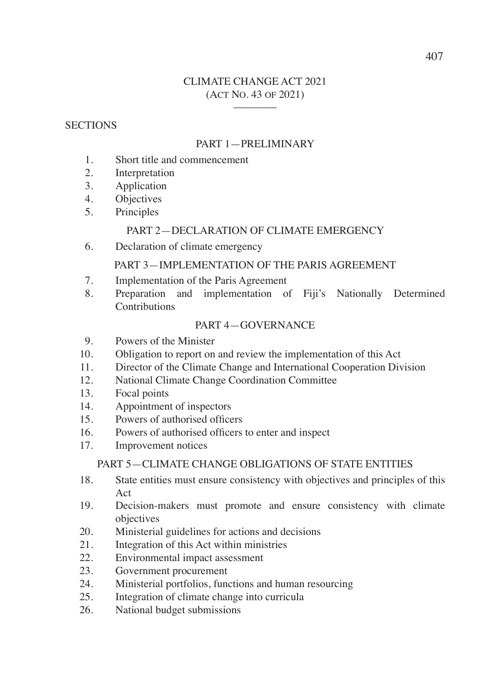## CLIMATE CHANGE ACT 2021 (ACT NO. 43 OF 2021) \_\_\_\_\_\_\_\_

## **SECTIONS**

## PART 1—PRELIMINARY

- 1. Short title and commencement
- 2. Interpretation
- 3. Application
- 4. Objectives
- 5. Principles

## PART 2—DECLARATION OF CLIMATE EMERGENCY

6. Declaration of climate emergency

## PART 3—IMPLEMENTATION OF THE PARIS AGREEMENT

- 7. Implementation of the Paris Agreement
- 8. Preparation and implementation of Fiji's Nationally Determined Contributions

## PART 4—GOVERNANCE

- 9. Powers of the Minister
- 10. Obligation to report on and review the implementation of this Act
- 11. Director of the Climate Change and International Cooperation Division
- 12. National Climate Change Coordination Committee
- 13. Focal points
- 14. Appointment of inspectors
- 15. Powers of authorised officers
- 16. Powers of authorised officers to enter and inspect
- 17. Improvement notices

### PART 5—CLIMATE CHANGE OBLIGATIONS OF STATE ENTITIES

- 18. State entities must ensure consistency with objectives and principles of this Act
- 19. Decision-makers must promote and ensure consistency with climate objectives
- 20. Ministerial guidelines for actions and decisions
- 21. Integration of this Act within ministries
- 22. Environmental impact assessment
- 23. Government procurement
- 24. Ministerial portfolios, functions and human resourcing
- 25. Integration of climate change into curricula
- 26. National budget submissions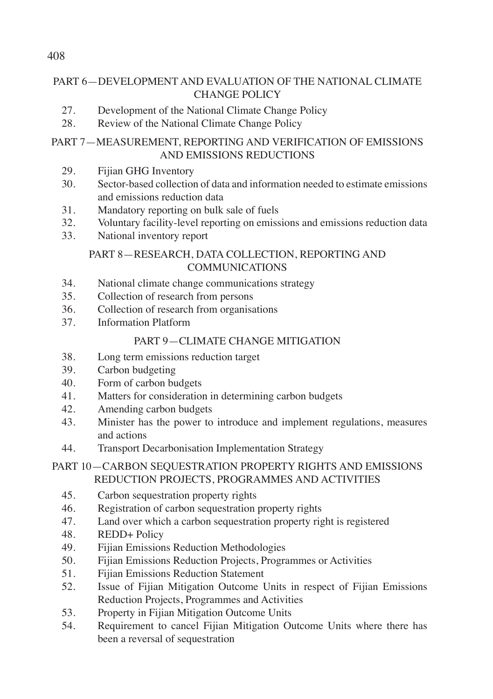# PART 6—DEVELOPMENT AND EVALUATION OF THE NATIONAL CLIMATE CHANGE POLICY

- 27. Development of the National Climate Change Policy
- 28. Review of the National Climate Change Policy

## PART 7—MEASUREMENT, REPORTING AND VERIFICATION OF EMISSIONS AND EMISSIONS REDUCTIONS

- 29. Fijian GHG Inventory
- 30. Sector-based collection of data and information needed to estimate emissions and emissions reduction data
- 31. Mandatory reporting on bulk sale of fuels
- 32. Voluntary facility-level reporting on emissions and emissions reduction data
- 33. National inventory report

## PART 8—RESEARCH, DATA COLLECTION, REPORTING AND COMMUNICATIONS

- 34. National climate change communications strategy
- 35. Collection of research from persons
- 36. Collection of research from organisations
- 37. Information Platform

## PART 9—CLIMATE CHANGE MITIGATION

- 38. Long term emissions reduction target
- 39. Carbon budgeting
- 40. Form of carbon budgets
- 41. Matters for consideration in determining carbon budgets
- 42. Amending carbon budgets
- 43. Minister has the power to introduce and implement regulations, measures and actions
- 44. Transport Decarbonisation Implementation Strategy

## PART 10—CARBON SEQUESTRATION PROPERTY RIGHTS AND EMISSIONS REDUCTION PROJECTS, PROGRAMMES AND ACTIVITIES

- 45. Carbon sequestration property rights
- 46. Registration of carbon sequestration property rights
- 47. Land over which a carbon sequestration property right is registered
- 48. REDD+ Policy
- 49. Fijian Emissions Reduction Methodologies
- 50. Fijian Emissions Reduction Projects, Programmes or Activities
- 51. Fijian Emissions Reduction Statement
- 52. Issue of Fijian Mitigation Outcome Units in respect of Fijian Emissions Reduction Projects, Programmes and Activities
- 53. Property in Fijian Mitigation Outcome Units
- 54. Requirement to cancel Fijian Mitigation Outcome Units where there has been a reversal of sequestration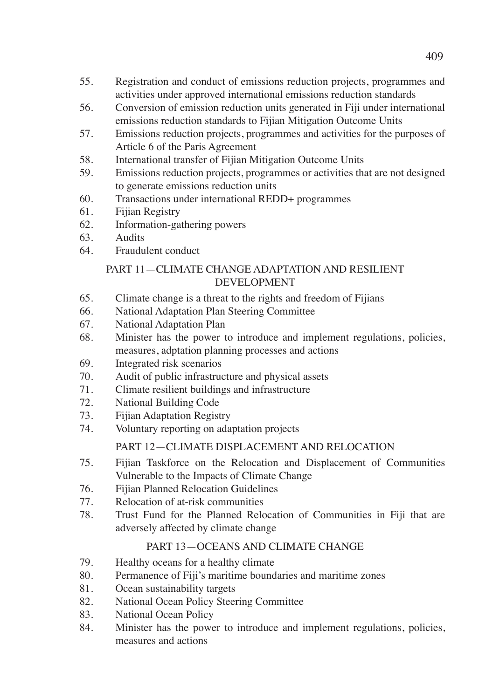- 55. Registration and conduct of emissions reduction projects, programmes and activities under approved international emissions reduction standards
- 56. Conversion of emission reduction units generated in Fiji under international emissions reduction standards to Fijian Mitigation Outcome Units
- 57. Emissions reduction projects, programmes and activities for the purposes of Article 6 of the Paris Agreement
- 58. International transfer of Fijian Mitigation Outcome Units
- 59. Emissions reduction projects, programmes or activities that are not designed to generate emissions reduction units
- 60. Transactions under international REDD+ programmes
- 61. Fijian Registry
- 62. Information-gathering powers
- 63. Audits
- 64. Fraudulent conduct

## PART 11—CLIMATE CHANGE ADAPTATION AND RESILIENT DEVELOPMENT

- 65. Climate change is a threat to the rights and freedom of Fijians
- 66. National Adaptation Plan Steering Committee
- 67. National Adaptation Plan
- 68. Minister has the power to introduce and implement regulations, policies, measures, adptation planning processes and actions
- 69. Integrated risk scenarios
- 70. Audit of public infrastructure and physical assets
- 71. Climate resilient buildings and infrastructure
- 72. National Building Code
- 73. Fijian Adaptation Registry
- 74. Voluntary reporting on adaptation projects

## PART 12—CLIMATE DISPLACEMENT AND RELOCATION

- 75. Fijian Taskforce on the Relocation and Displacement of Communities Vulnerable to the Impacts of Climate Change
- 76. Fijian Planned Relocation Guidelines
- 77. Relocation of at-risk communities
- 78. Trust Fund for the Planned Relocation of Communities in Fiji that are adversely affected by climate change

## PART 13—OCEANS AND CLIMATE CHANGE

- 79. Healthy oceans for a healthy climate
- 80. Permanence of Fiji's maritime boundaries and maritime zones
- 81. Ocean sustainability targets
- 82. National Ocean Policy Steering Committee
- 83. National Ocean Policy
- 84. Minister has the power to introduce and implement regulations, policies, measures and actions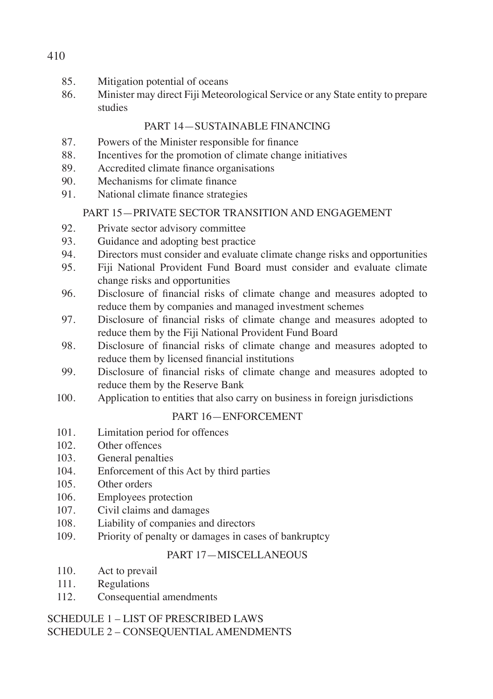- 85. Mitigation potential of oceans
- 86. Minister may direct Fiji Meteorological Service or any State entity to prepare studies

## PART 14—SUSTAINABLE FINANCING

- 87. Powers of the Minister responsible for finance
- 88. Incentives for the promotion of climate change initiatives
- 89. Accredited climate finance organisations
- 90. Mechanisms for climate finance
- 91. National climate finance strategies

# PART 15—PRIVATE SECTOR TRANSITION AND ENGAGEMENT

- 92. Private sector advisory committee
- 93. Guidance and adopting best practice
- 94. Directors must consider and evaluate climate change risks and opportunities
- 95. Fiji National Provident Fund Board must consider and evaluate climate change risks and opportunities
- 96. Disclosure of financial risks of climate change and measures adopted to reduce them by companies and managed investment schemes
- 97. Disclosure of financial risks of climate change and measures adopted to reduce them by the Fiji National Provident Fund Board
- 98. Disclosure of financial risks of climate change and measures adopted to reduce them by licensed financial institutions
- 99. Disclosure of financial risks of climate change and measures adopted to reduce them by the Reserve Bank
- 100. Application to entities that also carry on business in foreign jurisdictions

# PART 16—ENFORCEMENT

- 101. Limitation period for offences
- 102. Other offences
- 103. General penalties
- 104. Enforcement of this Act by third parties
- 105. Other orders
- 106. Employees protection
- 107. Civil claims and damages
- 108. Liability of companies and directors
- 109. Priority of penalty or damages in cases of bankruptcy

# PART 17—MISCELLANEOUS

- 110. Act to prevail
- 111. Regulations
- 112. Consequential amendments

## SCHEDULE 1 – LIST OF PRESCRIBED LAWS SCHEDULE 2 – CONSEQUENTIAL AMENDMENTS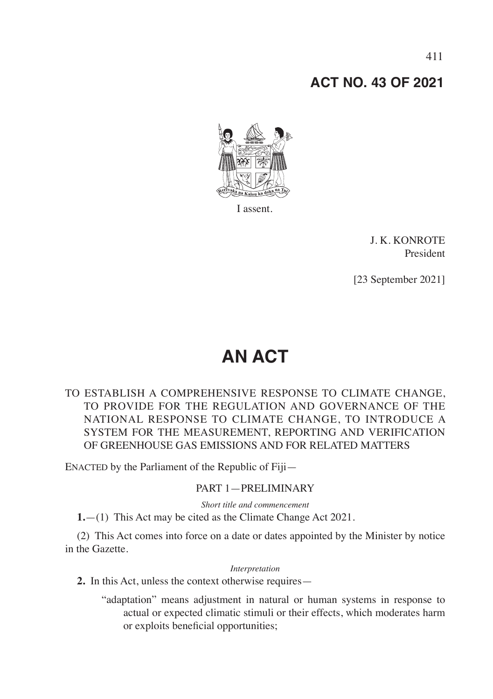# **ACT NO. 43 OF 2021**



I assent.

J. K. KONROTE President

[23 September 2021]

# **AN ACT**

## TO ESTABLISH A COMPREHENSIVE RESPONSE TO CLIMATE CHANGE, TO PROVIDE FOR THE REGULATION AND GOVERNANCE OF THE NATIONAL RESPONSE TO CLIMATE CHANGE, TO INTRODUCE A SYSTEM FOR THE MEASUREMENT, REPORTING AND VERIFICATION OF GREENHOUSE GAS EMISSIONS AND FOR RELATED MATTERS

ENACTED by the Parliament of the Republic of Fiji—

## PART 1—PRELIMINARY

*Short title and commencement*

**1.**—(1) This Act may be cited as the Climate Change Act 2021.

(2) This Act comes into force on a date or dates appointed by the Minister by notice in the Gazette.

#### *Interpretation*

**2.** In this Act, unless the context otherwise requires—

"adaptation" means adjustment in natural or human systems in response to actual or expected climatic stimuli or their effects, which moderates harm or exploits beneficial opportunities;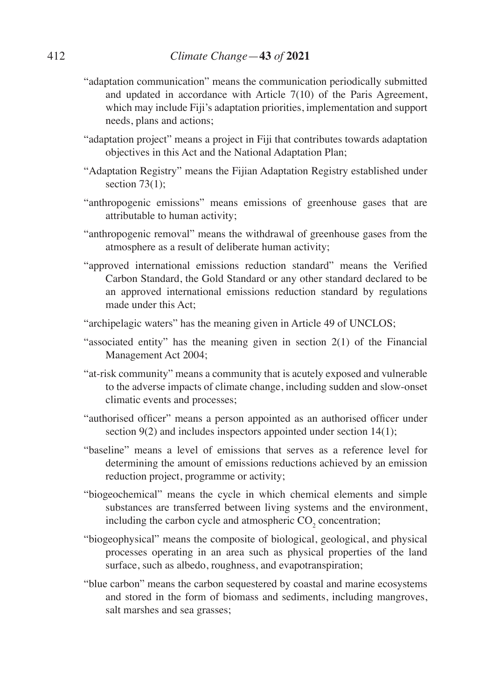- "adaptation communication" means the communication periodically submitted and updated in accordance with Article 7(10) of the Paris Agreement, which may include Fiji's adaptation priorities, implementation and support needs, plans and actions;
- "adaptation project" means a project in Fiji that contributes towards adaptation objectives in this Act and the National Adaptation Plan;
- "Adaptation Registry" means the Fijian Adaptation Registry established under section 73(1):
- "anthropogenic emissions" means emissions of greenhouse gases that are attributable to human activity;
- "anthropogenic removal" means the withdrawal of greenhouse gases from the atmosphere as a result of deliberate human activity;
- "approved international emissions reduction standard" means the Verified Carbon Standard, the Gold Standard or any other standard declared to be an approved international emissions reduction standard by regulations made under this Act;
- "archipelagic waters" has the meaning given in Article 49 of UNCLOS;
- "associated entity" has the meaning given in section 2(1) of the Financial Management Act 2004;
- "at-risk community" means a community that is acutely exposed and vulnerable to the adverse impacts of climate change, including sudden and slow-onset climatic events and processes;
- "authorised officer" means a person appointed as an authorised officer under section 9(2) and includes inspectors appointed under section 14(1);
- "baseline" means a level of emissions that serves as a reference level for determining the amount of emissions reductions achieved by an emission reduction project, programme or activity;
- "biogeochemical" means the cycle in which chemical elements and simple substances are transferred between living systems and the environment, including the carbon cycle and atmospheric  $CO<sub>2</sub>$  concentration;
- "biogeophysical" means the composite of biological, geological, and physical processes operating in an area such as physical properties of the land surface, such as albedo, roughness, and evapotranspiration;
- "blue carbon" means the carbon sequestered by coastal and marine ecosystems and stored in the form of biomass and sediments, including mangroves, salt marshes and sea grasses;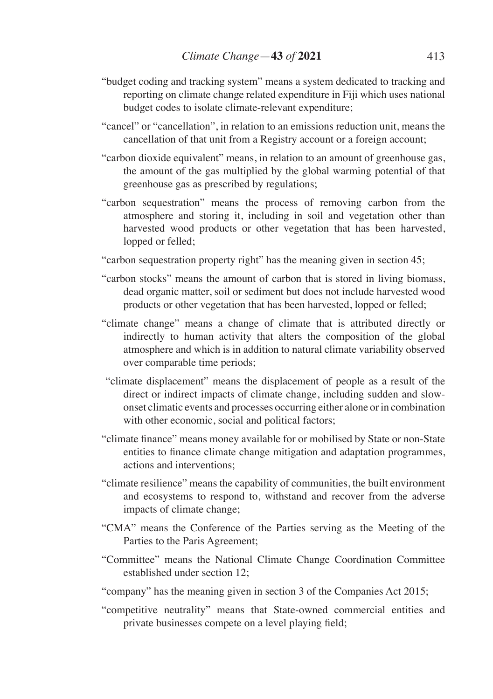- "budget coding and tracking system" means a system dedicated to tracking and reporting on climate change related expenditure in Fiji which uses national budget codes to isolate climate-relevant expenditure;
- "cancel" or "cancellation", in relation to an emissions reduction unit, means the cancellation of that unit from a Registry account or a foreign account;
- "carbon dioxide equivalent" means, in relation to an amount of greenhouse gas, the amount of the gas multiplied by the global warming potential of that greenhouse gas as prescribed by regulations;
- "carbon sequestration" means the process of removing carbon from the atmosphere and storing it, including in soil and vegetation other than harvested wood products or other vegetation that has been harvested, lopped or felled;
- "carbon sequestration property right" has the meaning given in section 45;
- "carbon stocks" means the amount of carbon that is stored in living biomass, dead organic matter, soil or sediment but does not include harvested wood products or other vegetation that has been harvested, lopped or felled;
- "climate change" means a change of climate that is attributed directly or indirectly to human activity that alters the composition of the global atmosphere and which is in addition to natural climate variability observed over comparable time periods;
- "climate displacement" means the displacement of people as a result of the direct or indirect impacts of climate change, including sudden and slowonset climatic events and processes occurring either alone or in combination with other economic, social and political factors;
- "climate finance" means money available for or mobilised by State or non-State entities to finance climate change mitigation and adaptation programmes, actions and interventions;
- "climate resilience" means the capability of communities, the built environment and ecosystems to respond to, withstand and recover from the adverse impacts of climate change;
- "CMA" means the Conference of the Parties serving as the Meeting of the Parties to the Paris Agreement;
- "Committee" means the National Climate Change Coordination Committee established under section 12;
- "company" has the meaning given in section 3 of the Companies Act 2015;
- "competitive neutrality" means that State-owned commercial entities and private businesses compete on a level playing field;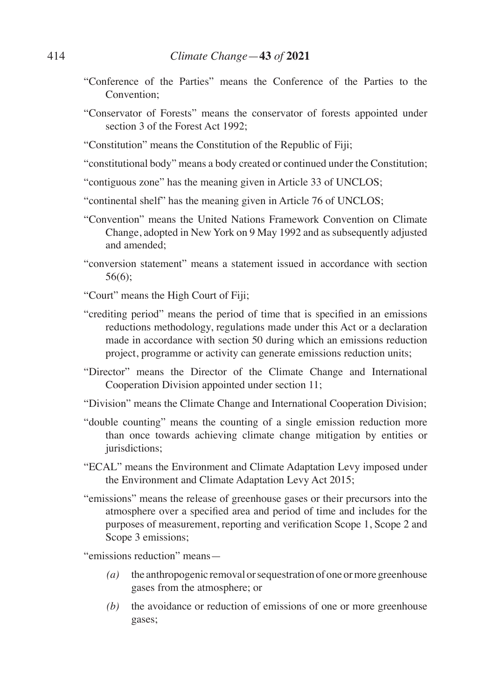- "Conference of the Parties" means the Conference of the Parties to the Convention;
- "Conservator of Forests" means the conservator of forests appointed under section 3 of the Forest Act 1992;
- "Constitution" means the Constitution of the Republic of Fiji;
- "constitutional body" means a body created or continued under the Constitution;
- "contiguous zone" has the meaning given in Article 33 of UNCLOS;
- "continental shelf" has the meaning given in Article 76 of UNCLOS;
- "Convention" means the United Nations Framework Convention on Climate Change, adopted in New York on 9 May 1992 and as subsequently adjusted and amended;
- "conversion statement" means a statement issued in accordance with section 56(6);

"Court" means the High Court of Fiji;

- "crediting period" means the period of time that is specified in an emissions reductions methodology, regulations made under this Act or a declaration made in accordance with section 50 during which an emissions reduction project, programme or activity can generate emissions reduction units;
- "Director" means the Director of the Climate Change and International Cooperation Division appointed under section 11;
- "Division" means the Climate Change and International Cooperation Division;
- "double counting" means the counting of a single emission reduction more than once towards achieving climate change mitigation by entities or jurisdictions;
- "ECAL" means the Environment and Climate Adaptation Levy imposed under the Environment and Climate Adaptation Levy Act 2015;
- "emissions" means the release of greenhouse gases or their precursors into the atmosphere over a specified area and period of time and includes for the purposes of measurement, reporting and verification Scope 1, Scope 2 and Scope 3 emissions;

"emissions reduction" means—

- *(a)* the anthropogenic removal or sequestration of one or more greenhouse gases from the atmosphere; or
- *(b)* the avoidance or reduction of emissions of one or more greenhouse gases;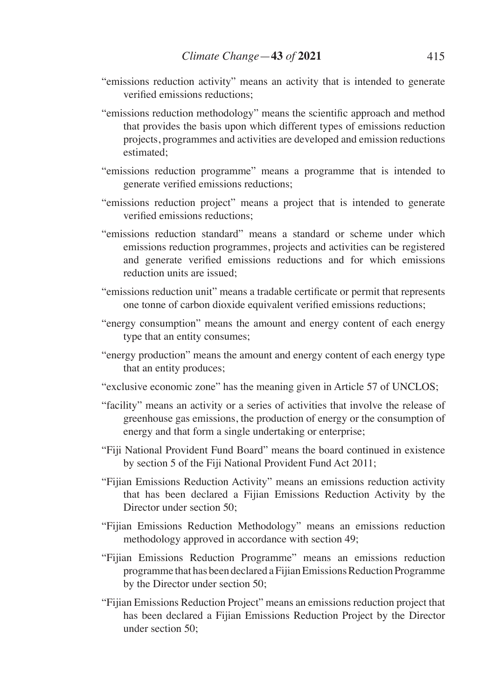- "emissions reduction activity" means an activity that is intended to generate verified emissions reductions;
- "emissions reduction methodology" means the scientific approach and method that provides the basis upon which different types of emissions reduction projects, programmes and activities are developed and emission reductions estimated;
- "emissions reduction programme" means a programme that is intended to generate verified emissions reductions;
- "emissions reduction project" means a project that is intended to generate verified emissions reductions;
- "emissions reduction standard" means a standard or scheme under which emissions reduction programmes, projects and activities can be registered and generate verified emissions reductions and for which emissions reduction units are issued;
- "emissions reduction unit" means a tradable certificate or permit that represents one tonne of carbon dioxide equivalent verified emissions reductions;
- "energy consumption" means the amount and energy content of each energy type that an entity consumes;
- "energy production" means the amount and energy content of each energy type that an entity produces;
- "exclusive economic zone" has the meaning given in Article 57 of UNCLOS;
- "facility" means an activity or a series of activities that involve the release of greenhouse gas emissions, the production of energy or the consumption of energy and that form a single undertaking or enterprise;
- "Fiji National Provident Fund Board" means the board continued in existence by section 5 of the Fiji National Provident Fund Act 2011;
- "Fijian Emissions Reduction Activity" means an emissions reduction activity that has been declared a Fijian Emissions Reduction Activity by the Director under section 50;
- "Fijian Emissions Reduction Methodology" means an emissions reduction methodology approved in accordance with section 49;
- "Fijian Emissions Reduction Programme" means an emissions reduction programme that has been declared a Fijian Emissions Reduction Programme by the Director under section 50;
- "Fijian Emissions Reduction Project" means an emissions reduction project that has been declared a Fijian Emissions Reduction Project by the Director under section 50;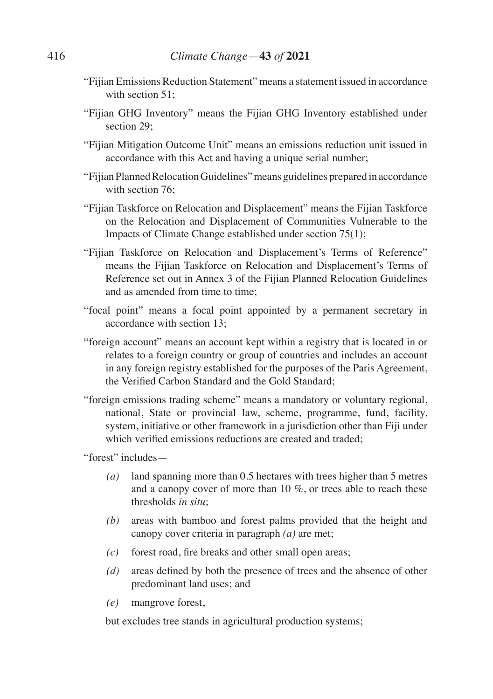- "Fijian Emissions Reduction Statement" means a statement issued in accordance with section 51;
- "Fijian GHG Inventory" means the Fijian GHG Inventory established under section 29:
- "Fijian Mitigation Outcome Unit" means an emissions reduction unit issued in accordance with this Act and having a unique serial number;
- "Fijian Planned Relocation Guidelines" means guidelines prepared in accordance with section 76:
- "Fijian Taskforce on Relocation and Displacement" means the Fijian Taskforce on the Relocation and Displacement of Communities Vulnerable to the Impacts of Climate Change established under section 75(1);
- "Fijian Taskforce on Relocation and Displacement's Terms of Reference" means the Fijian Taskforce on Relocation and Displacement's Terms of Reference set out in Annex 3 of the Fijian Planned Relocation Guidelines and as amended from time to time;
- "focal point" means a focal point appointed by a permanent secretary in accordance with section 13;
- "foreign account" means an account kept within a registry that is located in or relates to a foreign country or group of countries and includes an account in any foreign registry established for the purposes of the Paris Agreement, the Verified Carbon Standard and the Gold Standard;
- "foreign emissions trading scheme" means a mandatory or voluntary regional, national, State or provincial law, scheme, programme, fund, facility, system, initiative or other framework in a jurisdiction other than Fiji under which verified emissions reductions are created and traded;

"forest" includes—

- *(a)* land spanning more than 0.5 hectares with trees higher than 5 metres and a canopy cover of more than 10 %, or trees able to reach these thresholds *in situ*;
- *(b)* areas with bamboo and forest palms provided that the height and canopy cover criteria in paragraph *(a)* are met;
- *(c)* forest road, fire breaks and other small open areas;
- *(d)* areas defined by both the presence of trees and the absence of other predominant land uses; and
- *(e)* mangrove forest,

 but excludes tree stands in agricultural production systems;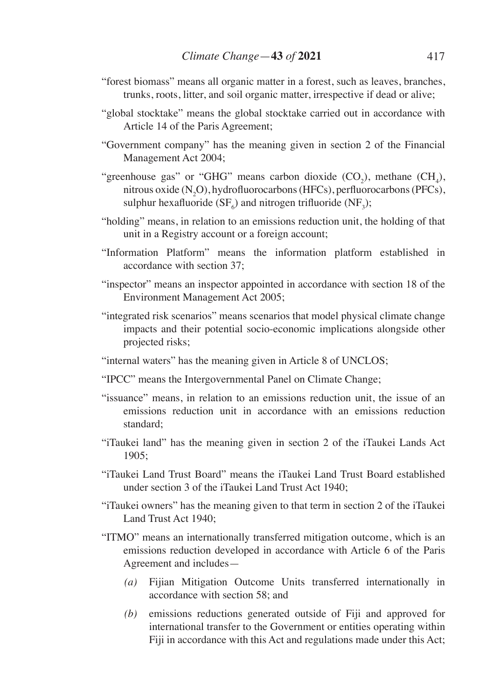- "forest biomass" means all organic matter in a forest, such as leaves, branches, trunks, roots, litter, and soil organic matter, irrespective if dead or alive;
- "global stocktake" means the global stocktake carried out in accordance with Article 14 of the Paris Agreement;
- "Government company" has the meaning given in section 2 of the Financial Management Act 2004;
- "greenhouse gas" or "GHG" means carbon dioxide  $(CO_2)$ , methane  $(CH_4)$ , nitrous oxide  $(N_2O)$ , hydrofluorocarbons (HFCs), perfluorocarbons (PFCs), sulphur hexafluoride (SF<sub>6</sub>) and nitrogen trifluoride (NF<sub>3</sub>);
- "holding" means, in relation to an emissions reduction unit, the holding of that unit in a Registry account or a foreign account;
- "Information Platform" means the information platform established in accordance with section 37;
- "inspector" means an inspector appointed in accordance with section 18 of the Environment Management Act 2005;
- "integrated risk scenarios" means scenarios that model physical climate change impacts and their potential socio-economic implications alongside other projected risks;
- "internal waters" has the meaning given in Article 8 of UNCLOS;
- "IPCC" means the Intergovernmental Panel on Climate Change;
- "issuance" means, in relation to an emissions reduction unit, the issue of an emissions reduction unit in accordance with an emissions reduction standard;
- "iTaukei land" has the meaning given in section 2 of the iTaukei Lands Act 1905;
- "iTaukei Land Trust Board" means the iTaukei Land Trust Board established under section 3 of the iTaukei Land Trust Act 1940;
- "iTaukei owners" has the meaning given to that term in section 2 of the iTaukei Land Trust Act 1940;
- "ITMO" means an internationally transferred mitigation outcome, which is an emissions reduction developed in accordance with Article 6 of the Paris Agreement and includes—
	- *(a)* Fijian Mitigation Outcome Units transferred internationally in accordance with section 58; and
	- *(b)* emissions reductions generated outside of Fiji and approved for international transfer to the Government or entities operating within Fiji in accordance with this Act and regulations made under this Act;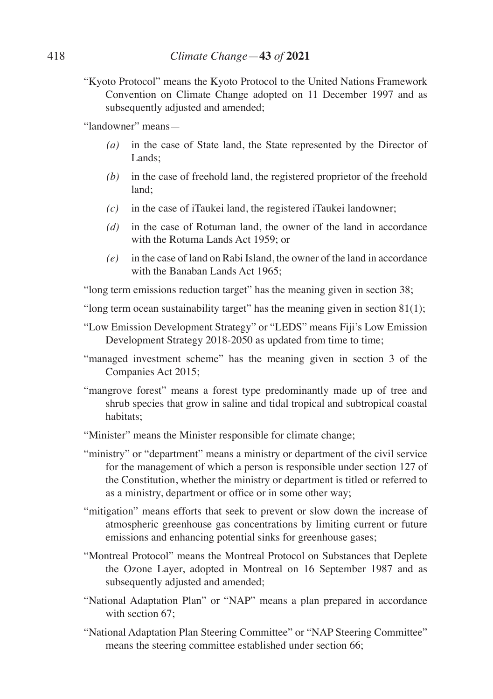"Kyoto Protocol" means the Kyoto Protocol to the United Nations Framework Convention on Climate Change adopted on 11 December 1997 and as subsequently adjusted and amended;

"landowner" means—

- *(a)* in the case of State land, the State represented by the Director of Lands;
- *(b)* in the case of freehold land, the registered proprietor of the freehold land;
- *(c)* in the case of iTaukei land, the registered iTaukei landowner;
- *(d)* in the case of Rotuman land, the owner of the land in accordance with the Rotuma Lands Act 1959; or
- *(e)* in the case of land on Rabi Island, the owner of the land in accordance with the Banaban Lands Act 1965;

"long term emissions reduction target" has the meaning given in section 38;

- "long term ocean sustainability target" has the meaning given in section  $81(1)$ ;
- "Low Emission Development Strategy" or "LEDS" means Fiji's Low Emission Development Strategy 2018-2050 as updated from time to time;
- "managed investment scheme" has the meaning given in section 3 of the Companies Act 2015;
- "mangrove forest" means a forest type predominantly made up of tree and shrub species that grow in saline and tidal tropical and subtropical coastal habitats;
- "Minister" means the Minister responsible for climate change;
- "ministry" or "department" means a ministry or department of the civil service for the management of which a person is responsible under section 127 of the Constitution, whether the ministry or department is titled or referred to as a ministry, department or office or in some other way;
- "mitigation" means efforts that seek to prevent or slow down the increase of atmospheric greenhouse gas concentrations by limiting current or future emissions and enhancing potential sinks for greenhouse gases;
- "Montreal Protocol" means the Montreal Protocol on Substances that Deplete the Ozone Layer, adopted in Montreal on 16 September 1987 and as subsequently adjusted and amended;
- "National Adaptation Plan" or "NAP" means a plan prepared in accordance with section 67.
- "National Adaptation Plan Steering Committee" or "NAP Steering Committee" means the steering committee established under section 66;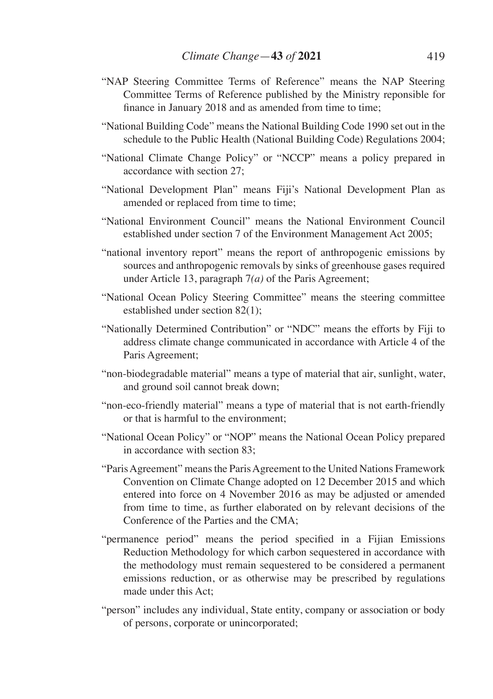- "NAP Steering Committee Terms of Reference" means the NAP Steering Committee Terms of Reference published by the Ministry reponsible for finance in January 2018 and as amended from time to time;
- "National Building Code" means the National Building Code 1990 set out in the schedule to the Public Health (National Building Code) Regulations 2004;
- "National Climate Change Policy" or "NCCP" means a policy prepared in accordance with section 27;
- "National Development Plan" means Fiji's National Development Plan as amended or replaced from time to time;
- "National Environment Council" means the National Environment Council established under section 7 of the Environment Management Act 2005;
- "national inventory report" means the report of anthropogenic emissions by sources and anthropogenic removals by sinks of greenhouse gases required under Article 13, paragraph 7*(a)* of the Paris Agreement;
- "National Ocean Policy Steering Committee" means the steering committee established under section 82(1);
- "Nationally Determined Contribution" or "NDC" means the efforts by Fiji to address climate change communicated in accordance with Article 4 of the Paris Agreement;
- "non-biodegradable material" means a type of material that air, sunlight, water, and ground soil cannot break down;
- "non-eco-friendly material" means a type of material that is not earth-friendly or that is harmful to the environment;
- "National Ocean Policy" or "NOP" means the National Ocean Policy prepared in accordance with section 83;
- "Paris Agreement" means the Paris Agreement to the United Nations Framework Convention on Climate Change adopted on 12 December 2015 and which entered into force on 4 November 2016 as may be adjusted or amended from time to time, as further elaborated on by relevant decisions of the Conference of the Parties and the CMA;
- "permanence period" means the period specified in a Fijian Emissions Reduction Methodology for which carbon sequestered in accordance with the methodology must remain sequestered to be considered a permanent emissions reduction, or as otherwise may be prescribed by regulations made under this Act;
- "person" includes any individual, State entity, company or association or body of persons, corporate or unincorporated;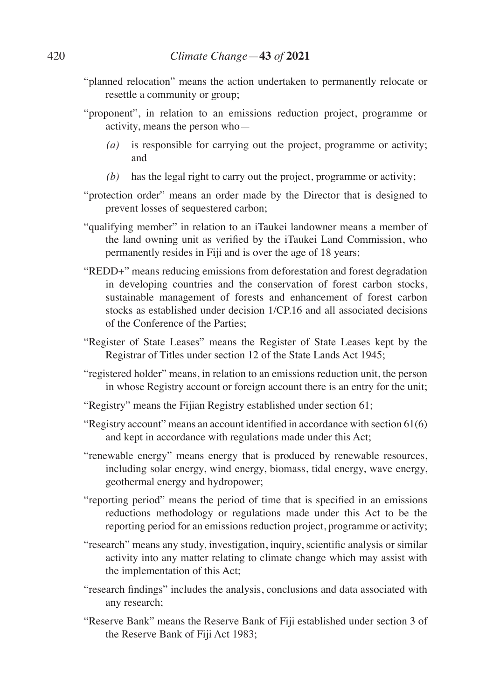- "planned relocation" means the action undertaken to permanently relocate or resettle a community or group;
- "proponent", in relation to an emissions reduction project, programme or activity, means the person who—
	- *(a)* is responsible for carrying out the project, programme or activity; and
	- *(b)* has the legal right to carry out the project, programme or activity;
- "protection order" means an order made by the Director that is designed to prevent losses of sequestered carbon;
- "qualifying member" in relation to an iTaukei landowner means a member of the land owning unit as verified by the iTaukei Land Commission, who permanently resides in Fiji and is over the age of 18 years;
- "REDD+" means reducing emissions from deforestation and forest degradation in developing countries and the conservation of forest carbon stocks, sustainable management of forests and enhancement of forest carbon stocks as established under decision 1/CP.16 and all associated decisions of the Conference of the Parties;
- "Register of State Leases" means the Register of State Leases kept by the Registrar of Titles under section 12 of the State Lands Act 1945;
- "registered holder" means, in relation to an emissions reduction unit, the person in whose Registry account or foreign account there is an entry for the unit;
- "Registry" means the Fijian Registry established under section 61;
- "Registry account" means an account identified in accordance with section 61(6) and kept in accordance with regulations made under this Act;
- "renewable energy" means energy that is produced by renewable resources, including solar energy, wind energy, biomass, tidal energy, wave energy, geothermal energy and hydropower;
- "reporting period" means the period of time that is specified in an emissions reductions methodology or regulations made under this Act to be the reporting period for an emissions reduction project, programme or activity;
- "research" means any study, investigation, inquiry, scientific analysis or similar activity into any matter relating to climate change which may assist with the implementation of this Act;
- "research findings" includes the analysis, conclusions and data associated with any research;
- "Reserve Bank" means the Reserve Bank of Fiji established under section 3 of the Reserve Bank of Fiji Act 1983;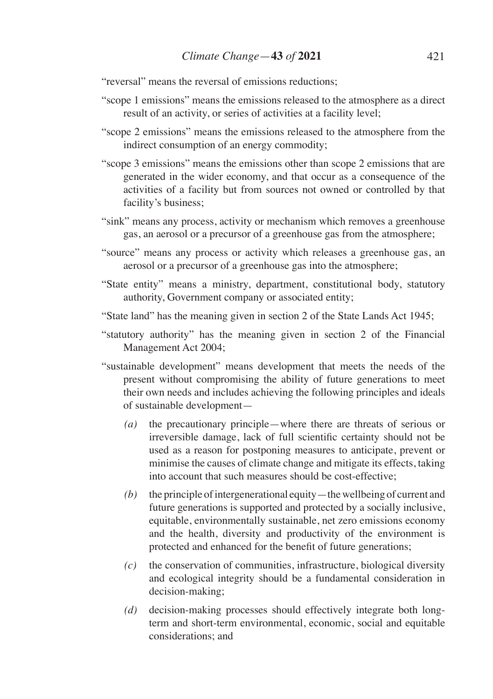"reversal" means the reversal of emissions reductions;

- "scope 1 emissions" means the emissions released to the atmosphere as a direct result of an activity, or series of activities at a facility level;
- "scope 2 emissions" means the emissions released to the atmosphere from the indirect consumption of an energy commodity;
- "scope 3 emissions" means the emissions other than scope 2 emissions that are generated in the wider economy, and that occur as a consequence of the activities of a facility but from sources not owned or controlled by that facility's business;
- "sink" means any process, activity or mechanism which removes a greenhouse gas, an aerosol or a precursor of a greenhouse gas from the atmosphere;
- "source" means any process or activity which releases a greenhouse gas, an aerosol or a precursor of a greenhouse gas into the atmosphere;
- "State entity" means a ministry, department, constitutional body, statutory authority, Government company or associated entity;
- "State land" has the meaning given in section 2 of the State Lands Act 1945;
- "statutory authority" has the meaning given in section 2 of the Financial Management Act 2004;
- "sustainable development" means development that meets the needs of the present without compromising the ability of future generations to meet their own needs and includes achieving the following principles and ideals of sustainable development—
	- *(a)* the precautionary principle—where there are threats of serious or irreversible damage, lack of full scientific certainty should not be used as a reason for postponing measures to anticipate, prevent or minimise the causes of climate change and mitigate its effects, taking into account that such measures should be cost-effective;
	- *(b)* the principle of intergenerational equity—the wellbeing of current and future generations is supported and protected by a socially inclusive, equitable, environmentally sustainable, net zero emissions economy and the health, diversity and productivity of the environment is protected and enhanced for the benefit of future generations;
	- *(c)* the conservation of communities, infrastructure, biological diversity and ecological integrity should be a fundamental consideration in decision-making;
	- *(d)* decision-making processes should effectively integrate both longterm and short-term environmental, economic, social and equitable considerations; and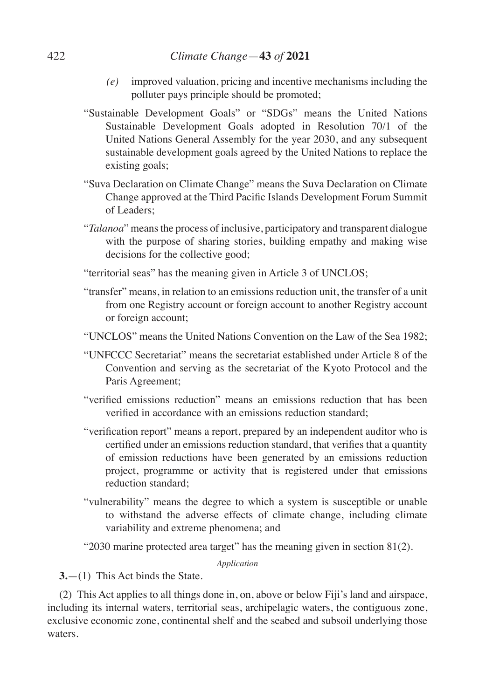## 422 *Climate Change*—**43** *of* **2021**

- *(e)* improved valuation, pricing and incentive mechanisms including the polluter pays principle should be promoted;
- "Sustainable Development Goals" or "SDGs" means the United Nations Sustainable Development Goals adopted in Resolution 70/1 of the United Nations General Assembly for the year 2030, and any subsequent sustainable development goals agreed by the United Nations to replace the existing goals;
- "Suva Declaration on Climate Change" means the Suva Declaration on Climate Change approved at the Third Pacific Islands Development Forum Summit of Leaders;
- "*Talanoa*" means the process of inclusive, participatory and transparent dialogue with the purpose of sharing stories, building empathy and making wise decisions for the collective good;
- "territorial seas" has the meaning given in Article 3 of UNCLOS;
- "transfer" means, in relation to an emissions reduction unit, the transfer of a unit from one Registry account or foreign account to another Registry account or foreign account;
- "UNCLOS" means the United Nations Convention on the Law of the Sea 1982;
- "UNFCCC Secretariat" means the secretariat established under Article 8 of the Convention and serving as the secretariat of the Kyoto Protocol and the Paris Agreement;
- "verified emissions reduction" means an emissions reduction that has been verified in accordance with an emissions reduction standard;
- "verification report" means a report, prepared by an independent auditor who is certified under an emissions reduction standard, that verifies that a quantity of emission reductions have been generated by an emissions reduction project, programme or activity that is registered under that emissions reduction standard;
- "vulnerability" means the degree to which a system is susceptible or unable to withstand the adverse effects of climate change, including climate variability and extreme phenomena; and
- "2030 marine protected area target" has the meaning given in section 81(2).

*Application*

**3.**—(1) This Act binds the State.

(2) This Act applies to all things done in, on, above or below Fiji's land and airspace, including its internal waters, territorial seas, archipelagic waters, the contiguous zone, exclusive economic zone, continental shelf and the seabed and subsoil underlying those waters.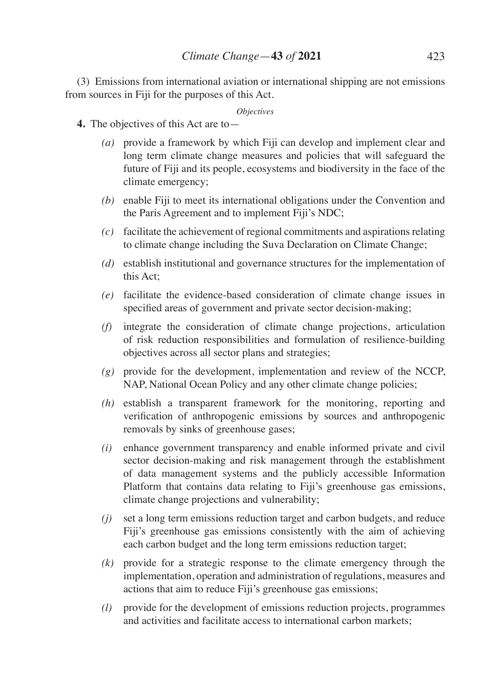(3) Emissions from international aviation or international shipping are not emissions from sources in Fiji for the purposes of this Act.

#### *Objectives*

- **4.** The objectives of this Act are to—
	- *(a)* provide a framework by which Fiji can develop and implement clear and long term climate change measures and policies that will safeguard the future of Fiji and its people, ecosystems and biodiversity in the face of the climate emergency;
	- *(b)* enable Fiji to meet its international obligations under the Convention and the Paris Agreement and to implement Fiji's NDC;
	- *(c)* facilitate the achievement of regional commitments and aspirations relating to climate change including the Suva Declaration on Climate Change;
	- *(d)* establish institutional and governance structures for the implementation of this Act;
	- *(e)* facilitate the evidence-based consideration of climate change issues in specified areas of government and private sector decision-making;
	- *(f)* integrate the consideration of climate change projections, articulation of risk reduction responsibilities and formulation of resilience-building objectives across all sector plans and strategies;
	- *(g)* provide for the development, implementation and review of the NCCP, NAP, National Ocean Policy and any other climate change policies;
	- *(h)* establish a transparent framework for the monitoring, reporting and verification of anthropogenic emissions by sources and anthropogenic removals by sinks of greenhouse gases;
	- *(i)* enhance government transparency and enable informed private and civil sector decision-making and risk management through the establishment of data management systems and the publicly accessible Information Platform that contains data relating to Fiji's greenhouse gas emissions, climate change projections and vulnerability;
	- *(j)* set a long term emissions reduction target and carbon budgets, and reduce Fiji's greenhouse gas emissions consistently with the aim of achieving each carbon budget and the long term emissions reduction target;
	- *(k)* provide for a strategic response to the climate emergency through the implementation, operation and administration of regulations, measures and actions that aim to reduce Fiji's greenhouse gas emissions;
	- *(l)* provide for the development of emissions reduction projects, programmes and activities and facilitate access to international carbon markets;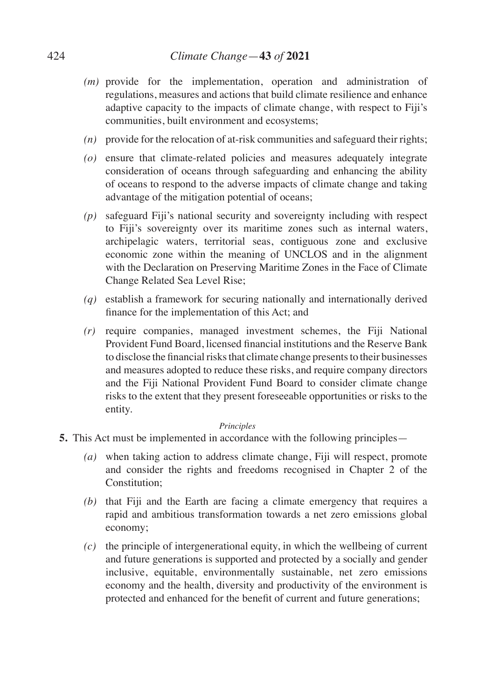- *(m)* provide for the implementation, operation and administration of regulations, measures and actions that build climate resilience and enhance adaptive capacity to the impacts of climate change, with respect to Fiji's communities, built environment and ecosystems;
- *(n)* provide for the relocation of at-risk communities and safeguard their rights;
- *(o)* ensure that climate-related policies and measures adequately integrate consideration of oceans through safeguarding and enhancing the ability of oceans to respond to the adverse impacts of climate change and taking advantage of the mitigation potential of oceans;
- *(p)* safeguard Fiji's national security and sovereignty including with respect to Fiji's sovereignty over its maritime zones such as internal waters, archipelagic waters, territorial seas, contiguous zone and exclusive economic zone within the meaning of UNCLOS and in the alignment with the Declaration on Preserving Maritime Zones in the Face of Climate Change Related Sea Level Rise;
- *(q)* establish a framework for securing nationally and internationally derived finance for the implementation of this Act; and
- *(r)* require companies, managed investment schemes, the Fiji National Provident Fund Board, licensed financial institutions and the Reserve Bank to disclose the financial risks that climate change presents to their businesses and measures adopted to reduce these risks, and require company directors and the Fiji National Provident Fund Board to consider climate change risks to the extent that they present foreseeable opportunities or risks to the entity.

#### *Principles*

- **5.** This Act must be implemented in accordance with the following principles—
	- *(a)* when taking action to address climate change, Fiji will respect, promote and consider the rights and freedoms recognised in Chapter 2 of the Constitution;
	- *(b)* that Fiji and the Earth are facing a climate emergency that requires a rapid and ambitious transformation towards a net zero emissions global economy;
	- *(c)* the principle of intergenerational equity, in which the wellbeing of current and future generations is supported and protected by a socially and gender inclusive, equitable, environmentally sustainable, net zero emissions economy and the health, diversity and productivity of the environment is protected and enhanced for the benefit of current and future generations;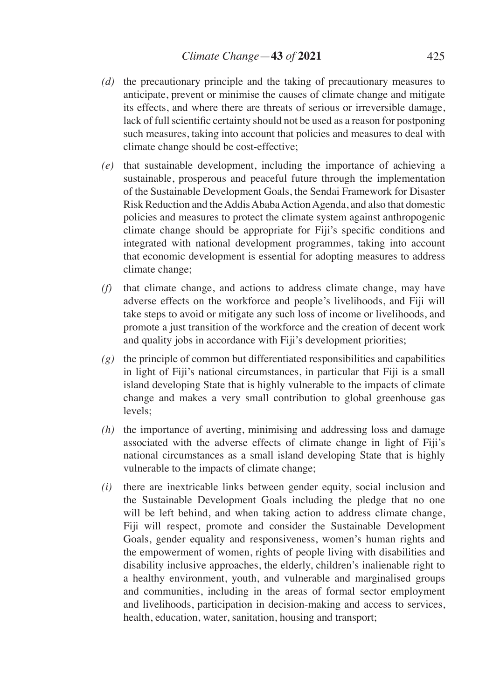- *(d)* the precautionary principle and the taking of precautionary measures to anticipate, prevent or minimise the causes of climate change and mitigate its effects, and where there are threats of serious or irreversible damage, lack of full scientific certainty should not be used as a reason for postponing such measures, taking into account that policies and measures to deal with climate change should be cost-effective;
- *(e)* that sustainable development, including the importance of achieving a sustainable, prosperous and peaceful future through the implementation of the Sustainable Development Goals, the Sendai Framework for Disaster Risk Reduction and the Addis Ababa Action Agenda, and also that domestic policies and measures to protect the climate system against anthropogenic climate change should be appropriate for Fiji's specific conditions and integrated with national development programmes, taking into account that economic development is essential for adopting measures to address climate change;
- *(f)* that climate change, and actions to address climate change, may have adverse effects on the workforce and people's livelihoods, and Fiji will take steps to avoid or mitigate any such loss of income or livelihoods, and promote a just transition of the workforce and the creation of decent work and quality jobs in accordance with Fiji's development priorities;
- *(g)* the principle of common but differentiated responsibilities and capabilities in light of Fiji's national circumstances, in particular that Fiji is a small island developing State that is highly vulnerable to the impacts of climate change and makes a very small contribution to global greenhouse gas levels;
- *(h)* the importance of averting, minimising and addressing loss and damage associated with the adverse effects of climate change in light of Fiji's national circumstances as a small island developing State that is highly vulnerable to the impacts of climate change;
- *(i)* there are inextricable links between gender equity, social inclusion and the Sustainable Development Goals including the pledge that no one will be left behind, and when taking action to address climate change, Fiji will respect, promote and consider the Sustainable Development Goals, gender equality and responsiveness, women's human rights and the empowerment of women, rights of people living with disabilities and disability inclusive approaches, the elderly, children's inalienable right to a healthy environment, youth, and vulnerable and marginalised groups and communities, including in the areas of formal sector employment and livelihoods, participation in decision-making and access to services, health, education, water, sanitation, housing and transport;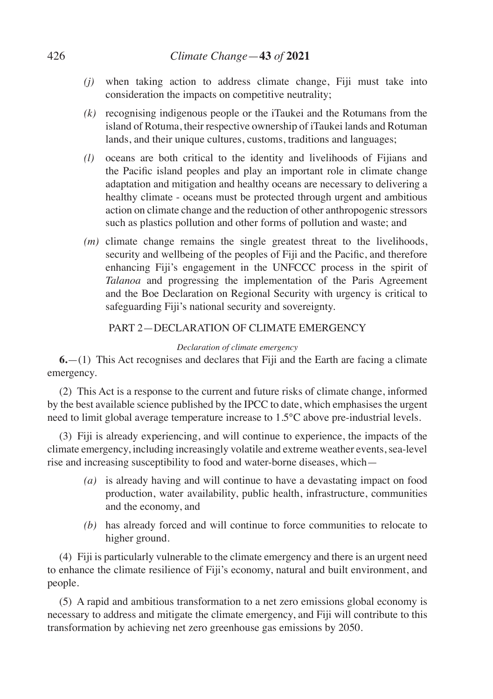- *(j)* when taking action to address climate change, Fiji must take into consideration the impacts on competitive neutrality;
- *(k)* recognising indigenous people or the iTaukei and the Rotumans from the island of Rotuma, their respective ownership of iTaukei lands and Rotuman lands, and their unique cultures, customs, traditions and languages;
- *(l)* oceans are both critical to the identity and livelihoods of Fijians and the Pacific island peoples and play an important role in climate change adaptation and mitigation and healthy oceans are necessary to delivering a healthy climate - oceans must be protected through urgent and ambitious action on climate change and the reduction of other anthropogenic stressors such as plastics pollution and other forms of pollution and waste; and
- *(m)* climate change remains the single greatest threat to the livelihoods, security and wellbeing of the peoples of Fiji and the Pacific, and therefore enhancing Fiji's engagement in the UNFCCC process in the spirit of *Talanoa* and progressing the implementation of the Paris Agreement and the Boe Declaration on Regional Security with urgency is critical to safeguarding Fiji's national security and sovereignty.

## PART 2—DECLARATION OF CLIMATE EMERGENCY

## *Declaration of climate emergency*

**6.**—(1) This Act recognises and declares that Fiji and the Earth are facing a climate emergency.

(2) This Act is a response to the current and future risks of climate change, informed by the best available science published by the IPCC to date, which emphasises the urgent need to limit global average temperature increase to 1.5°C above pre-industrial levels.

(3) Fiji is already experiencing, and will continue to experience, the impacts of the climate emergency, including increasingly volatile and extreme weather events, sea-level rise and increasing susceptibility to food and water-borne diseases, which—

- *(a)* is already having and will continue to have a devastating impact on food production, water availability, public health, infrastructure, communities and the economy, and
- *(b)* has already forced and will continue to force communities to relocate to higher ground.

(4) Fiji is particularly vulnerable to the climate emergency and there is an urgent need to enhance the climate resilience of Fiji's economy, natural and built environment, and people.

(5) A rapid and ambitious transformation to a net zero emissions global economy is necessary to address and mitigate the climate emergency, and Fiji will contribute to this transformation by achieving net zero greenhouse gas emissions by 2050.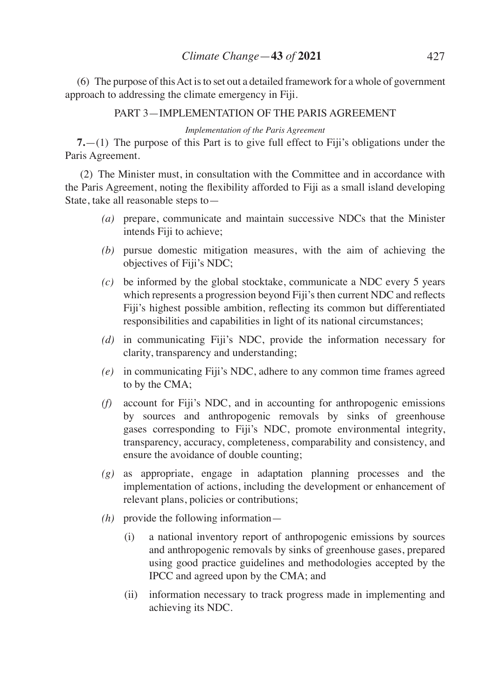(6) The purpose of this Act is to set out a detailed framework for a whole of government approach to addressing the climate emergency in Fiji.

PART 3—IMPLEMENTATION OF THE PARIS AGREEMENT

*Implementation of the Paris Agreement*

**7.**—(1) The purpose of this Part is to give full effect to Fiji's obligations under the Paris Agreement.

 (2) The Minister must, in consultation with the Committee and in accordance with the Paris Agreement, noting the flexibility afforded to Fiji as a small island developing State, take all reasonable steps to—

- *(a)* prepare, communicate and maintain successive NDCs that the Minister intends Fiji to achieve;
- *(b)* pursue domestic mitigation measures, with the aim of achieving the objectives of Fiji's NDC;
- *(c)* be informed by the global stocktake, communicate a NDC every 5 years which represents a progression beyond Fiji's then current NDC and reflects Fiji's highest possible ambition, reflecting its common but differentiated responsibilities and capabilities in light of its national circumstances;
- *(d)* in communicating Fiji's NDC, provide the information necessary for clarity, transparency and understanding;
- *(e)* in communicating Fiji's NDC, adhere to any common time frames agreed to by the CMA;
- *(f)* account for Fiji's NDC, and in accounting for anthropogenic emissions by sources and anthropogenic removals by sinks of greenhouse gases corresponding to Fiji's NDC, promote environmental integrity, transparency, accuracy, completeness, comparability and consistency, and ensure the avoidance of double counting;
- *(g)* as appropriate, engage in adaptation planning processes and the implementation of actions, including the development or enhancement of relevant plans, policies or contributions;
- *(h)* provide the following information—
	- (i) a national inventory report of anthropogenic emissions by sources and anthropogenic removals by sinks of greenhouse gases, prepared using good practice guidelines and methodologies accepted by the IPCC and agreed upon by the CMA; and
	- (ii) information necessary to track progress made in implementing and achieving its NDC.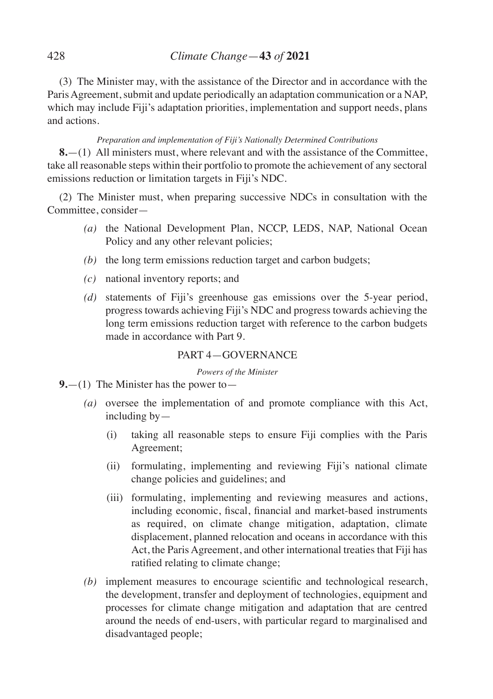(3) The Minister may, with the assistance of the Director and in accordance with the Paris Agreement, submit and update periodically an adaptation communication or a NAP, which may include Fiji's adaptation priorities, implementation and support needs, plans and actions.

## *Preparation and implementation of Fiji's Nationally Determined Contributions*

**8.**—(1) All ministers must, where relevant and with the assistance of the Committee, take all reasonable steps within their portfolio to promote the achievement of any sectoral emissions reduction or limitation targets in Fiji's NDC.

(2) The Minister must, when preparing successive NDCs in consultation with the Committee, consider—

- *(a)* the National Development Plan, NCCP, LEDS, NAP, National Ocean Policy and any other relevant policies;
- *(b)* the long term emissions reduction target and carbon budgets;
- *(c)* national inventory reports; and
- *(d)* statements of Fiji's greenhouse gas emissions over the 5-year period, progress towards achieving Fiji's NDC and progress towards achieving the long term emissions reduction target with reference to the carbon budgets made in accordance with Part 9.

### PART 4—GOVERNANCE

*Powers of the Minister*

- **9.**—(1) The Minister has the power to—
	- *(a)* oversee the implementation of and promote compliance with this Act, including by—
		- (i) taking all reasonable steps to ensure Fiji complies with the Paris Agreement;
		- (ii) formulating, implementing and reviewing Fiji's national climate change policies and guidelines; and
		- (iii) formulating, implementing and reviewing measures and actions, including economic, fiscal, financial and market-based instruments as required, on climate change mitigation, adaptation, climate displacement, planned relocation and oceans in accordance with this Act, the Paris Agreement, and other international treaties that Fiji has ratified relating to climate change;
	- *(b)* implement measures to encourage scientific and technological research, the development, transfer and deployment of technologies, equipment and processes for climate change mitigation and adaptation that are centred around the needs of end-users, with particular regard to marginalised and disadvantaged people;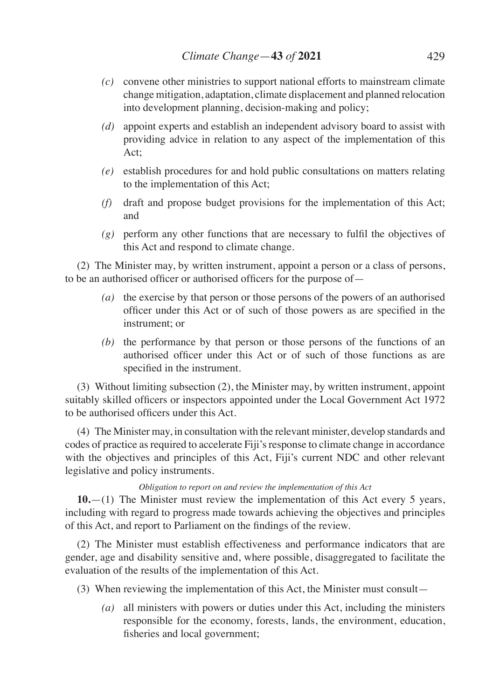- *(c)* convene other ministries to support national efforts to mainstream climate change mitigation, adaptation, climate displacement and planned relocation into development planning, decision-making and policy;
- *(d)* appoint experts and establish an independent advisory board to assist with providing advice in relation to any aspect of the implementation of this Act;
- *(e)* establish procedures for and hold public consultations on matters relating to the implementation of this Act;
- *(f)* draft and propose budget provisions for the implementation of this Act; and
- *(g)* perform any other functions that are necessary to fulfil the objectives of this Act and respond to climate change.

(2) The Minister may, by written instrument, appoint a person or a class of persons, to be an authorised officer or authorised officers for the purpose of—

- *(a)* the exercise by that person or those persons of the powers of an authorised officer under this Act or of such of those powers as are specified in the instrument; or
- *(b)* the performance by that person or those persons of the functions of an authorised officer under this Act or of such of those functions as are specified in the instrument.

(3) Without limiting subsection (2), the Minister may, by written instrument, appoint suitably skilled officers or inspectors appointed under the Local Government Act 1972 to be authorised officers under this Act.

(4) The Minister may, in consultation with the relevant minister, develop standards and codes of practice as required to accelerate Fiji's response to climate change in accordance with the objectives and principles of this Act, Fiji's current NDC and other relevant legislative and policy instruments.

#### *Obligation to report on and review the implementation of this Act*

**10.**—(1) The Minister must review the implementation of this Act every 5 years, including with regard to progress made towards achieving the objectives and principles of this Act, and report to Parliament on the findings of the review.

(2) The Minister must establish effectiveness and performance indicators that are gender, age and disability sensitive and, where possible, disaggregated to facilitate the evaluation of the results of the implementation of this Act.

- (3) When reviewing the implementation of this Act, the Minister must consult—
	- *(a)* all ministers with powers or duties under this Act, including the ministers responsible for the economy, forests, lands, the environment, education, fisheries and local government;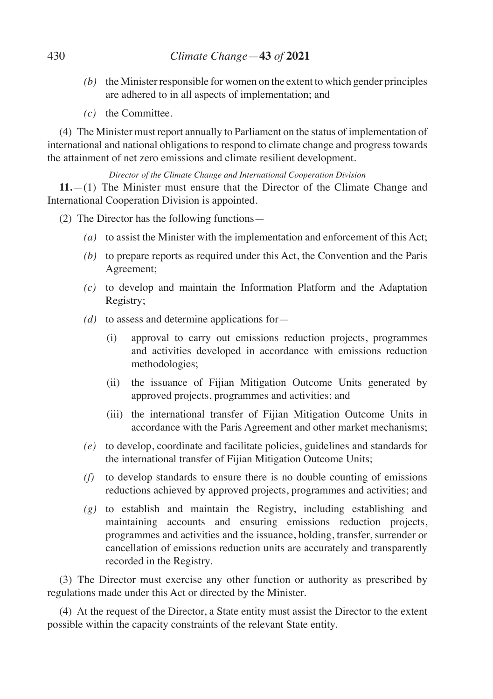- *(b)* the Minister responsible for women on the extent to which gender principles are adhered to in all aspects of implementation; and
- *(c)* the Committee.

(4) The Minister must report annually to Parliament on the status of implementation of international and national obligations to respond to climate change and progress towards the attainment of net zero emissions and climate resilient development.

*Director of the Climate Change and International Cooperation Division* 

**11.**—(1) The Minister must ensure that the Director of the Climate Change and International Cooperation Division is appointed.

- (2) The Director has the following functions—
	- *(a)* to assist the Minister with the implementation and enforcement of this Act;
	- *(b)* to prepare reports as required under this Act, the Convention and the Paris Agreement;
	- *(c)* to develop and maintain the Information Platform and the Adaptation Registry;
	- *(d)* to assess and determine applications for—
		- (i) approval to carry out emissions reduction projects, programmes and activities developed in accordance with emissions reduction methodologies;
		- (ii) the issuance of Fijian Mitigation Outcome Units generated by approved projects, programmes and activities; and
		- (iii) the international transfer of Fijian Mitigation Outcome Units in accordance with the Paris Agreement and other market mechanisms;
	- *(e)* to develop, coordinate and facilitate policies, guidelines and standards for the international transfer of Fijian Mitigation Outcome Units;
	- *(f)* to develop standards to ensure there is no double counting of emissions reductions achieved by approved projects, programmes and activities; and
	- *(g)* to establish and maintain the Registry, including establishing and maintaining accounts and ensuring emissions reduction projects, programmes and activities and the issuance, holding, transfer, surrender or cancellation of emissions reduction units are accurately and transparently recorded in the Registry.

(3) The Director must exercise any other function or authority as prescribed by regulations made under this Act or directed by the Minister.

(4) At the request of the Director, a State entity must assist the Director to the extent possible within the capacity constraints of the relevant State entity.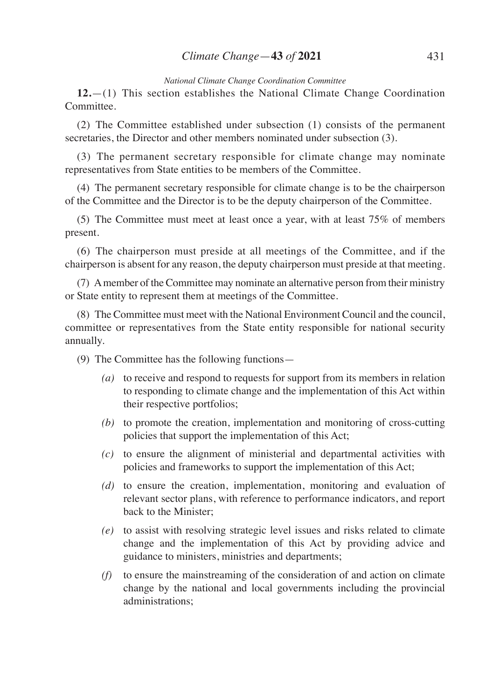#### *National Climate Change Coordination Committee*

**12.**—(1) This section establishes the National Climate Change Coordination Committee.

(2) The Committee established under subsection (1) consists of the permanent secretaries, the Director and other members nominated under subsection (3).

(3) The permanent secretary responsible for climate change may nominate representatives from State entities to be members of the Committee.

(4) The permanent secretary responsible for climate change is to be the chairperson of the Committee and the Director is to be the deputy chairperson of the Committee.

(5) The Committee must meet at least once a year, with at least 75% of members present.

(6) The chairperson must preside at all meetings of the Committee, and if the chairperson is absent for any reason, the deputy chairperson must preside at that meeting.

(7) A member of the Committee may nominate an alternative person from their ministry or State entity to represent them at meetings of the Committee.

(8) The Committee must meet with the National Environment Council and the council, committee or representatives from the State entity responsible for national security annually.

(9) The Committee has the following functions—

- *(a)* to receive and respond to requests for support from its members in relation to responding to climate change and the implementation of this Act within their respective portfolios;
- *(b)* to promote the creation, implementation and monitoring of cross-cutting policies that support the implementation of this Act;
- *(c)* to ensure the alignment of ministerial and departmental activities with policies and frameworks to support the implementation of this Act;
- *(d)* to ensure the creation, implementation, monitoring and evaluation of relevant sector plans, with reference to performance indicators, and report back to the Minister;
- *(e)* to assist with resolving strategic level issues and risks related to climate change and the implementation of this Act by providing advice and guidance to ministers, ministries and departments;
- *(f)* to ensure the mainstreaming of the consideration of and action on climate change by the national and local governments including the provincial administrations;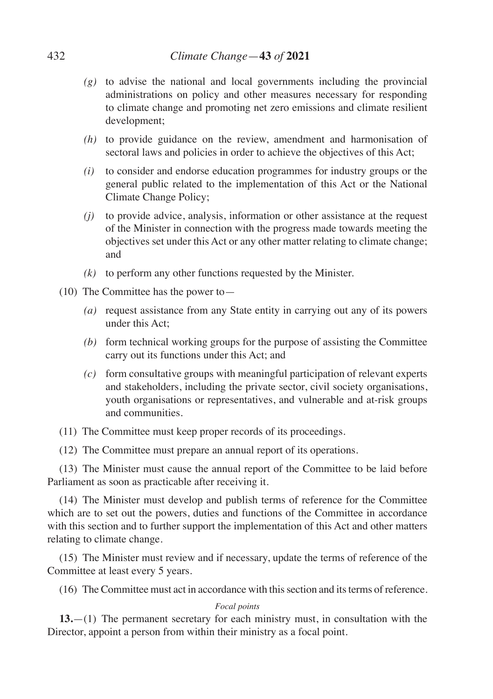- *(g)* to advise the national and local governments including the provincial administrations on policy and other measures necessary for responding to climate change and promoting net zero emissions and climate resilient development;
- *(h)* to provide guidance on the review, amendment and harmonisation of sectoral laws and policies in order to achieve the objectives of this Act;
- *(i)* to consider and endorse education programmes for industry groups or the general public related to the implementation of this Act or the National Climate Change Policy;
- *(j)* to provide advice, analysis, information or other assistance at the request of the Minister in connection with the progress made towards meeting the objectives set under this Act or any other matter relating to climate change; and
- *(k)* to perform any other functions requested by the Minister.
- (10) The Committee has the power to—
	- *(a)* request assistance from any State entity in carrying out any of its powers under this Act;
	- *(b)* form technical working groups for the purpose of assisting the Committee carry out its functions under this Act; and
	- *(c)* form consultative groups with meaningful participation of relevant experts and stakeholders, including the private sector, civil society organisations, youth organisations or representatives, and vulnerable and at-risk groups and communities.

(11) The Committee must keep proper records of its proceedings.

(12) The Committee must prepare an annual report of its operations.

(13) The Minister must cause the annual report of the Committee to be laid before Parliament as soon as practicable after receiving it.

(14) The Minister must develop and publish terms of reference for the Committee which are to set out the powers, duties and functions of the Committee in accordance with this section and to further support the implementation of this Act and other matters relating to climate change.

(15) The Minister must review and if necessary, update the terms of reference of the Committee at least every 5 years.

(16) The Committee must act in accordance with this section and its terms of reference.

### *Focal points*

**13.**—(1) The permanent secretary for each ministry must, in consultation with the Director, appoint a person from within their ministry as a focal point.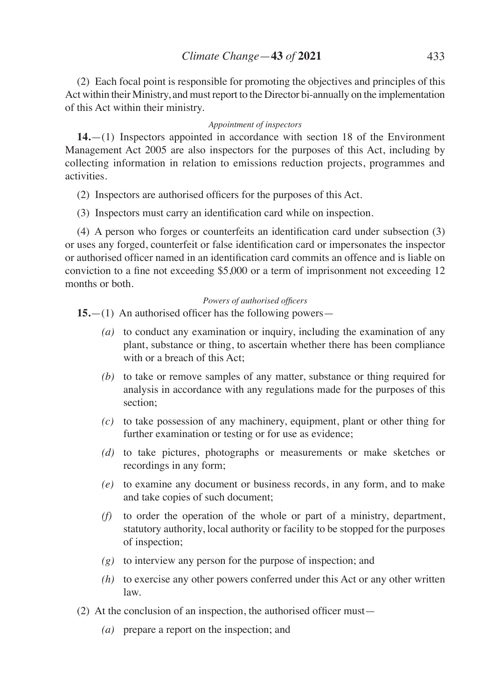(2) Each focal point is responsible for promoting the objectives and principles of this Act within their Ministry, and must report to the Director bi-annually on the implementation of this Act within their ministry.

#### *Appointment of inspectors*

**14.**—(1) Inspectors appointed in accordance with section 18 of the Environment Management Act 2005 are also inspectors for the purposes of this Act, including by collecting information in relation to emissions reduction projects, programmes and activities.

- (2) Inspectors are authorised officers for the purposes of this Act.
- (3) Inspectors must carry an identification card while on inspection.

(4) A person who forges or counterfeits an identification card under subsection (3) or uses any forged, counterfeit or false identification card or impersonates the inspector or authorised officer named in an identification card commits an offence and is liable on conviction to a fine not exceeding \$5,000 or a term of imprisonment not exceeding 12 months or both.

#### *Powers of authorised officers*

**15.**—(1) An authorised officer has the following powers—

- *(a)* to conduct any examination or inquiry, including the examination of any plant, substance or thing, to ascertain whether there has been compliance with or a breach of this Act<sup>-</sup>
- *(b)* to take or remove samples of any matter, substance or thing required for analysis in accordance with any regulations made for the purposes of this section;
- *(c)* to take possession of any machinery, equipment, plant or other thing for further examination or testing or for use as evidence;
- *(d)* to take pictures, photographs or measurements or make sketches or recordings in any form;
- *(e)* to examine any document or business records, in any form, and to make and take copies of such document;
- *(f)* to order the operation of the whole or part of a ministry, department, statutory authority, local authority or facility to be stopped for the purposes of inspection;
- *(g)* to interview any person for the purpose of inspection; and
- *(h)* to exercise any other powers conferred under this Act or any other written law.
- (2) At the conclusion of an inspection, the authorised officer must—
	- *(a)* prepare a report on the inspection; and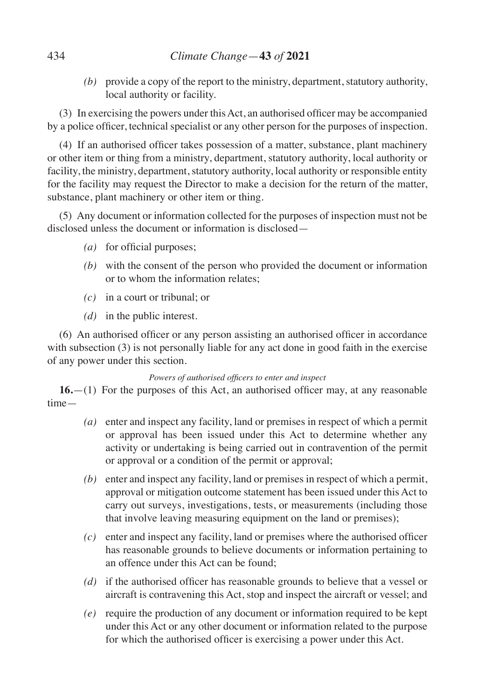*(b)* provide a copy of the report to the ministry, department, statutory authority, local authority or facility.

(3) In exercising the powers under thisAct, an authorised officer may be accompanied by a police officer, technical specialist or any other person for the purposes of inspection.

(4) If an authorised officer takes possession of a matter, substance, plant machinery or other item or thing from a ministry, department, statutory authority, local authority or facility, the ministry, department, statutory authority, local authority or responsible entity for the facility may request the Director to make a decision for the return of the matter, substance, plant machinery or other item or thing.

(5) Any document or information collected for the purposes of inspection must not be disclosed unless the document or information is disclosed—

- *(a)* for official purposes;
- *(b)* with the consent of the person who provided the document or information or to whom the information relates;
- *(c)* in a court or tribunal; or
- *(d)* in the public interest.

(6) An authorised officer or any person assisting an authorised officer in accordance with subsection (3) is not personally liable for any act done in good faith in the exercise of any power under this section.

### *Powers of authorised officers to enter and inspect*

**16.**—(1) For the purposes of this Act, an authorised officer may, at any reasonable time—

- *(a)* enter and inspect any facility, land or premises in respect of which a permit or approval has been issued under this Act to determine whether any activity or undertaking is being carried out in contravention of the permit or approval or a condition of the permit or approval;
- *(b)* enter and inspect any facility, land or premises in respect of which a permit, approval or mitigation outcome statement has been issued under this Act to carry out surveys, investigations, tests, or measurements (including those that involve leaving measuring equipment on the land or premises);
- *(c)* enter and inspect any facility, land or premises where the authorised officer has reasonable grounds to believe documents or information pertaining to an offence under this Act can be found;
- *(d)* if the authorised officer has reasonable grounds to believe that a vessel or aircraft is contravening this Act, stop and inspect the aircraft or vessel; and
- *(e)* require the production of any document or information required to be kept under this Act or any other document or information related to the purpose for which the authorised officer is exercising a power under this Act.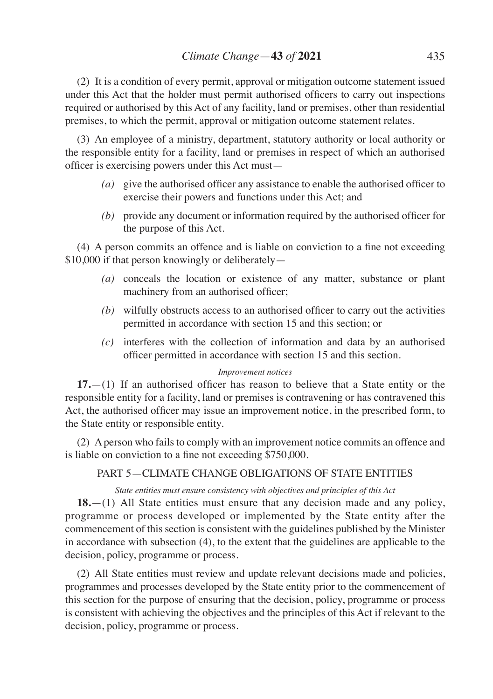(2) It is a condition of every permit, approval or mitigation outcome statement issued under this Act that the holder must permit authorised officers to carry out inspections required or authorised by this Act of any facility, land or premises, other than residential premises, to which the permit, approval or mitigation outcome statement relates.

(3) An employee of a ministry, department, statutory authority or local authority or the responsible entity for a facility, land or premises in respect of which an authorised officer is exercising powers under this Act must—

- *(a)* give the authorised officer any assistance to enable the authorised officer to exercise their powers and functions under this Act; and
- *(b)* provide any document or information required by the authorised officer for the purpose of this Act.

(4) A person commits an offence and is liable on conviction to a fine not exceeding \$10,000 if that person knowingly or deliberately—

- *(a)* conceals the location or existence of any matter, substance or plant machinery from an authorised officer;
- *(b)* wilfully obstructs access to an authorised officer to carry out the activities permitted in accordance with section 15 and this section; or
- *(c)* interferes with the collection of information and data by an authorised officer permitted in accordance with section 15 and this section.

### *Improvement notices*

**17.**—(1) If an authorised officer has reason to believe that a State entity or the responsible entity for a facility, land or premises is contravening or has contravened this Act, the authorised officer may issue an improvement notice, in the prescribed form, to the State entity or responsible entity.

(2) A person who fails to comply with an improvement notice commits an offence and is liable on conviction to a fine not exceeding \$750,000.

## PART 5—CLIMATE CHANGE OBLIGATIONS OF STATE ENTITIES

### *State entities must ensure consistency with objectives and principles of this Act*

**18.**—(1) All State entities must ensure that any decision made and any policy, programme or process developed or implemented by the State entity after the commencement of this section is consistent with the guidelines published by the Minister in accordance with subsection (4), to the extent that the guidelines are applicable to the decision, policy, programme or process.

(2) All State entities must review and update relevant decisions made and policies, programmes and processes developed by the State entity prior to the commencement of this section for the purpose of ensuring that the decision, policy, programme or process is consistent with achieving the objectives and the principles of this Act if relevant to the decision, policy, programme or process.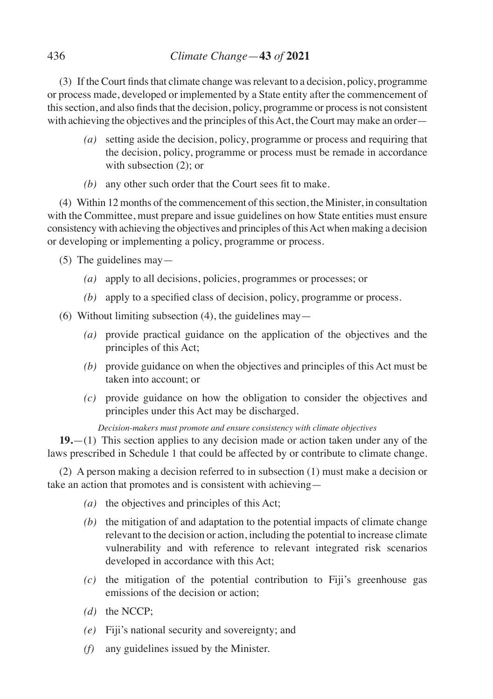(3) If the Court finds that climate change was relevant to a decision, policy, programme or process made, developed or implemented by a State entity after the commencement of this section, and also finds that the decision, policy, programme or process is not consistent with achieving the objectives and the principles of this Act, the Court may make an order—

- *(a)* setting aside the decision, policy, programme or process and requiring that the decision, policy, programme or process must be remade in accordance with subsection  $(2)$ ; or
- *(b)* any other such order that the Court sees fit to make.

(4) Within 12 months of the commencement of this section, the Minister, in consultation with the Committee, must prepare and issue guidelines on how State entities must ensure consistency with achieving the objectives and principles of this Act when making a decision or developing or implementing a policy, programme or process.

- (5) The guidelines may—
	- *(a)* apply to all decisions, policies, programmes or processes; or
	- *(b)* apply to a specified class of decision, policy, programme or process.
- (6) Without limiting subsection  $(4)$ , the guidelines may—
	- *(a)* provide practical guidance on the application of the objectives and the principles of this Act;
	- *(b)* provide guidance on when the objectives and principles of this Act must be taken into account; or
	- *(c)* provide guidance on how the obligation to consider the objectives and principles under this Act may be discharged.

*Decision-makers must promote and ensure consistency with climate objectives*

**19.**—(1) This section applies to any decision made or action taken under any of the laws prescribed in Schedule 1 that could be affected by or contribute to climate change.

(2) A person making a decision referred to in subsection (1) must make a decision or take an action that promotes and is consistent with achieving—

- *(a)* the objectives and principles of this Act;
- *(b)* the mitigation of and adaptation to the potential impacts of climate change relevant to the decision or action, including the potential to increase climate vulnerability and with reference to relevant integrated risk scenarios developed in accordance with this Act;
- *(c)* the mitigation of the potential contribution to Fiji's greenhouse gas emissions of the decision or action;
- *(d)* the NCCP;
- *(e)* Fiji's national security and sovereignty; and
- *(f)* any guidelines issued by the Minister.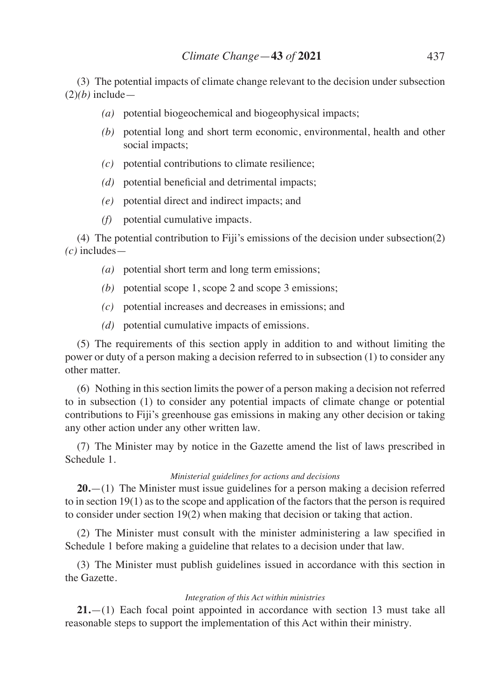(3) The potential impacts of climate change relevant to the decision under subsection  $(2)(b)$  include—

- *(a)* potential biogeochemical and biogeophysical impacts;
- *(b)* potential long and short term economic, environmental, health and other social impacts;
- *(c)* potential contributions to climate resilience;
- *(d)* potential beneficial and detrimental impacts;
- *(e)* potential direct and indirect impacts; and
- *(f)* potential cumulative impacts.

(4) The potential contribution to Fiji's emissions of the decision under subsection(2) *(c)* includes—

- *(a)* potential short term and long term emissions;
- *(b)* potential scope 1, scope 2 and scope 3 emissions;
- *(c)* potential increases and decreases in emissions; and
- *(d)* potential cumulative impacts of emissions.

(5) The requirements of this section apply in addition to and without limiting the power or duty of a person making a decision referred to in subsection (1) to consider any other matter.

(6) Nothing in this section limits the power of a person making a decision not referred to in subsection (1) to consider any potential impacts of climate change or potential contributions to Fiji's greenhouse gas emissions in making any other decision or taking any other action under any other written law.

(7) The Minister may by notice in the Gazette amend the list of laws prescribed in Schedule 1.

#### *Ministerial guidelines for actions and decisions*

**20.**—(1) The Minister must issue guidelines for a person making a decision referred to in section 19(1) as to the scope and application of the factors that the person is required to consider under section 19(2) when making that decision or taking that action.

(2) The Minister must consult with the minister administering a law specified in Schedule 1 before making a guideline that relates to a decision under that law.

(3) The Minister must publish guidelines issued in accordance with this section in the Gazette.

#### *Integration of this Act within ministries*

**21.**—(1) Each focal point appointed in accordance with section 13 must take all reasonable steps to support the implementation of this Act within their ministry.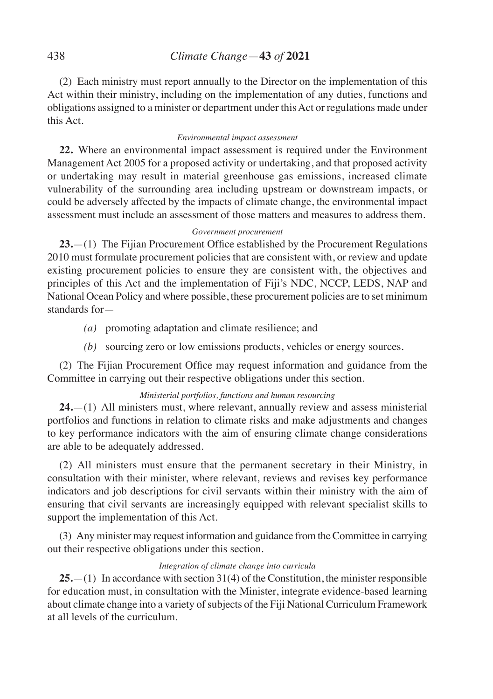(2) Each ministry must report annually to the Director on the implementation of this Act within their ministry, including on the implementation of any duties, functions and obligations assigned to a minister or department under this Act or regulations made under this Act.

#### *Environmental impact assessment*

**22.** Where an environmental impact assessment is required under the Environment Management Act 2005 for a proposed activity or undertaking, and that proposed activity or undertaking may result in material greenhouse gas emissions, increased climate vulnerability of the surrounding area including upstream or downstream impacts, or could be adversely affected by the impacts of climate change, the environmental impact assessment must include an assessment of those matters and measures to address them.

#### *Government procurement*

**23.**—(1) The Fijian Procurement Office established by the Procurement Regulations 2010 must formulate procurement policies that are consistent with, or review and update existing procurement policies to ensure they are consistent with, the objectives and principles of this Act and the implementation of Fiji's NDC, NCCP, LEDS, NAP and National Ocean Policy and where possible, these procurement policies are to set minimum standards for—

- *(a)* promoting adaptation and climate resilience; and
- *(b)* sourcing zero or low emissions products, vehicles or energy sources.

(2) The Fijian Procurement Office may request information and guidance from the Committee in carrying out their respective obligations under this section.

### *Ministerial portfolios, functions and human resourcing*

**24.**—(1) All ministers must, where relevant, annually review and assess ministerial portfolios and functions in relation to climate risks and make adjustments and changes to key performance indicators with the aim of ensuring climate change considerations are able to be adequately addressed.

(2) All ministers must ensure that the permanent secretary in their Ministry, in consultation with their minister, where relevant, reviews and revises key performance indicators and job descriptions for civil servants within their ministry with the aim of ensuring that civil servants are increasingly equipped with relevant specialist skills to support the implementation of this Act.

(3) Any minister may request information and guidance from the Committee in carrying out their respective obligations under this section.

#### *Integration of climate change into curricula*

**25.**—(1) In accordance with section 31(4) of the Constitution, the minister responsible for education must, in consultation with the Minister, integrate evidence-based learning about climate change into a variety of subjects of the Fiji National Curriculum Framework at all levels of the curriculum.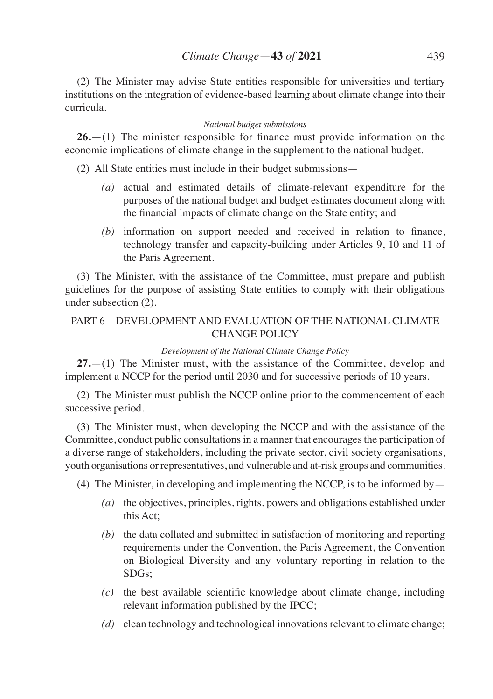(2) The Minister may advise State entities responsible for universities and tertiary institutions on the integration of evidence-based learning about climate change into their curricula.

#### *National budget submissions*

**26.**—(1) The minister responsible for finance must provide information on the economic implications of climate change in the supplement to the national budget.

(2) All State entities must include in their budget submissions—

- *(a)* actual and estimated details of climate-relevant expenditure for the purposes of the national budget and budget estimates document along with the financial impacts of climate change on the State entity; and
- *(b)* information on support needed and received in relation to finance, technology transfer and capacity-building under Articles 9, 10 and 11 of the Paris Agreement.

(3) The Minister, with the assistance of the Committee, must prepare and publish guidelines for the purpose of assisting State entities to comply with their obligations under subsection (2).

## PART 6—DEVELOPMENT AND EVALUATION OF THE NATIONAL CLIMATE CHANGE POLICY

### *Development of the National Climate Change Policy*

**27.**—(1) The Minister must, with the assistance of the Committee, develop and implement a NCCP for the period until 2030 and for successive periods of 10 years.

(2) The Minister must publish the NCCP online prior to the commencement of each successive period.

(3) The Minister must, when developing the NCCP and with the assistance of the Committee, conduct public consultations in a manner that encourages the participation of a diverse range of stakeholders, including the private sector, civil society organisations, youth organisations or representatives, and vulnerable and at-risk groups and communities.

(4) The Minister, in developing and implementing the NCCP, is to be informed by—

- *(a)* the objectives, principles, rights, powers and obligations established under this Act;
- *(b)* the data collated and submitted in satisfaction of monitoring and reporting requirements under the Convention, the Paris Agreement, the Convention on Biological Diversity and any voluntary reporting in relation to the SDGs;
- *(c)* the best available scientific knowledge about climate change, including relevant information published by the IPCC;
- *(d)* clean technology and technological innovations relevant to climate change;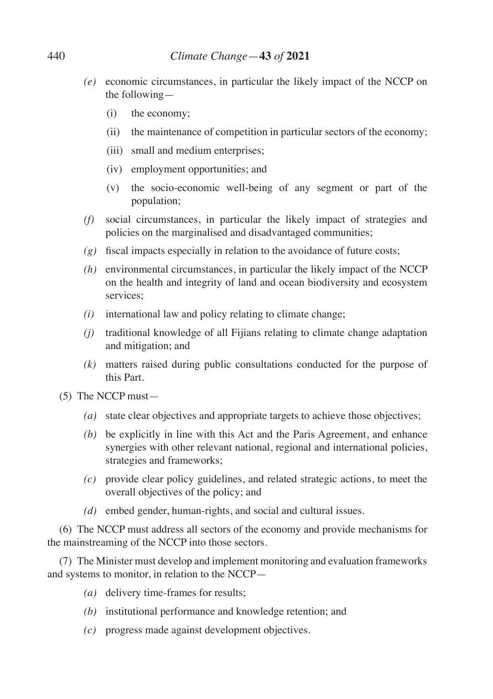- *(e)* economic circumstances, in particular the likely impact of the NCCP on the following—
	- (i) the economy;
	- (ii) the maintenance of competition in particular sectors of the economy;
	- (iii) small and medium enterprises;
	- (iv) employment opportunities; and
	- (v) the socio-economic well-being of any segment or part of the population;
- *(f)* social circumstances, in particular the likely impact of strategies and policies on the marginalised and disadvantaged communities;
- *(g)* fiscal impacts especially in relation to the avoidance of future costs;
- *(h)* environmental circumstances, in particular the likely impact of the NCCP on the health and integrity of land and ocean biodiversity and ecosystem services<sup>.</sup>
- *(i)* international law and policy relating to climate change;
- *(j)* traditional knowledge of all Fijians relating to climate change adaptation and mitigation; and
- *(k)* matters raised during public consultations conducted for the purpose of this Part.
- (5) The NCCP must—
	- *(a)* state clear objectives and appropriate targets to achieve those objectives;
	- *(b)* be explicitly in line with this Act and the Paris Agreement, and enhance synergies with other relevant national, regional and international policies, strategies and frameworks;
	- *(c)* provide clear policy guidelines, and related strategic actions, to meet the overall objectives of the policy; and
	- *(d)* embed gender, human-rights, and social and cultural issues.

(6) The NCCP must address all sectors of the economy and provide mechanisms for the mainstreaming of the NCCP into those sectors.

(7) The Minister must develop and implement monitoring and evaluation frameworks and systems to monitor, in relation to the NCCP—

- *(a)* delivery time-frames for results;
- *(b)* institutional performance and knowledge retention; and
- *(c)* progress made against development objectives.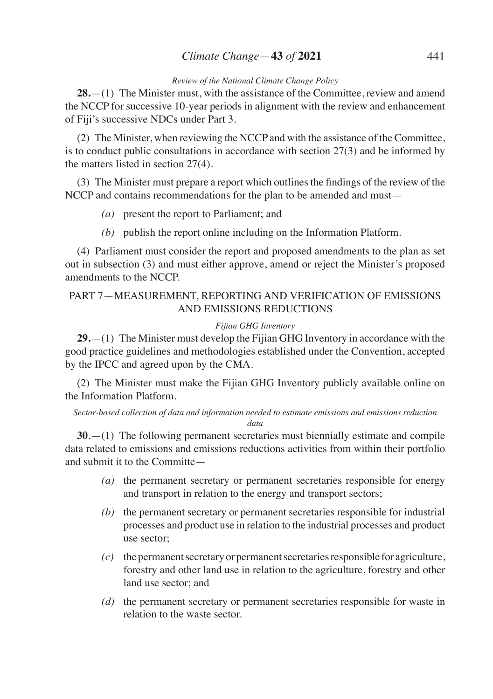## *Climate Change*—**43** *of* **2021** 441

#### *Review of the National Climate Change Policy*

**28.**—(1) The Minister must, with the assistance of the Committee, review and amend the NCCP for successive 10-year periods in alignment with the review and enhancement of Fiji's successive NDCs under Part 3.

(2) The Minister, when reviewing the NCCP and with the assistance of the Committee, is to conduct public consultations in accordance with section 27(3) and be informed by the matters listed in section 27(4).

(3) The Minister must prepare a report which outlinesthe findings of the review of the NCCP and contains recommendations for the plan to be amended and must—

- *(a)* present the report to Parliament; and
- *(b)* publish the report online including on the Information Platform.

(4) Parliament must consider the report and proposed amendments to the plan as set out in subsection (3) and must either approve, amend or reject the Minister's proposed amendments to the NCCP.

## PART 7—MEASUREMENT, REPORTING AND VERIFICATION OF EMISSIONS AND EMISSIONS REDUCTIONS

### *Fijian GHG Inventory*

**29.**—(1) The Minister must develop the Fijian GHG Inventory in accordance with the good practice guidelines and methodologies established under the Convention, accepted by the IPCC and agreed upon by the CMA.

(2) The Minister must make the Fijian GHG Inventory publicly available online on the Information Platform.

*Sector-based collection of data and information needed to estimate emissions and emissions reduction data*

**30**.—(1) The following permanent secretaries must biennially estimate and compile data related to emissions and emissions reductions activities from within their portfolio and submit it to the Committe—

- *(a)* the permanent secretary or permanent secretaries responsible for energy and transport in relation to the energy and transport sectors;
- *(b)* the permanent secretary or permanent secretaries responsible for industrial processes and product use in relation to the industrial processes and product use sector;
- *(c)* the permanent secretary or permanent secretaries responsible for agriculture, forestry and other land use in relation to the agriculture, forestry and other land use sector; and
- *(d)* the permanent secretary or permanent secretaries responsible for waste in relation to the waste sector.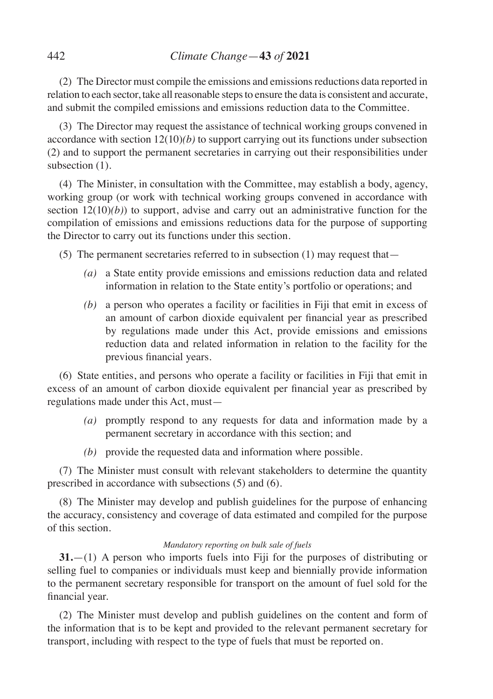(2) The Director must compile the emissions and emissions reductions data reported in relation to each sector, take all reasonable steps to ensure the data is consistent and accurate, and submit the compiled emissions and emissions reduction data to the Committee.

(3) The Director may request the assistance of technical working groups convened in accordance with section 12(10)*(b)* to support carrying out its functions under subsection (2) and to support the permanent secretaries in carrying out their responsibilities under subsection  $(1)$ .

(4) The Minister, in consultation with the Committee, may establish a body, agency, working group (or work with technical working groups convened in accordance with section  $12(10)(b)$ ) to support, advise and carry out an administrative function for the compilation of emissions and emissions reductions data for the purpose of supporting the Director to carry out its functions under this section.

(5) The permanent secretaries referred to in subsection (1) may request that—

- *(a)* a State entity provide emissions and emissions reduction data and related information in relation to the State entity's portfolio or operations; and
- *(b)* a person who operates a facility or facilities in Fiji that emit in excess of an amount of carbon dioxide equivalent per financial year as prescribed by regulations made under this Act, provide emissions and emissions reduction data and related information in relation to the facility for the previous financial years.

(6) State entities, and persons who operate a facility or facilities in Fiji that emit in excess of an amount of carbon dioxide equivalent per financial year as prescribed by regulations made under this Act, must—

- *(a)* promptly respond to any requests for data and information made by a permanent secretary in accordance with this section; and
- *(b)* provide the requested data and information where possible.

(7) The Minister must consult with relevant stakeholders to determine the quantity prescribed in accordance with subsections (5) and (6).

(8) The Minister may develop and publish guidelines for the purpose of enhancing the accuracy, consistency and coverage of data estimated and compiled for the purpose of this section.

### *Mandatory reporting on bulk sale of fuels*

**31.**—(1) A person who imports fuels into Fiji for the purposes of distributing or selling fuel to companies or individuals must keep and biennially provide information to the permanent secretary responsible for transport on the amount of fuel sold for the financial year.

(2) The Minister must develop and publish guidelines on the content and form of the information that is to be kept and provided to the relevant permanent secretary for transport, including with respect to the type of fuels that must be reported on.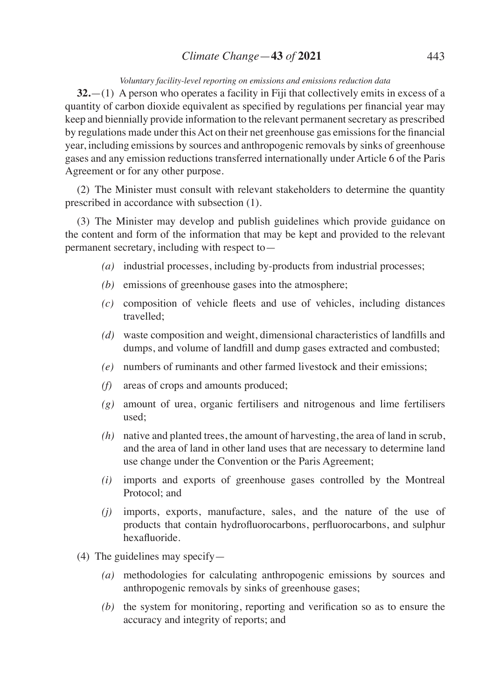# *Climate Change*—**43** *of* **2021** 443

#### *Voluntary facility-level reporting on emissions and emissions reduction data*

**32.**—(1) A person who operates a facility in Fiji that collectively emits in excess of a quantity of carbon dioxide equivalent as specified by regulations per financial year may keep and biennially provide information to the relevant permanent secretary as prescribed by regulations made under this Act on their net greenhouse gas emissions for the financial year, including emissions by sources and anthropogenic removals by sinks of greenhouse gases and any emission reductions transferred internationally under Article 6 of the Paris Agreement or for any other purpose.

(2) The Minister must consult with relevant stakeholders to determine the quantity prescribed in accordance with subsection (1).

(3) The Minister may develop and publish guidelines which provide guidance on the content and form of the information that may be kept and provided to the relevant permanent secretary, including with respect to—

- *(a)* industrial processes, including by-products from industrial processes;
- *(b)* emissions of greenhouse gases into the atmosphere;
- *(c)* composition of vehicle fleets and use of vehicles, including distances travelled;
- *(d)* waste composition and weight, dimensional characteristics of landfills and dumps, and volume of landfill and dump gases extracted and combusted;
- *(e)* numbers of ruminants and other farmed livestock and their emissions;
- *(f)* areas of crops and amounts produced;
- *(g)* amount of urea, organic fertilisers and nitrogenous and lime fertilisers used;
- *(h)* native and planted trees, the amount of harvesting, the area of land in scrub, and the area of land in other land uses that are necessary to determine land use change under the Convention or the Paris Agreement;
- *(i)* imports and exports of greenhouse gases controlled by the Montreal Protocol; and
- *(j)* imports, exports, manufacture, sales, and the nature of the use of products that contain hydrofluorocarbons, perfluorocarbons, and sulphur hexafluoride.
- (4) The guidelines may specify—
	- *(a)* methodologies for calculating anthropogenic emissions by sources and anthropogenic removals by sinks of greenhouse gases;
	- *(b)* the system for monitoring, reporting and verification so as to ensure the accuracy and integrity of reports; and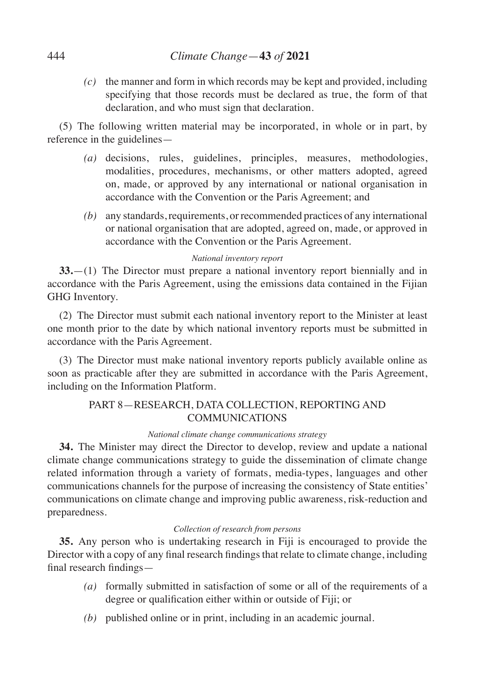*(c)* the manner and form in which records may be kept and provided, including specifying that those records must be declared as true, the form of that declaration, and who must sign that declaration.

(5) The following written material may be incorporated, in whole or in part, by reference in the guidelines—

- *(a)* decisions, rules, guidelines, principles, measures, methodologies, modalities, procedures, mechanisms, or other matters adopted, agreed on, made, or approved by any international or national organisation in accordance with the Convention or the Paris Agreement; and
- *(b)* any standards, requirements, or recommended practices of any international or national organisation that are adopted, agreed on, made, or approved in accordance with the Convention or the Paris Agreement.

## *National inventory report*

**33.**—(1) The Director must prepare a national inventory report biennially and in accordance with the Paris Agreement, using the emissions data contained in the Fijian GHG Inventory.

(2) The Director must submit each national inventory report to the Minister at least one month prior to the date by which national inventory reports must be submitted in accordance with the Paris Agreement.

(3) The Director must make national inventory reports publicly available online as soon as practicable after they are submitted in accordance with the Paris Agreement, including on the Information Platform.

# PART 8—RESEARCH, DATA COLLECTION, REPORTING AND COMMUNICATIONS

### *National climate change communications strategy*

**34.** The Minister may direct the Director to develop, review and update a national climate change communications strategy to guide the dissemination of climate change related information through a variety of formats, media-types, languages and other communications channels for the purpose of increasing the consistency of State entities' communications on climate change and improving public awareness, risk-reduction and preparedness.

#### *Collection of research from persons*

**35.** Any person who is undertaking research in Fiji is encouraged to provide the Director with a copy of any final research findings that relate to climate change, including final research findings—

- *(a)* formally submitted in satisfaction of some or all of the requirements of a degree or qualification either within or outside of Fiji; or
- *(b)* published online or in print, including in an academic journal.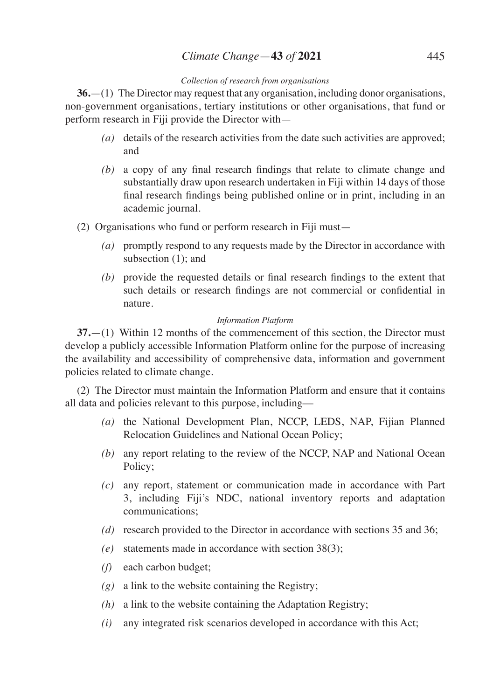# *Climate Change*—**43** *of* **2021** 445

### *Collection of research from organisations*

**36.**—(1) The Director may request that any organisation, including donor organisations, non-government organisations, tertiary institutions or other organisations, that fund or perform research in Fiji provide the Director with—

- *(a)* details of the research activities from the date such activities are approved; and
- *(b)* a copy of any final research findings that relate to climate change and substantially draw upon research undertaken in Fiji within 14 days of those final research findings being published online or in print, including in an academic journal.
- (2) Organisations who fund or perform research in Fiji must—
	- *(a)* promptly respond to any requests made by the Director in accordance with subsection (1); and
	- *(b)* provide the requested details or final research findings to the extent that such details or research findings are not commercial or confidential in nature.

## *Information Platform*

**37.**—(1) Within 12 months of the commencement of this section, the Director must develop a publicly accessible Information Platform online for the purpose of increasing the availability and accessibility of comprehensive data, information and government policies related to climate change.

(2) The Director must maintain the Information Platform and ensure that it contains all data and policies relevant to this purpose, including––

- *(a)* the National Development Plan, NCCP, LEDS, NAP, Fijian Planned Relocation Guidelines and National Ocean Policy;
- *(b)* any report relating to the review of the NCCP, NAP and National Ocean Policy;
- *(c)* any report, statement or communication made in accordance with Part 3, including Fiji's NDC, national inventory reports and adaptation communications;
- *(d)* research provided to the Director in accordance with sections 35 and 36;
- *(e)* statements made in accordance with section 38(3);
- *(f)* each carbon budget;
- *(g)* a link to the website containing the Registry;
- *(h)* a link to the website containing the Adaptation Registry;
- *(i)* any integrated risk scenarios developed in accordance with this Act;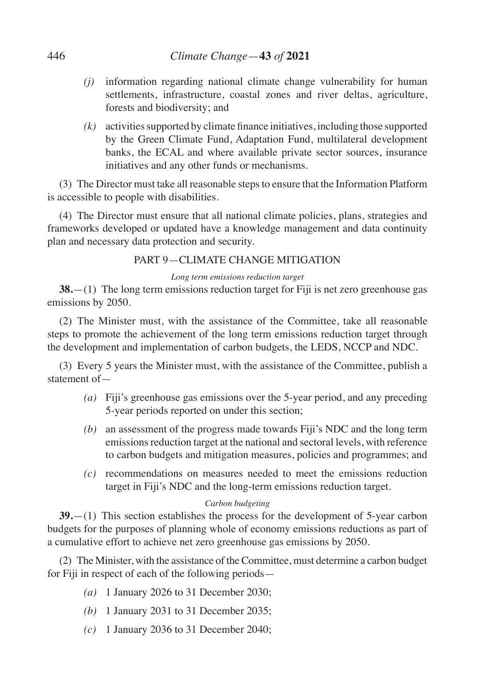- *(j)* information regarding national climate change vulnerability for human settlements, infrastructure, coastal zones and river deltas, agriculture, forests and biodiversity; and
- $(k)$  activities supported by climate finance initiatives, including those supported by the Green Climate Fund, Adaptation Fund, multilateral development banks, the ECAL and where available private sector sources, insurance initiatives and any other funds or mechanisms.

(3) The Director must take all reasonable steps to ensure that the Information Platform is accessible to people with disabilities.

(4) The Director must ensure that all national climate policies, plans, strategies and frameworks developed or updated have a knowledge management and data continuity plan and necessary data protection and security.

# PART 9—CLIMATE CHANGE MITIGATION

# *Long term emissions reduction target*

**38.**—(1) The long term emissions reduction target for Fiji is net zero greenhouse gas emissions by 2050.

(2) The Minister must, with the assistance of the Committee, take all reasonable steps to promote the achievement of the long term emissions reduction target through the development and implementation of carbon budgets, the LEDS, NCCP and NDC.

(3) Every 5 years the Minister must, with the assistance of the Committee, publish a statement of—

- *(a)* Fiji's greenhouse gas emissions over the 5-year period, and any preceding 5-year periods reported on under this section;
- *(b)* an assessment of the progress made towards Fiji's NDC and the long term emissions reduction target at the national and sectoral levels, with reference to carbon budgets and mitigation measures, policies and programmes; and
- *(c)* recommendations on measures needed to meet the emissions reduction target in Fiji's NDC and the long-term emissions reduction target.

## *Carbon budgeting*

**39.**—(1) This section establishes the process for the development of 5-year carbon budgets for the purposes of planning whole of economy emissions reductions as part of a cumulative effort to achieve net zero greenhouse gas emissions by 2050.

(2) The Minister, with the assistance of the Committee, must determine a carbon budget for Fiji in respect of each of the following periods—

- *(a)* 1 January 2026 to 31 December 2030;
- *(b)* 1 January 2031 to 31 December 2035;
- *(c)* 1 January 2036 to 31 December 2040;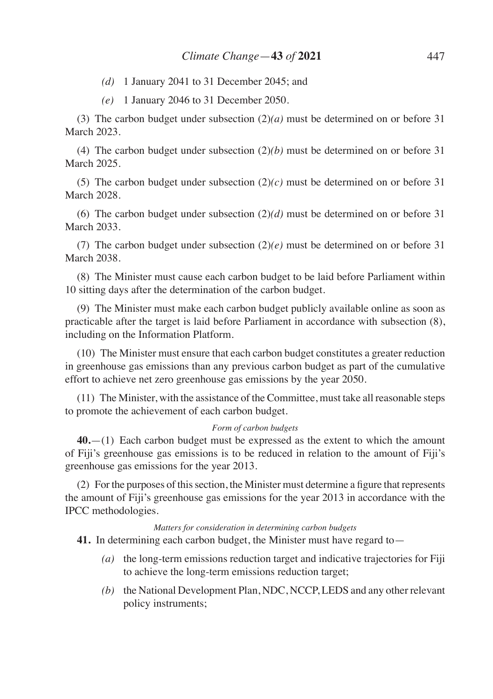*(d)* 1 January 2041 to 31 December 2045; and

*(e)* 1 January 2046 to 31 December 2050.

(3) The carbon budget under subsection (2)*(a)* must be determined on or before 31 March 2023.

(4) The carbon budget under subsection (2)*(b)* must be determined on or before 31 March 2025.

(5) The carbon budget under subsection (2)*(c)* must be determined on or before 31 March 2028.

(6) The carbon budget under subsection (2)*(d)* must be determined on or before 31 March 2033.

(7) The carbon budget under subsection (2)*(e)* must be determined on or before 31 March 2038.

(8) The Minister must cause each carbon budget to be laid before Parliament within 10 sitting days after the determination of the carbon budget.

(9) The Minister must make each carbon budget publicly available online as soon as practicable after the target is laid before Parliament in accordance with subsection (8), including on the Information Platform.

(10) The Minister must ensure that each carbon budget constitutes a greater reduction in greenhouse gas emissions than any previous carbon budget as part of the cumulative effort to achieve net zero greenhouse gas emissions by the year 2050.

(11) The Minister, with the assistance of the Committee, must take all reasonable steps to promote the achievement of each carbon budget.

#### *Form of carbon budgets*

**40.**—(1) Each carbon budget must be expressed as the extent to which the amount of Fiji's greenhouse gas emissions is to be reduced in relation to the amount of Fiji's greenhouse gas emissions for the year 2013.

(2) For the purposes of this section, the Minister must determine a figure that represents the amount of Fiji's greenhouse gas emissions for the year 2013 in accordance with the IPCC methodologies.

#### *Matters for consideration in determining carbon budgets*

**41.** In determining each carbon budget, the Minister must have regard to—

- *(a)* the long-term emissions reduction target and indicative trajectories for Fiji to achieve the long-term emissions reduction target;
- *(b)* the National Development Plan, NDC, NCCP, LEDS and any other relevant policy instruments;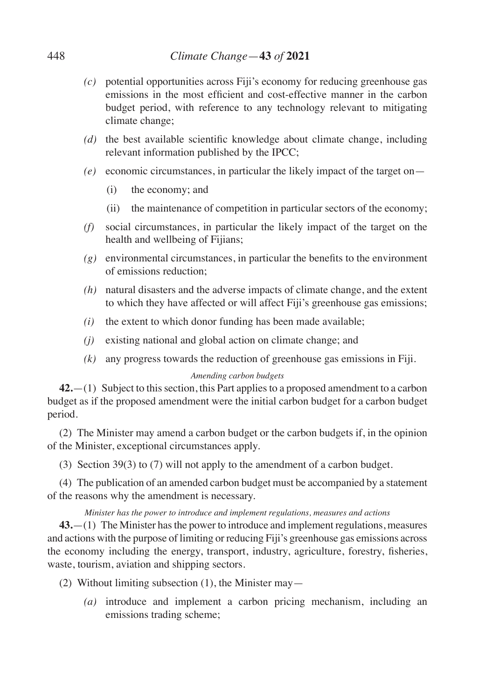- *(c)* potential opportunities across Fiji's economy for reducing greenhouse gas emissions in the most efficient and cost-effective manner in the carbon budget period, with reference to any technology relevant to mitigating climate change;
- *(d)* the best available scientific knowledge about climate change, including relevant information published by the IPCC;
- *(e)* economic circumstances, in particular the likely impact of the target on—
	- (i) the economy; and
	- (ii) the maintenance of competition in particular sectors of the economy;
- *(f)* social circumstances, in particular the likely impact of the target on the health and wellbeing of Fijians;
- *(g)* environmental circumstances, in particular the benefits to the environment of emissions reduction;
- *(h)* natural disasters and the adverse impacts of climate change, and the extent to which they have affected or will affect Fiji's greenhouse gas emissions;
- *(i)* the extent to which donor funding has been made available;
- *(j)* existing national and global action on climate change; and
- *(k)* any progress towards the reduction of greenhouse gas emissions in Fiji.

## *Amending carbon budgets*

**42.**—(1) Subject to this section, this Part applies to a proposed amendment to a carbon budget as if the proposed amendment were the initial carbon budget for a carbon budget period.

(2) The Minister may amend a carbon budget or the carbon budgets if, in the opinion of the Minister, exceptional circumstances apply.

(3) Section 39(3) to (7) will not apply to the amendment of a carbon budget.

(4) The publication of an amended carbon budget must be accompanied by a statement of the reasons why the amendment is necessary.

## *Minister has the power to introduce and implement regulations, measures and actions*

**43.**—(1) The Minister has the power to introduce and implement regulations, measures and actions with the purpose of limiting or reducing Fiji's greenhouse gas emissions across the economy including the energy, transport, industry, agriculture, forestry, fisheries, waste, tourism, aviation and shipping sectors.

(2) Without limiting subsection (1), the Minister may—

*(a)* introduce and implement a carbon pricing mechanism, including an emissions trading scheme;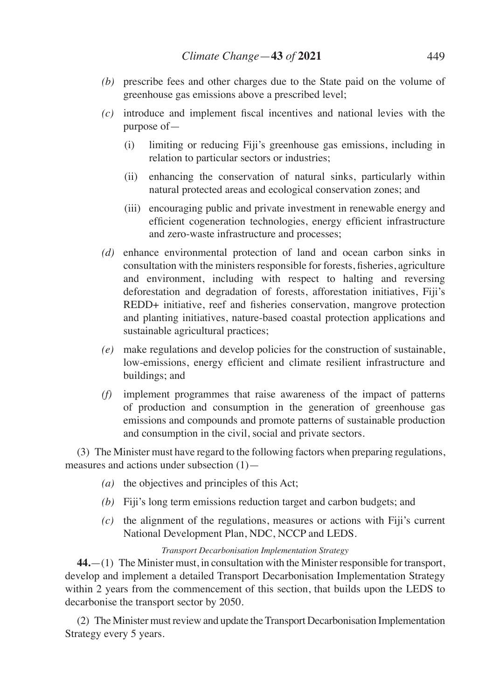- *(b)* prescribe fees and other charges due to the State paid on the volume of greenhouse gas emissions above a prescribed level;
- *(c)* introduce and implement fiscal incentives and national levies with the purpose of—
	- (i) limiting or reducing Fiji's greenhouse gas emissions, including in relation to particular sectors or industries;
	- (ii) enhancing the conservation of natural sinks, particularly within natural protected areas and ecological conservation zones; and
	- (iii) encouraging public and private investment in renewable energy and efficient cogeneration technologies, energy efficient infrastructure and zero-waste infrastructure and processes;
- *(d)* enhance environmental protection of land and ocean carbon sinks in consultation with the ministers responsible for forests, fisheries, agriculture and environment, including with respect to halting and reversing deforestation and degradation of forests, afforestation initiatives, Fiji's REDD+ initiative, reef and fisheries conservation, mangrove protection and planting initiatives, nature-based coastal protection applications and sustainable agricultural practices;
- *(e)* make regulations and develop policies for the construction of sustainable, low-emissions, energy efficient and climate resilient infrastructure and buildings; and
- *(f)* implement programmes that raise awareness of the impact of patterns of production and consumption in the generation of greenhouse gas emissions and compounds and promote patterns of sustainable production and consumption in the civil, social and private sectors.

(3) The Minister must have regard to the following factors when preparing regulations, measures and actions under subsection (1)—

- *(a)* the objectives and principles of this Act;
- *(b)* Fiji's long term emissions reduction target and carbon budgets; and
- *(c)* the alignment of the regulations, measures or actions with Fiji's current National Development Plan, NDC, NCCP and LEDS.

#### *Transport Decarbonisation Implementation Strategy*

**44.**—(1) The Minister must, in consultation with the Minister responsible for transport, develop and implement a detailed Transport Decarbonisation Implementation Strategy within 2 years from the commencement of this section, that builds upon the LEDS to decarbonise the transport sector by 2050.

(2) The Minister must review and update the Transport Decarbonisation Implementation Strategy every 5 years.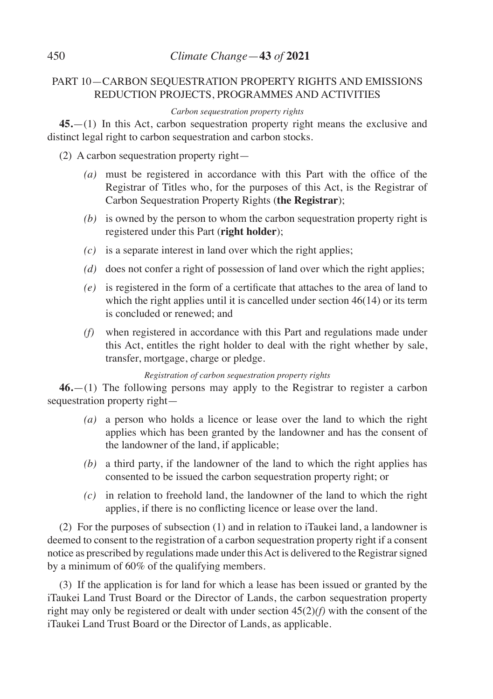# PART 10—CARBON SEQUESTRATION PROPERTY RIGHTS AND EMISSIONS REDUCTION PROJECTS, PROGRAMMES AND ACTIVITIES

# *Carbon sequestration property rights*

**45.**—(1) In this Act, carbon sequestration property right means the exclusive and distinct legal right to carbon sequestration and carbon stocks.

(2) A carbon sequestration property right—

- *(a)* must be registered in accordance with this Part with the office of the Registrar of Titles who, for the purposes of this Act, is the Registrar of Carbon Sequestration Property Rights (**the Registrar**);
- *(b)* is owned by the person to whom the carbon sequestration property right is registered under this Part (**right holder**);
- *(c)* is a separate interest in land over which the right applies;
- *(d)* does not confer a right of possession of land over which the right applies;
- *(e)* is registered in the form of a certificate that attaches to the area of land to which the right applies until it is cancelled under section 46(14) or its term is concluded or renewed; and
- *(f)* when registered in accordance with this Part and regulations made under this Act, entitles the right holder to deal with the right whether by sale, transfer, mortgage, charge or pledge.

# *Registration of carbon sequestration property rights*

**46.**—(1) The following persons may apply to the Registrar to register a carbon sequestration property right—

- *(a)* a person who holds a licence or lease over the land to which the right applies which has been granted by the landowner and has the consent of the landowner of the land, if applicable;
- *(b)* a third party, if the landowner of the land to which the right applies has consented to be issued the carbon sequestration property right; or
- *(c)* in relation to freehold land, the landowner of the land to which the right applies, if there is no conflicting licence or lease over the land.

(2) For the purposes of subsection (1) and in relation to iTaukei land, a landowner is deemed to consent to the registration of a carbon sequestration property right if a consent notice as prescribed by regulations made under this Act is delivered to the Registrar signed by a minimum of 60% of the qualifying members.

(3) If the application is for land for which a lease has been issued or granted by the iTaukei Land Trust Board or the Director of Lands, the carbon sequestration property right may only be registered or dealt with under section 45(2)*(f)* with the consent of the iTaukei Land Trust Board or the Director of Lands, as applicable.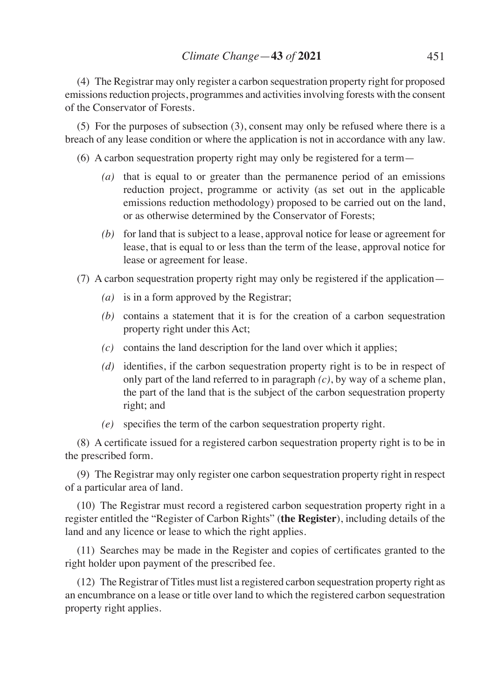(4) The Registrar may only register a carbon sequestration property right for proposed emissions reduction projects, programmes and activities involving forests with the consent of the Conservator of Forests.

(5) For the purposes of subsection (3), consent may only be refused where there is a breach of any lease condition or where the application is not in accordance with any law.

- (6) A carbon sequestration property right may only be registered for a term—
	- *(a)* that is equal to or greater than the permanence period of an emissions reduction project, programme or activity (as set out in the applicable emissions reduction methodology) proposed to be carried out on the land, or as otherwise determined by the Conservator of Forests;
	- *(b)* for land that is subject to a lease, approval notice for lease or agreement for lease, that is equal to or less than the term of the lease, approval notice for lease or agreement for lease.
- (7) A carbon sequestration property right may only be registered if the application—
	- *(a)* is in a form approved by the Registrar;
	- *(b)* contains a statement that it is for the creation of a carbon sequestration property right under this Act;
	- *(c)* contains the land description for the land over which it applies;
	- *(d)* identifies, if the carbon sequestration property right is to be in respect of only part of the land referred to in paragraph *(c)*, by way of a scheme plan, the part of the land that is the subject of the carbon sequestration property right; and
	- *(e)* specifies the term of the carbon sequestration property right.

(8) A certificate issued for a registered carbon sequestration property right is to be in the prescribed form.

(9) The Registrar may only register one carbon sequestration property right in respect of a particular area of land.

(10) The Registrar must record a registered carbon sequestration property right in a register entitled the "Register of Carbon Rights" (**the Register**), including details of the land and any licence or lease to which the right applies.

(11) Searches may be made in the Register and copies of certificates granted to the right holder upon payment of the prescribed fee.

(12) The Registrar of Titles must list a registered carbon sequestration property right as an encumbrance on a lease or title over land to which the registered carbon sequestration property right applies.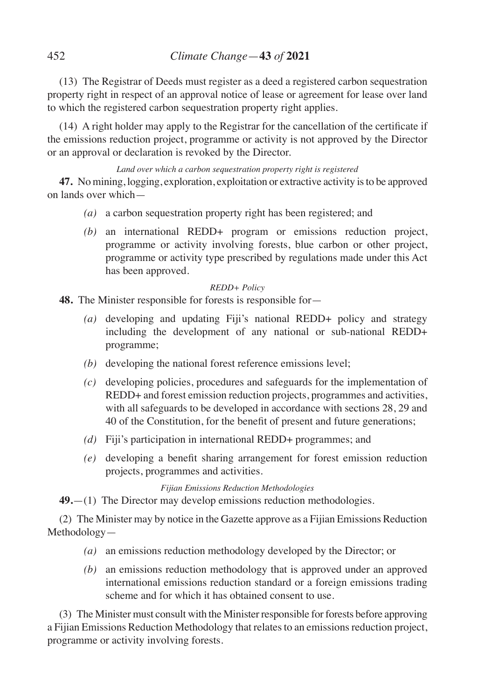(13) The Registrar of Deeds must register as a deed a registered carbon sequestration property right in respect of an approval notice of lease or agreement for lease over land to which the registered carbon sequestration property right applies.

(14) A right holder may apply to the Registrar for the cancellation of the certificate if the emissions reduction project, programme or activity is not approved by the Director or an approval or declaration is revoked by the Director.

*Land over which a carbon sequestration property right is registered*

**47.** No mining, logging, exploration, exploitation or extractive activity is to be approved on lands over which—

- *(a)* a carbon sequestration property right has been registered; and
- *(b)* an international REDD+ program or emissions reduction project, programme or activity involving forests, blue carbon or other project, programme or activity type prescribed by regulations made under this Act has been approved.

*REDD+ Policy*

**48.** The Minister responsible for forests is responsible for—

- *(a)* developing and updating Fiji's national REDD+ policy and strategy including the development of any national or sub-national REDD+ programme;
- *(b)* developing the national forest reference emissions level;
- *(c)* developing policies, procedures and safeguards for the implementation of REDD+ and forest emission reduction projects, programmes and activities, with all safeguards to be developed in accordance with sections 28, 29 and 40 of the Constitution, for the benefit of present and future generations;
- *(d)* Fiji's participation in international REDD+ programmes; and
- *(e)* developing a benefit sharing arrangement for forest emission reduction projects, programmes and activities.

*Fijian Emissions Reduction Methodologies*

**49.**—(1) The Director may develop emissions reduction methodologies.

(2) The Minister may by notice in the Gazette approve as a Fijian Emissions Reduction Methodology—

- *(a)* an emissions reduction methodology developed by the Director; or
- *(b)* an emissions reduction methodology that is approved under an approved international emissions reduction standard or a foreign emissions trading scheme and for which it has obtained consent to use.

(3) The Minister must consult with the Minister responsible for forests before approving a Fijian Emissions Reduction Methodology that relates to an emissions reduction project, programme or activity involving forests.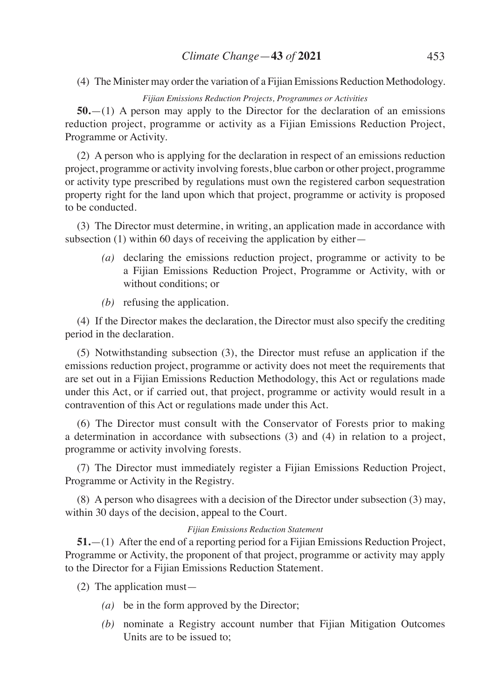## *Climate Change*—**43** *of* **2021** 453

(4) The Minister may order the variation of a Fijian Emissions Reduction Methodology.

#### *Fijian Emissions Reduction Projects, Programmes or Activities*

**50.**—(1) A person may apply to the Director for the declaration of an emissions reduction project, programme or activity as a Fijian Emissions Reduction Project, Programme or Activity.

(2) A person who is applying for the declaration in respect of an emissions reduction project, programme or activity involving forests, blue carbon or other project, programme or activity type prescribed by regulations must own the registered carbon sequestration property right for the land upon which that project, programme or activity is proposed to be conducted.

(3) The Director must determine, in writing, an application made in accordance with subsection (1) within 60 days of receiving the application by either—

- *(a)* declaring the emissions reduction project, programme or activity to be a Fijian Emissions Reduction Project, Programme or Activity, with or without conditions; or
- *(b)* refusing the application.

(4) If the Director makes the declaration, the Director must also specify the crediting period in the declaration.

(5) Notwithstanding subsection (3), the Director must refuse an application if the emissions reduction project, programme or activity does not meet the requirements that are set out in a Fijian Emissions Reduction Methodology, this Act or regulations made under this Act, or if carried out, that project, programme or activity would result in a contravention of this Act or regulations made under this Act.

(6) The Director must consult with the Conservator of Forests prior to making a determination in accordance with subsections (3) and (4) in relation to a project, programme or activity involving forests.

(7) The Director must immediately register a Fijian Emissions Reduction Project, Programme or Activity in the Registry.

(8) A person who disagrees with a decision of the Director under subsection (3) may, within 30 days of the decision, appeal to the Court.

#### *Fijian Emissions Reduction Statement*

**51.**—(1) After the end of a reporting period for a Fijian Emissions Reduction Project, Programme or Activity, the proponent of that project, programme or activity may apply to the Director for a Fijian Emissions Reduction Statement.

(2) The application must—

- *(a)* be in the form approved by the Director;
- *(b)* nominate a Registry account number that Fijian Mitigation Outcomes Units are to be issued to;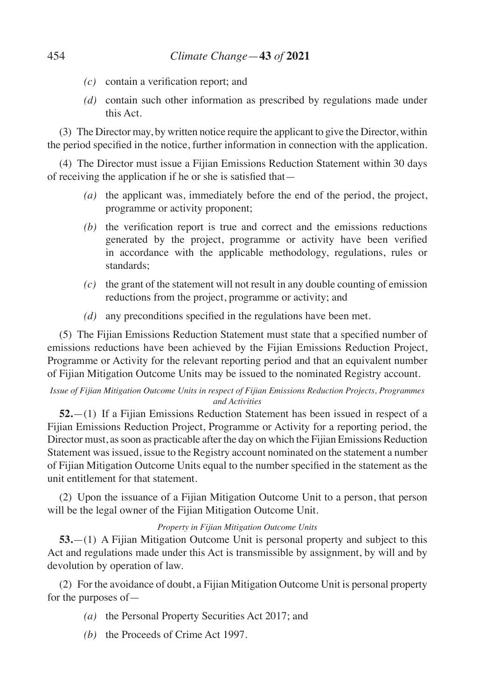- *(c)* contain a verification report; and
- *(d)* contain such other information as prescribed by regulations made under this Act.

(3) The Director may, by written notice require the applicant to give the Director, within the period specified in the notice, further information in connection with the application.

(4) The Director must issue a Fijian Emissions Reduction Statement within 30 days of receiving the application if he or she is satisfied that—

- *(a)* the applicant was, immediately before the end of the period, the project, programme or activity proponent;
- *(b)* the verification report is true and correct and the emissions reductions generated by the project, programme or activity have been verified in accordance with the applicable methodology, regulations, rules or standards;
- *(c)* the grant of the statement will not result in any double counting of emission reductions from the project, programme or activity; and
- *(d)* any preconditions specified in the regulations have been met.

(5) The Fijian Emissions Reduction Statement must state that a specified number of emissions reductions have been achieved by the Fijian Emissions Reduction Project, Programme or Activity for the relevant reporting period and that an equivalent number of Fijian Mitigation Outcome Units may be issued to the nominated Registry account.

### *Issue of Fijian Mitigation Outcome Units in respect of Fijian Emissions Reduction Projects, Programmes and Activities*

**52.**—(1) If a Fijian Emissions Reduction Statement has been issued in respect of a Fijian Emissions Reduction Project, Programme or Activity for a reporting period, the Director must, as soon as practicable after the day on which the Fijian Emissions Reduction Statement was issued, issue to the Registry account nominated on the statement a number of Fijian Mitigation Outcome Units equal to the number specified in the statement as the unit entitlement for that statement.

(2) Upon the issuance of a Fijian Mitigation Outcome Unit to a person, that person will be the legal owner of the Fijian Mitigation Outcome Unit.

#### *Property in Fijian Mitigation Outcome Units*

**53.**—(1) A Fijian Mitigation Outcome Unit is personal property and subject to this Act and regulations made under this Act is transmissible by assignment, by will and by devolution by operation of law.

(2) For the avoidance of doubt, a Fijian Mitigation Outcome Unit is personal property for the purposes of—

- *(a)* the Personal Property Securities Act 2017; and
- *(b)* the Proceeds of Crime Act 1997.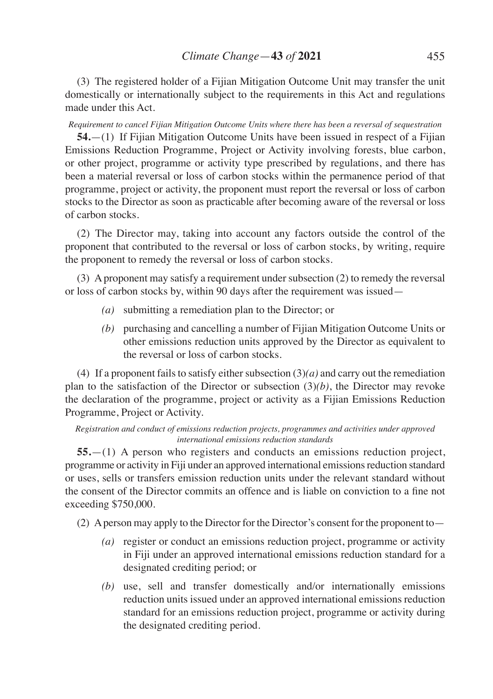(3) The registered holder of a Fijian Mitigation Outcome Unit may transfer the unit domestically or internationally subject to the requirements in this Act and regulations made under this Act.

*Requirement to cancel Fijian Mitigation Outcome Units where there has been a reversal of sequestration*

**54.**—(1) If Fijian Mitigation Outcome Units have been issued in respect of a Fijian Emissions Reduction Programme, Project or Activity involving forests, blue carbon, or other project, programme or activity type prescribed by regulations, and there has been a material reversal or loss of carbon stocks within the permanence period of that programme, project or activity, the proponent must report the reversal or loss of carbon stocks to the Director as soon as practicable after becoming aware of the reversal or loss of carbon stocks.

(2) The Director may, taking into account any factors outside the control of the proponent that contributed to the reversal or loss of carbon stocks, by writing, require the proponent to remedy the reversal or loss of carbon stocks.

(3) A proponent may satisfy a requirement under subsection (2) to remedy the reversal or loss of carbon stocks by, within 90 days after the requirement was issued—

- *(a)* submitting a remediation plan to the Director; or
- *(b)* purchasing and cancelling a number of Fijian Mitigation Outcome Units or other emissions reduction units approved by the Director as equivalent to the reversal or loss of carbon stocks.

(4) If a proponent fails to satisfy either subsection  $(3)(a)$  and carry out the remediation plan to the satisfaction of the Director or subsection  $(3)(b)$ , the Director may revoke the declaration of the programme, project or activity as a Fijian Emissions Reduction Programme, Project or Activity.

*Registration and conduct of emissions reduction projects, programmes and activities under approved international emissions reduction standards*

**55.**—(1) A person who registers and conducts an emissions reduction project, programme or activity in Fiji under an approved international emissions reduction standard or uses, sells or transfers emission reduction units under the relevant standard without the consent of the Director commits an offence and is liable on conviction to a fine not exceeding \$750,000.

(2) A person may apply to the Director for the Director's consent for the proponent to—

- *(a)* register or conduct an emissions reduction project, programme or activity in Fiji under an approved international emissions reduction standard for a designated crediting period; or
- *(b)* use, sell and transfer domestically and/or internationally emissions reduction units issued under an approved international emissions reduction standard for an emissions reduction project, programme or activity during the designated crediting period.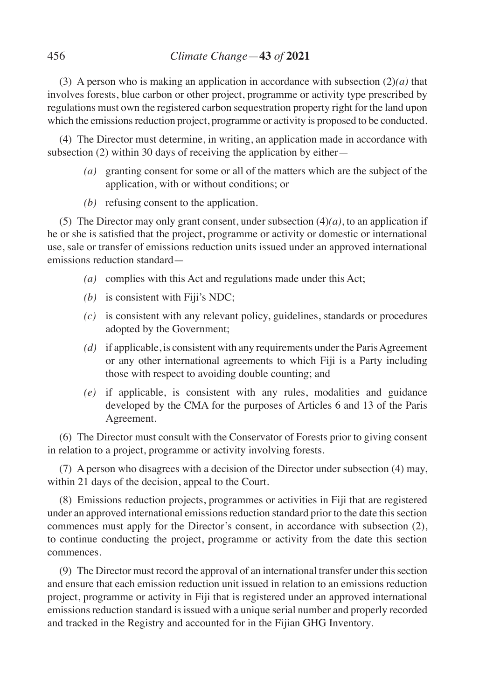(3) A person who is making an application in accordance with subsection (2)*(a)* that involves forests, blue carbon or other project, programme or activity type prescribed by regulations must own the registered carbon sequestration property right for the land upon which the emissions reduction project, programme or activity is proposed to be conducted.

(4) The Director must determine, in writing, an application made in accordance with subsection (2) within 30 days of receiving the application by either—

- *(a)* granting consent for some or all of the matters which are the subject of the application, with or without conditions; or
- *(b)* refusing consent to the application.

(5) The Director may only grant consent, under subsection  $(4)(a)$ , to an application if he or she is satisfied that the project, programme or activity or domestic or international use, sale or transfer of emissions reduction units issued under an approved international emissions reduction standard—

- *(a)* complies with this Act and regulations made under this Act;
- *(b)* is consistent with Fiji's NDC;
- *(c)* is consistent with any relevant policy, guidelines, standards or procedures adopted by the Government;
- *(d)* if applicable, is consistent with any requirements under the Paris Agreement or any other international agreements to which Fiji is a Party including those with respect to avoiding double counting; and
- *(e)* if applicable, is consistent with any rules, modalities and guidance developed by the CMA for the purposes of Articles 6 and 13 of the Paris Agreement.

(6) The Director must consult with the Conservator of Forests prior to giving consent in relation to a project, programme or activity involving forests.

(7) A person who disagrees with a decision of the Director under subsection (4) may, within 21 days of the decision, appeal to the Court.

(8) Emissions reduction projects, programmes or activities in Fiji that are registered under an approved international emissions reduction standard prior to the date this section commences must apply for the Director's consent, in accordance with subsection (2), to continue conducting the project, programme or activity from the date this section commences.

(9) The Director must record the approval of an international transfer under this section and ensure that each emission reduction unit issued in relation to an emissions reduction project, programme or activity in Fiji that is registered under an approved international emissions reduction standard is issued with a unique serial number and properly recorded and tracked in the Registry and accounted for in the Fijian GHG Inventory.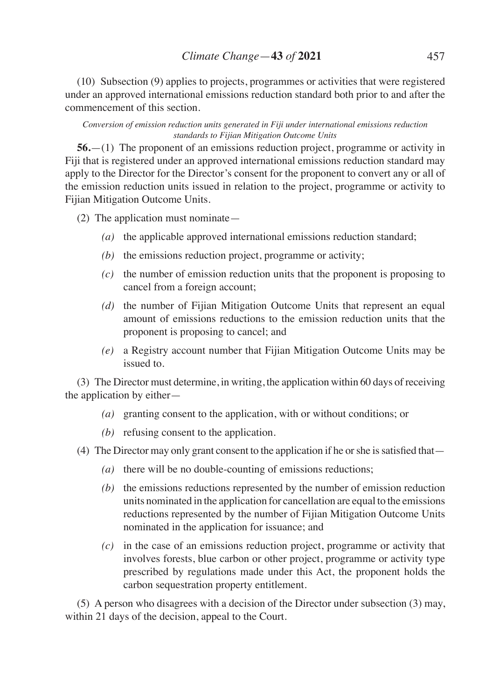(10) Subsection (9) applies to projects, programmes or activities that were registered under an approved international emissions reduction standard both prior to and after the commencement of this section.

#### *Conversion of emission reduction units generated in Fiji under international emissions reduction standards to Fijian Mitigation Outcome Units*

**56.**—(1) The proponent of an emissions reduction project, programme or activity in Fiji that is registered under an approved international emissions reduction standard may apply to the Director for the Director's consent for the proponent to convert any or all of the emission reduction units issued in relation to the project, programme or activity to Fijian Mitigation Outcome Units.

- (2) The application must nominate—
	- *(a)* the applicable approved international emissions reduction standard;
	- *(b)* the emissions reduction project, programme or activity;
	- *(c)* the number of emission reduction units that the proponent is proposing to cancel from a foreign account;
	- *(d)* the number of Fijian Mitigation Outcome Units that represent an equal amount of emissions reductions to the emission reduction units that the proponent is proposing to cancel; and
	- *(e)* a Registry account number that Fijian Mitigation Outcome Units may be issued to.

(3) The Director must determine, in writing, the application within 60 days of receiving the application by either—

- *(a)* granting consent to the application, with or without conditions; or
- *(b)* refusing consent to the application.

(4) The Director may only grant consent to the application if he orshe issatisfied that—

- *(a)* there will be no double-counting of emissions reductions;
- *(b)* the emissions reductions represented by the number of emission reduction units nominated in the application for cancellation are equal to the emissions reductions represented by the number of Fijian Mitigation Outcome Units nominated in the application for issuance; and
- *(c)* in the case of an emissions reduction project, programme or activity that involves forests, blue carbon or other project, programme or activity type prescribed by regulations made under this Act, the proponent holds the carbon sequestration property entitlement.

(5) A person who disagrees with a decision of the Director under subsection (3) may, within 21 days of the decision, appeal to the Court.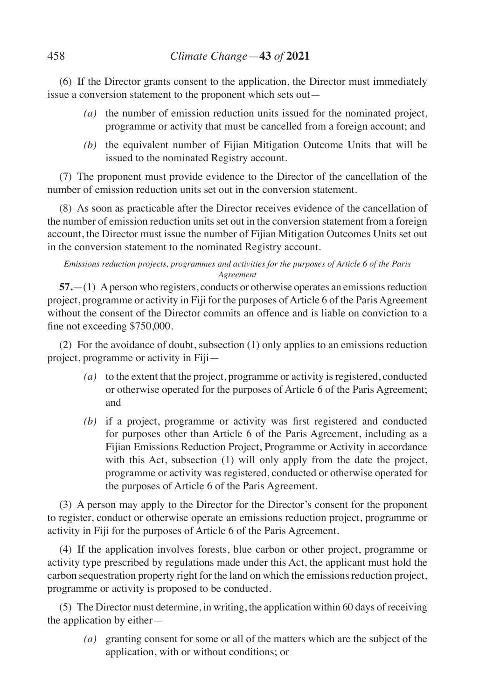(6) If the Director grants consent to the application, the Director must immediately issue a conversion statement to the proponent which sets out—

- *(a)* the number of emission reduction units issued for the nominated project, programme or activity that must be cancelled from a foreign account; and
- *(b)* the equivalent number of Fijian Mitigation Outcome Units that will be issued to the nominated Registry account.

(7) The proponent must provide evidence to the Director of the cancellation of the number of emission reduction units set out in the conversion statement.

(8) As soon as practicable after the Director receives evidence of the cancellation of the number of emission reduction units set out in the conversion statement from a foreign account, the Director must issue the number of Fijian Mitigation Outcomes Units set out in the conversion statement to the nominated Registry account.

### *Emissions reduction projects, programmes and activities for the purposes of Article 6 of the Paris Agreement*

**57.**—(1) A person who registers, conducts or otherwise operates an emissions reduction project, programme or activity in Fiji for the purposes of Article 6 of the Paris Agreement without the consent of the Director commits an offence and is liable on conviction to a fine not exceeding \$750,000.

(2) For the avoidance of doubt, subsection (1) only applies to an emissions reduction project, programme or activity in Fiji—

- *(a)* to the extent that the project, programme or activity is registered, conducted or otherwise operated for the purposes of Article 6 of the Paris Agreement; and
- *(b)* if a project, programme or activity was first registered and conducted for purposes other than Article 6 of the Paris Agreement, including as a Fijian Emissions Reduction Project, Programme or Activity in accordance with this Act, subsection (1) will only apply from the date the project, programme or activity was registered, conducted or otherwise operated for the purposes of Article 6 of the Paris Agreement.

(3) A person may apply to the Director for the Director's consent for the proponent to register, conduct or otherwise operate an emissions reduction project, programme or activity in Fiji for the purposes of Article 6 of the Paris Agreement.

(4) If the application involves forests, blue carbon or other project, programme or activity type prescribed by regulations made under this Act, the applicant must hold the carbon sequestration property right for the land on which the emissions reduction project, programme or activity is proposed to be conducted.

(5) The Director must determine, in writing, the application within 60 days of receiving the application by either—

*(a)* granting consent for some or all of the matters which are the subject of the application, with or without conditions; or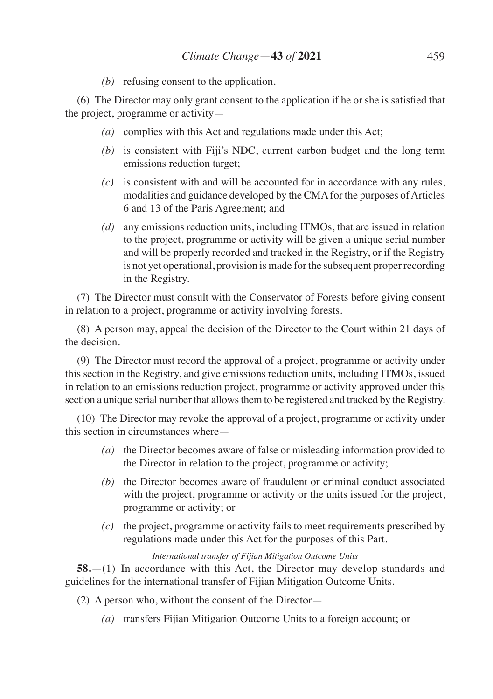*(b)* refusing consent to the application.

(6) The Director may only grant consent to the application if he or she is satisfied that the project, programme or activity—

- *(a)* complies with this Act and regulations made under this Act;
- *(b)* is consistent with Fiji's NDC, current carbon budget and the long term emissions reduction target;
- *(c)* is consistent with and will be accounted for in accordance with any rules, modalities and guidance developed by the CMA for the purposes of Articles 6 and 13 of the Paris Agreement; and
- *(d)* any emissions reduction units, including ITMOs, that are issued in relation to the project, programme or activity will be given a unique serial number and will be properly recorded and tracked in the Registry, or if the Registry is not yet operational, provision is made for the subsequent proper recording in the Registry.

(7) The Director must consult with the Conservator of Forests before giving consent in relation to a project, programme or activity involving forests.

(8) A person may, appeal the decision of the Director to the Court within 21 days of the decision.

(9) The Director must record the approval of a project, programme or activity under this section in the Registry, and give emissions reduction units, including ITMOs, issued in relation to an emissions reduction project, programme or activity approved under this section a unique serial number that allows them to be registered and tracked by the Registry.

(10) The Director may revoke the approval of a project, programme or activity under this section in circumstances where—

- *(a)* the Director becomes aware of false or misleading information provided to the Director in relation to the project, programme or activity;
- *(b)* the Director becomes aware of fraudulent or criminal conduct associated with the project, programme or activity or the units issued for the project, programme or activity; or
- *(c)* the project, programme or activity fails to meet requirements prescribed by regulations made under this Act for the purposes of this Part.

# *International transfer of Fijian Mitigation Outcome Units*

**58.**—(1) In accordance with this Act, the Director may develop standards and guidelines for the international transfer of Fijian Mitigation Outcome Units.

- (2) A person who, without the consent of the Director—
	- *(a)* transfers Fijian Mitigation Outcome Units to a foreign account; or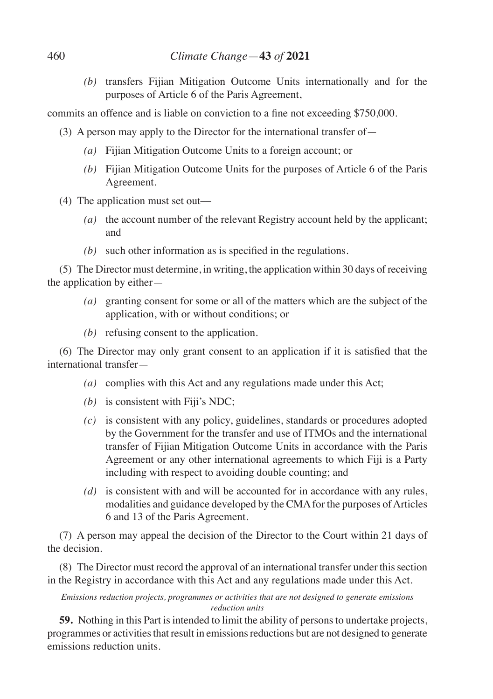*(b)* transfers Fijian Mitigation Outcome Units internationally and for the purposes of Article 6 of the Paris Agreement,

commits an offence and is liable on conviction to a fine not exceeding \$750,000.

- (3) A person may apply to the Director for the international transfer of—
	- *(a)* Fijian Mitigation Outcome Units to a foreign account; or
	- *(b)* Fijian Mitigation Outcome Units for the purposes of Article 6 of the Paris Agreement.
- (4) The application must set out––
	- *(a)* the account number of the relevant Registry account held by the applicant; and
	- *(b)* such other information as is specified in the regulations.

(5) The Director must determine, in writing, the application within 30 days of receiving the application by either—

- *(a)* granting consent for some or all of the matters which are the subject of the application, with or without conditions; or
- *(b)* refusing consent to the application.

(6) The Director may only grant consent to an application if it is satisfied that the international transfer—

- *(a)* complies with this Act and any regulations made under this Act;
- *(b)* is consistent with Fiji's NDC;
- *(c)* is consistent with any policy, guidelines, standards or procedures adopted by the Government for the transfer and use of ITMOs and the international transfer of Fijian Mitigation Outcome Units in accordance with the Paris Agreement or any other international agreements to which Fiji is a Party including with respect to avoiding double counting; and
- *(d)* is consistent with and will be accounted for in accordance with any rules, modalities and guidance developed by the CMA for the purposes of Articles 6 and 13 of the Paris Agreement.

(7) A person may appeal the decision of the Director to the Court within 21 days of the decision.

(8) The Director must record the approval of an international transfer under this section in the Registry in accordance with this Act and any regulations made under this Act.

*Emissions reduction projects, programmes or activities that are not designed to generate emissions reduction units*

**59.** Nothing in this Part is intended to limit the ability of persons to undertake projects, programmes or activities that result in emissions reductions but are not designed to generate emissions reduction units.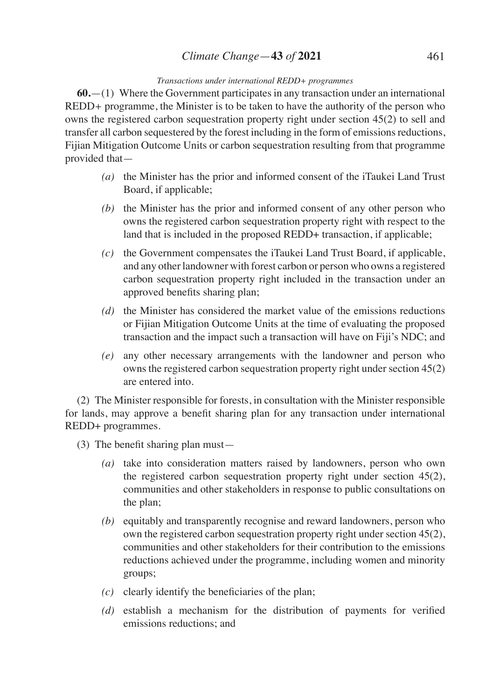# *Climate Change*—**43** *of* **2021** 461

### *Transactions under international REDD+ programmes*

**60.**—(1) Where the Government participates in any transaction under an international REDD*+* programme, the Minister is to be taken to have the authority of the person who owns the registered carbon sequestration property right under section 45(2) to sell and transfer all carbon sequestered by the forest including in the form of emissions reductions, Fijian Mitigation Outcome Units or carbon sequestration resulting from that programme provided that—

- *(a)* the Minister has the prior and informed consent of the iTaukei Land Trust Board, if applicable;
- *(b)* the Minister has the prior and informed consent of any other person who owns the registered carbon sequestration property right with respect to the land that is included in the proposed REDD+ transaction, if applicable;
- *(c)* the Government compensates the iTaukei Land Trust Board, if applicable, and any other landowner with forest carbon or person who owns a registered carbon sequestration property right included in the transaction under an approved benefits sharing plan;
- *(d)* the Minister has considered the market value of the emissions reductions or Fijian Mitigation Outcome Units at the time of evaluating the proposed transaction and the impact such a transaction will have on Fiji's NDC; and
- *(e)* any other necessary arrangements with the landowner and person who owns the registered carbon sequestration property right under section 45(2) are entered into.

(2) The Minister responsible for forests, in consultation with the Minister responsible for lands, may approve a benefit sharing plan for any transaction under international REDD+ programmes.

- (3) The benefit sharing plan must—
	- *(a)* take into consideration matters raised by landowners, person who own the registered carbon sequestration property right under section 45(2), communities and other stakeholders in response to public consultations on the plan;
	- *(b)* equitably and transparently recognise and reward landowners, person who own the registered carbon sequestration property right under section 45(2), communities and other stakeholders for their contribution to the emissions reductions achieved under the programme, including women and minority groups;
	- *(c)* clearly identify the beneficiaries of the plan;
	- *(d)* establish a mechanism for the distribution of payments for verified emissions reductions; and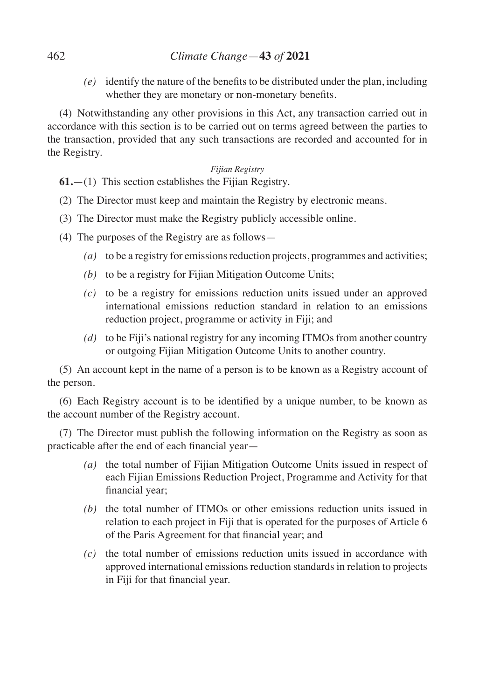# 462 *Climate Change*—**43** *of* **2021**

*(e)* identify the nature of the benefits to be distributed under the plan, including whether they are monetary or non-monetary benefits.

(4) Notwithstanding any other provisions in this Act, any transaction carried out in accordance with this section is to be carried out on terms agreed between the parties to the transaction, provided that any such transactions are recorded and accounted for in the Registry.

## *Fijian Registry*

**61.**—(1) This section establishes the Fijian Registry.

- (2) The Director must keep and maintain the Registry by electronic means.
- (3) The Director must make the Registry publicly accessible online.
- (4) The purposes of the Registry are as follows—
	- *(a)* to be a registry for emissions reduction projects, programmes and activities;
	- *(b)* to be a registry for Fijian Mitigation Outcome Units;
	- *(c)* to be a registry for emissions reduction units issued under an approved international emissions reduction standard in relation to an emissions reduction project, programme or activity in Fiji; and
	- *(d)* to be Fiji's national registry for any incoming ITMOs from another country or outgoing Fijian Mitigation Outcome Units to another country.

(5) An account kept in the name of a person is to be known as a Registry account of the person.

(6) Each Registry account is to be identified by a unique number, to be known as the account number of the Registry account.

(7) The Director must publish the following information on the Registry as soon as practicable after the end of each financial year—

- *(a)* the total number of Fijian Mitigation Outcome Units issued in respect of each Fijian Emissions Reduction Project, Programme and Activity for that financial year;
- *(b)* the total number of ITMOs or other emissions reduction units issued in relation to each project in Fiji that is operated for the purposes of Article 6 of the Paris Agreement for that financial year; and
- *(c)* the total number of emissions reduction units issued in accordance with approved international emissions reduction standards in relation to projects in Fiji for that financial year.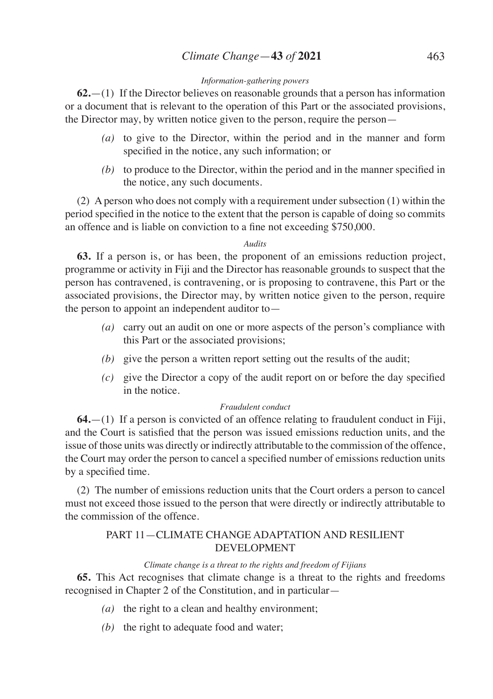# *Climate Change*—**43** *of* **2021** 463

### *Information-gathering powers*

**62.**—(1) If the Director believes on reasonable grounds that a person has information or a document that is relevant to the operation of this Part or the associated provisions, the Director may, by written notice given to the person, require the person—

- *(a)* to give to the Director, within the period and in the manner and form specified in the notice, any such information; or
- *(b)* to produce to the Director, within the period and in the manner specified in the notice, any such documents.

(2) A person who does not comply with a requirement under subsection (1) within the period specified in the notice to the extent that the person is capable of doing so commits an offence and is liable on conviction to a fine not exceeding \$750,000.

### *Audits*

**63.** If a person is, or has been, the proponent of an emissions reduction project, programme or activity in Fiji and the Director has reasonable grounds to suspect that the person has contravened, is contravening, or is proposing to contravene, this Part or the associated provisions, the Director may, by written notice given to the person, require the person to appoint an independent auditor to—

- *(a)* carry out an audit on one or more aspects of the person's compliance with this Part or the associated provisions;
- *(b)* give the person a written report setting out the results of the audit;
- *(c)* give the Director a copy of the audit report on or before the day specified in the notice.

## *Fraudulent conduct*

**64.**—(1) If a person is convicted of an offence relating to fraudulent conduct in Fiji, and the Court is satisfied that the person was issued emissions reduction units, and the issue of those units was directly or indirectly attributable to the commission of the offence, the Court may order the person to cancel a specified number of emissions reduction units by a specified time.

(2) The number of emissions reduction units that the Court orders a person to cancel must not exceed those issued to the person that were directly or indirectly attributable to the commission of the offence.

# PART 11—CLIMATE CHANGE ADAPTATION AND RESILIENT DEVELOPMENT

## *Climate change is a threat to the rights and freedom of Fijians*

**65.** This Act recognises that climate change is a threat to the rights and freedoms recognised in Chapter 2 of the Constitution, and in particular—

- *(a)* the right to a clean and healthy environment;
- *(b)* the right to adequate food and water;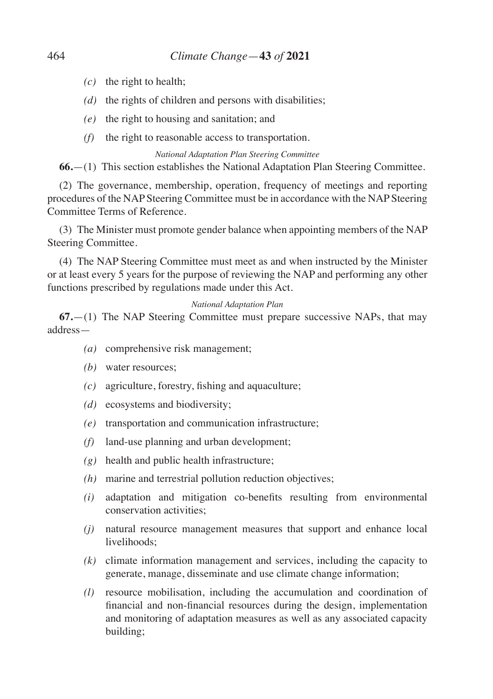- *(c)* the right to health;
- *(d)* the rights of children and persons with disabilities;
- *(e)* the right to housing and sanitation; and
- *(f)* the right to reasonable access to transportation.

*National Adaptation Plan Steering Committee*

**66.**—(1) This section establishes the National Adaptation Plan Steering Committee.

(2) The governance, membership, operation, frequency of meetings and reporting procedures of the NAP Steering Committee must be in accordance with the NAP Steering Committee Terms of Reference.

(3) The Minister must promote gender balance when appointing members of the NAP Steering Committee.

(4) The NAP Steering Committee must meet as and when instructed by the Minister or at least every 5 years for the purpose of reviewing the NAP and performing any other functions prescribed by regulations made under this Act.

#### *National Adaptation Plan*

**67.**—(1) The NAP Steering Committee must prepare successive NAPs, that may address—

- *(a)* comprehensive risk management;
- *(b)* water resources;
- *(c)* agriculture, forestry, fishing and aquaculture;
- *(d)* ecosystems and biodiversity;
- *(e)* transportation and communication infrastructure;
- *(f)* land-use planning and urban development;
- *(g)* health and public health infrastructure;
- *(h)* marine and terrestrial pollution reduction objectives;
- *(i)* adaptation and mitigation co-benefits resulting from environmental conservation activities;
- *(j)* natural resource management measures that support and enhance local livelihoods;
- *(k)* climate information management and services, including the capacity to generate, manage, disseminate and use climate change information;
- *(l)* resource mobilisation, including the accumulation and coordination of financial and non-financial resources during the design, implementation and monitoring of adaptation measures as well as any associated capacity building;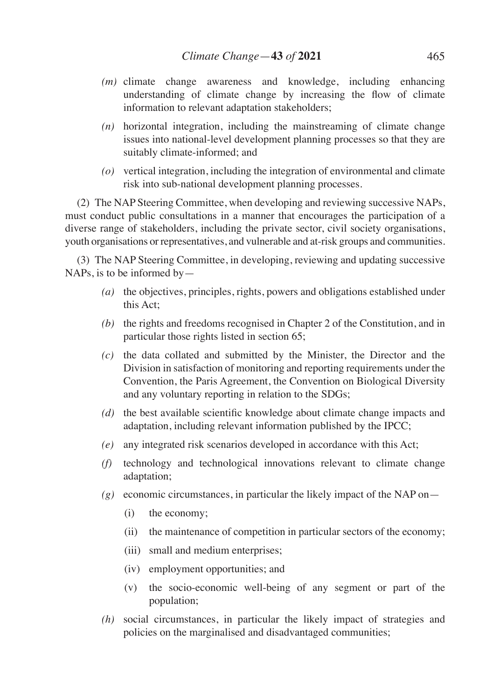- *(m)* climate change awareness and knowledge, including enhancing understanding of climate change by increasing the flow of climate information to relevant adaptation stakeholders;
- *(n)* horizontal integration, including the mainstreaming of climate change issues into national-level development planning processes so that they are suitably climate-informed; and
- *(o)* vertical integration, including the integration of environmental and climate risk into sub-national development planning processes.

(2) The NAP Steering Committee, when developing and reviewing successive NAPs, must conduct public consultations in a manner that encourages the participation of a diverse range of stakeholders, including the private sector, civil society organisations, youth organisations or representatives, and vulnerable and at-risk groups and communities.

(3) The NAP Steering Committee, in developing, reviewing and updating successive NAPs, is to be informed by—

- *(a)* the objectives, principles, rights, powers and obligations established under this Act;
- *(b)* the rights and freedoms recognised in Chapter 2 of the Constitution, and in particular those rights listed in section 65;
- *(c)* the data collated and submitted by the Minister, the Director and the Division in satisfaction of monitoring and reporting requirements under the Convention, the Paris Agreement, the Convention on Biological Diversity and any voluntary reporting in relation to the SDGs;
- *(d)* the best available scientific knowledge about climate change impacts and adaptation, including relevant information published by the IPCC;
- *(e)* any integrated risk scenarios developed in accordance with this Act;
- *(f)* technology and technological innovations relevant to climate change adaptation;
- $(g)$  economic circumstances, in particular the likely impact of the NAP on-
	- (i) the economy;
	- (ii) the maintenance of competition in particular sectors of the economy;
	- (iii) small and medium enterprises;
	- (iv) employment opportunities; and
	- (v) the socio-economic well-being of any segment or part of the population;
- *(h)* social circumstances, in particular the likely impact of strategies and policies on the marginalised and disadvantaged communities;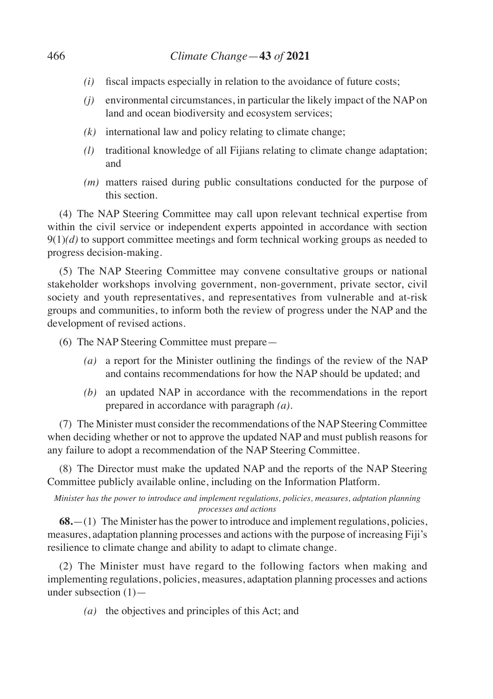- *(i)* fiscal impacts especially in relation to the avoidance of future costs;
- *(j)* environmental circumstances, in particular the likely impact of the NAP on land and ocean biodiversity and ecosystem services;
- *(k)* international law and policy relating to climate change;
- *(l)* traditional knowledge of all Fijians relating to climate change adaptation; and
- *(m)* matters raised during public consultations conducted for the purpose of this section.

(4) The NAP Steering Committee may call upon relevant technical expertise from within the civil service or independent experts appointed in accordance with section  $9(1)(d)$  to support committee meetings and form technical working groups as needed to progress decision-making.

(5) The NAP Steering Committee may convene consultative groups or national stakeholder workshops involving government, non-government, private sector, civil society and youth representatives, and representatives from vulnerable and at-risk groups and communities, to inform both the review of progress under the NAP and the development of revised actions.

(6) The NAP Steering Committee must prepare—

- *(a)* a report for the Minister outlining the findings of the review of the NAP and contains recommendations for how the NAP should be updated; and
- *(b)* an updated NAP in accordance with the recommendations in the report prepared in accordance with paragraph *(a)*.

(7) The Minister must consider the recommendations of the NAP Steering Committee when deciding whether or not to approve the updated NAP and must publish reasons for any failure to adopt a recommendation of the NAP Steering Committee.

(8) The Director must make the updated NAP and the reports of the NAP Steering Committee publicly available online, including on the Information Platform.

*Minister has the power to introduce and implement regulations, policies, measures, adptation planning processes and actions*

**68.**—(1) The Minister has the power to introduce and implement regulations, policies, measures, adaptation planning processes and actions with the purpose of increasing Fiji's resilience to climate change and ability to adapt to climate change.

(2) The Minister must have regard to the following factors when making and implementing regulations, policies, measures, adaptation planning processes and actions under subsection (1)—

*(a)* the objectives and principles of this Act; and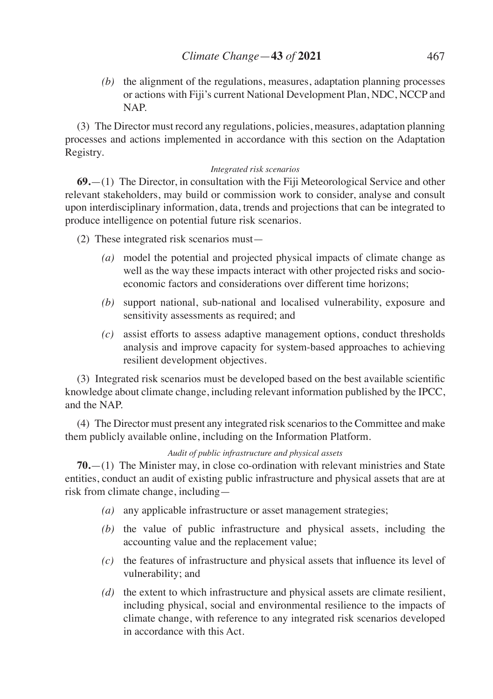*(b)* the alignment of the regulations, measures, adaptation planning processes or actions with Fiji's current National Development Plan, NDC, NCCP and NAP.

(3) The Director must record any regulations, policies, measures, adaptation planning processes and actions implemented in accordance with this section on the Adaptation Registry.

### *Integrated risk scenarios*

**69.**—(1) The Director, in consultation with the Fiji Meteorological Service and other relevant stakeholders, may build or commission work to consider, analyse and consult upon interdisciplinary information, data, trends and projections that can be integrated to produce intelligence on potential future risk scenarios.

(2) These integrated risk scenarios must—

- *(a)* model the potential and projected physical impacts of climate change as well as the way these impacts interact with other projected risks and socioeconomic factors and considerations over different time horizons;
- *(b)* support national, sub-national and localised vulnerability, exposure and sensitivity assessments as required; and
- *(c)* assist efforts to assess adaptive management options, conduct thresholds analysis and improve capacity for system-based approaches to achieving resilient development objectives.

(3) Integrated risk scenarios must be developed based on the best available scientific knowledge about climate change, including relevant information published by the IPCC, and the NAP.

(4) The Director must present any integrated risk scenarios to the Committee and make them publicly available online, including on the Information Platform.

## *Audit of public infrastructure and physical assets*

**70.**—(1) The Minister may, in close co-ordination with relevant ministries and State entities, conduct an audit of existing public infrastructure and physical assets that are at risk from climate change, including—

- *(a)* any applicable infrastructure or asset management strategies;
- *(b)* the value of public infrastructure and physical assets, including the accounting value and the replacement value;
- *(c)* the features of infrastructure and physical assets that influence its level of vulnerability; and
- *(d)* the extent to which infrastructure and physical assets are climate resilient, including physical, social and environmental resilience to the impacts of climate change, with reference to any integrated risk scenarios developed in accordance with this Act.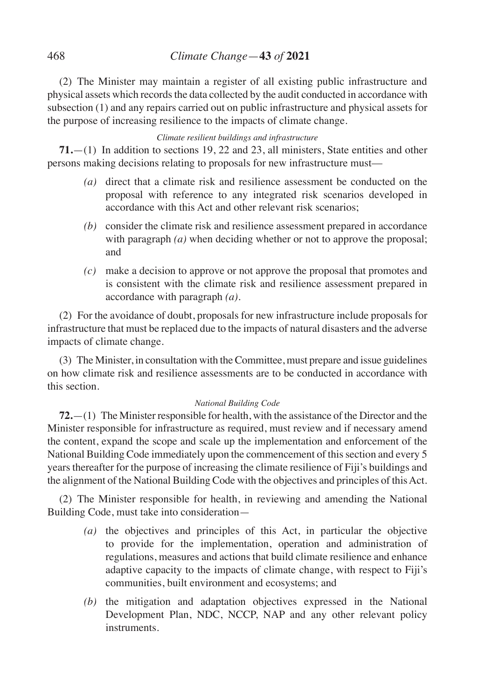(2) The Minister may maintain a register of all existing public infrastructure and physical assets which records the data collected by the audit conducted in accordance with subsection (1) and any repairs carried out on public infrastructure and physical assets for the purpose of increasing resilience to the impacts of climate change.

### *Climate resilient buildings and infrastructure*

**71.**—(1) In addition to sections 19, 22 and 23, all ministers, State entities and other persons making decisions relating to proposals for new infrastructure must––

- *(a)* direct that a climate risk and resilience assessment be conducted on the proposal with reference to any integrated risk scenarios developed in accordance with this Act and other relevant risk scenarios;
- *(b)* consider the climate risk and resilience assessment prepared in accordance with paragraph *(a)* when deciding whether or not to approve the proposal; and
- *(c)* make a decision to approve or not approve the proposal that promotes and is consistent with the climate risk and resilience assessment prepared in accordance with paragraph *(a)*.

(2) For the avoidance of doubt, proposals for new infrastructure include proposals for infrastructure that must be replaced due to the impacts of natural disasters and the adverse impacts of climate change.

(3) The Minister, in consultation with the Committee, must prepare and issue guidelines on how climate risk and resilience assessments are to be conducted in accordance with this section.

## *National Building Code*

**72.**—(1) The Minister responsible for health, with the assistance of the Director and the Minister responsible for infrastructure as required, must review and if necessary amend the content, expand the scope and scale up the implementation and enforcement of the National Building Code immediately upon the commencement of this section and every 5 years thereafter for the purpose of increasing the climate resilience of Fiji's buildings and the alignment of the National Building Code with the objectives and principles of this Act.

(2) The Minister responsible for health, in reviewing and amending the National Building Code, must take into consideration—

- *(a)* the objectives and principles of this Act, in particular the objective to provide for the implementation, operation and administration of regulations, measures and actions that build climate resilience and enhance adaptive capacity to the impacts of climate change, with respect to Fiji's communities, built environment and ecosystems; and
- *(b)* the mitigation and adaptation objectives expressed in the National Development Plan, NDC, NCCP, NAP and any other relevant policy instruments.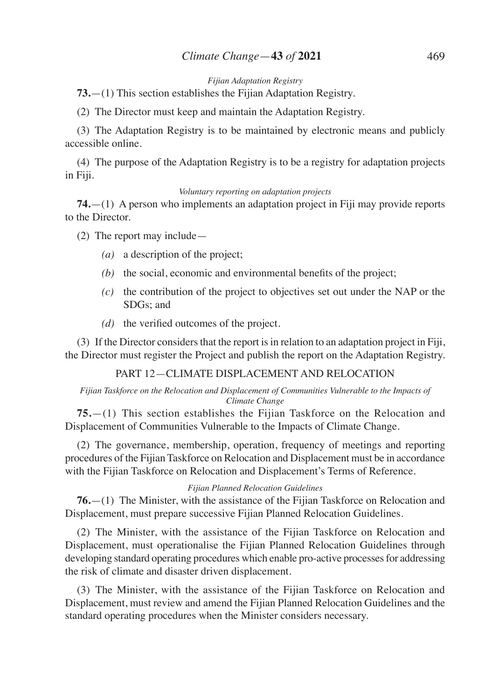#### *Fijian Adaptation Registry*

**73.**—(1) This section establishes the Fijian Adaptation Registry.

(2) The Director must keep and maintain the Adaptation Registry.

(3) The Adaptation Registry is to be maintained by electronic means and publicly accessible online.

(4) The purpose of the Adaptation Registry is to be a registry for adaptation projects in Fiji.

#### *Voluntary reporting on adaptation projects*

**74.**—(1) A person who implements an adaptation project in Fiji may provide reports to the Director.

(2) The report may include—

- *(a)* a description of the project;
- *(b)* the social, economic and environmental benefits of the project;
- *(c)* the contribution of the project to objectives set out under the NAP or the SDGs; and
- *(d)* the verified outcomes of the project.

(3) If the Director considers that the report is in relation to an adaptation project in Fiji, the Director must register the Project and publish the report on the Adaptation Registry.

## PART 12—CLIMATE DISPLACEMENT AND RELOCATION

#### *Fijian Taskforce on the Relocation and Displacement of Communities Vulnerable to the Impacts of Climate Change*

**75.**—(1) This section establishes the Fijian Taskforce on the Relocation and Displacement of Communities Vulnerable to the Impacts of Climate Change.

(2) The governance, membership, operation, frequency of meetings and reporting procedures of the Fijian Taskforce on Relocation and Displacement must be in accordance with the Fijian Taskforce on Relocation and Displacement's Terms of Reference.

#### *Fijian Planned Relocation Guidelines*

**76.**—(1) The Minister, with the assistance of the Fijian Taskforce on Relocation and Displacement, must prepare successive Fijian Planned Relocation Guidelines.

(2) The Minister, with the assistance of the Fijian Taskforce on Relocation and Displacement, must operationalise the Fijian Planned Relocation Guidelines through developing standard operating procedures which enable pro-active processes for addressing the risk of climate and disaster driven displacement.

(3) The Minister, with the assistance of the Fijian Taskforce on Relocation and Displacement, must review and amend the Fijian Planned Relocation Guidelines and the standard operating procedures when the Minister considers necessary.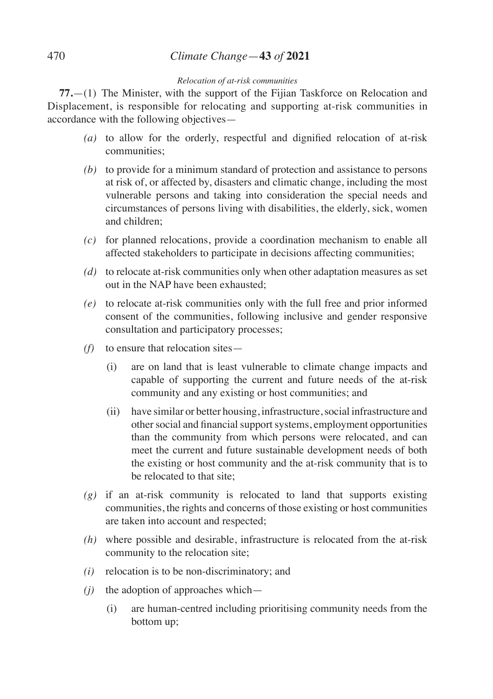# 470 *Climate Change*—**43** *of* **2021**

### *Relocation of at-risk communities*

**77.**—(1) The Minister, with the support of the Fijian Taskforce on Relocation and Displacement, is responsible for relocating and supporting at-risk communities in accordance with the following objectives—

- *(a)* to allow for the orderly, respectful and dignified relocation of at-risk communities;
- *(b)* to provide for a minimum standard of protection and assistance to persons at risk of, or affected by, disasters and climatic change, including the most vulnerable persons and taking into consideration the special needs and circumstances of persons living with disabilities, the elderly, sick, women and children;
- *(c)* for planned relocations, provide a coordination mechanism to enable all affected stakeholders to participate in decisions affecting communities;
- *(d)* to relocate at-risk communities only when other adaptation measures as set out in the NAP have been exhausted;
- *(e)* to relocate at-risk communities only with the full free and prior informed consent of the communities, following inclusive and gender responsive consultation and participatory processes;
- *(f)* to ensure that relocation sites—
	- (i) are on land that is least vulnerable to climate change impacts and capable of supporting the current and future needs of the at-risk community and any existing or host communities; and
	- (ii) have similar or better housing, infrastructure, social infrastructure and other social and financial support systems, employment opportunities than the community from which persons were relocated, and can meet the current and future sustainable development needs of both the existing or host community and the at-risk community that is to be relocated to that site;
- *(g)* if an at-risk community is relocated to land that supports existing communities, the rights and concerns of those existing or host communities are taken into account and respected;
- *(h)* where possible and desirable, infrastructure is relocated from the at-risk community to the relocation site;
- *(i)* relocation is to be non-discriminatory; and
- *(j)* the adoption of approaches which—
	- (i) are human-centred including prioritising community needs from the bottom up;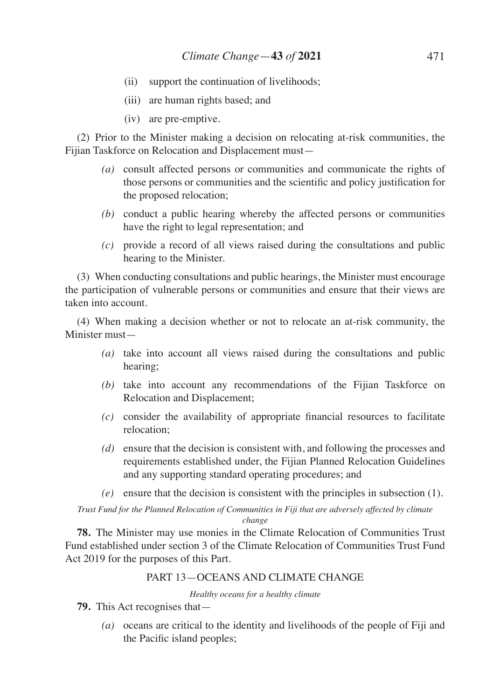- (ii) support the continuation of livelihoods;
- (iii) are human rights based; and
- (iv) are pre-emptive.

(2) Prior to the Minister making a decision on relocating at-risk communities, the Fijian Taskforce on Relocation and Displacement must—

- *(a)* consult affected persons or communities and communicate the rights of those persons or communities and the scientific and policy justification for the proposed relocation;
- *(b)* conduct a public hearing whereby the affected persons or communities have the right to legal representation; and
- *(c)* provide a record of all views raised during the consultations and public hearing to the Minister.

(3) When conducting consultations and public hearings, the Minister must encourage the participation of vulnerable persons or communities and ensure that their views are taken into account.

(4) When making a decision whether or not to relocate an at-risk community, the Minister must—

- *(a)* take into account all views raised during the consultations and public hearing;
- *(b)* take into account any recommendations of the Fijian Taskforce on Relocation and Displacement;
- *(c)* consider the availability of appropriate financial resources to facilitate relocation;
- *(d)* ensure that the decision is consistent with, and following the processes and requirements established under, the Fijian Planned Relocation Guidelines and any supporting standard operating procedures; and
- *(e)* ensure that the decision is consistent with the principles in subsection (1).

*Trust Fund for the Planned Relocation of Communities in Fiji that are adversely affected by climate change*

**78.** The Minister may use monies in the Climate Relocation of Communities Trust Fund established under section 3 of the Climate Relocation of Communities Trust Fund Act 2019 for the purposes of this Part.

### PART 13—OCEANS AND CLIMATE CHANGE

*Healthy oceans for a healthy climate*

- **79.** This Act recognises that—
	- *(a)* oceans are critical to the identity and livelihoods of the people of Fiji and the Pacific island peoples;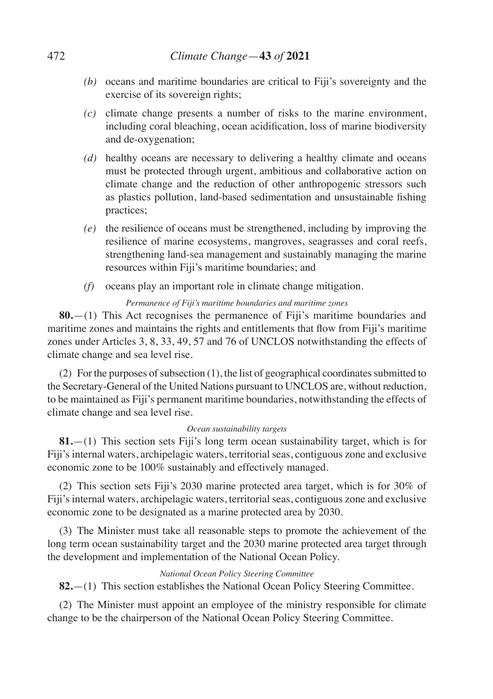- *(b)* oceans and maritime boundaries are critical to Fiji's sovereignty and the exercise of its sovereign rights;
- *(c)* climate change presents a number of risks to the marine environment, including coral bleaching, ocean acidification, loss of marine biodiversity and de-oxygenation;
- *(d)* healthy oceans are necessary to delivering a healthy climate and oceans must be protected through urgent, ambitious and collaborative action on climate change and the reduction of other anthropogenic stressors such as plastics pollution, land-based sedimentation and unsustainable fishing practices;
- *(e)* the resilience of oceans must be strengthened, including by improving the resilience of marine ecosystems, mangroves, seagrasses and coral reefs, strengthening land-sea management and sustainably managing the marine resources within Fiji's maritime boundaries; and
- *(f)* oceans play an important role in climate change mitigation.

## *Permanence of Fiji's maritime boundaries and maritime zones*

**80.**—(1) This Act recognises the permanence of Fiji's maritime boundaries and maritime zones and maintains the rights and entitlements that flow from Fiji's maritime zones under Articles 3, 8, 33, 49, 57 and 76 of UNCLOS notwithstanding the effects of climate change and sea level rise.

(2) For the purposes of subsection (1), the list of geographical coordinates submitted to the Secretary-General of the United Nations pursuant to UNCLOS are, without reduction, to be maintained as Fiji's permanent maritime boundaries, notwithstanding the effects of climate change and sea level rise.

### *Ocean sustainability targets*

**81.**—(1) This section sets Fiji's long term ocean sustainability target, which is for Fiji's internal waters, archipelagic waters, territorial seas, contiguous zone and exclusive economic zone to be 100% sustainably and effectively managed.

(2) This section sets Fiji's 2030 marine protected area target, which is for 30% of Fiji's internal waters, archipelagic waters, territorial seas, contiguous zone and exclusive economic zone to be designated as a marine protected area by 2030.

(3) The Minister must take all reasonable steps to promote the achievement of the long term ocean sustainability target and the 2030 marine protected area target through the development and implementation of the National Ocean Policy.

## *National Ocean Policy Steering Committee*

**82.**—(1) This section establishes the National Ocean Policy Steering Committee.

(2) The Minister must appoint an employee of the ministry responsible for climate change to be the chairperson of the National Ocean Policy Steering Committee.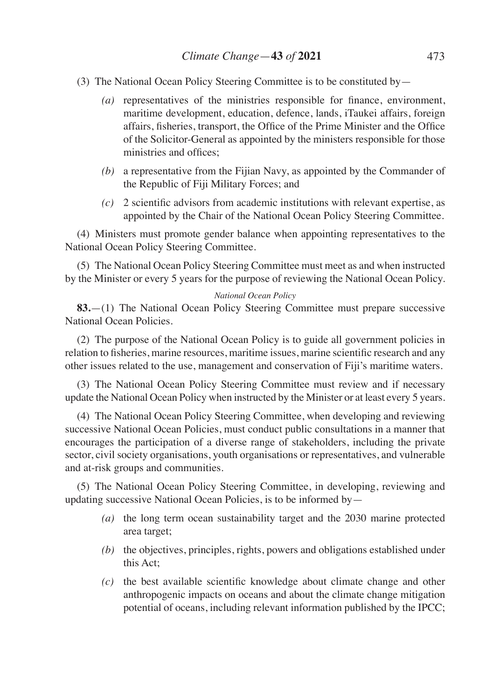- (3) The National Ocean Policy Steering Committee is to be constituted by—
	- *(a)* representatives of the ministries responsible for finance, environment, maritime development, education, defence, lands, iTaukei affairs, foreign affairs, fisheries, transport, the Office of the Prime Minister and the Office of the Solicitor-General as appointed by the ministers responsible for those ministries and offices;
	- *(b)* a representative from the Fijian Navy, as appointed by the Commander of the Republic of Fiji Military Forces; and
	- *(c)* 2 scientific advisors from academic institutions with relevant expertise, as appointed by the Chair of the National Ocean Policy Steering Committee.

(4) Ministers must promote gender balance when appointing representatives to the National Ocean Policy Steering Committee.

(5) The National Ocean Policy Steering Committee must meet as and when instructed by the Minister or every 5 years for the purpose of reviewing the National Ocean Policy.

#### *National Ocean Policy*

**83.**—(1) The National Ocean Policy Steering Committee must prepare successive National Ocean Policies.

(2) The purpose of the National Ocean Policy is to guide all government policies in relation to fisheries, marine resources, maritime issues, marine scientific research and any other issues related to the use, management and conservation of Fiji's maritime waters.

(3) The National Ocean Policy Steering Committee must review and if necessary update the National Ocean Policy when instructed by the Minister or at least every 5 years.

(4) The National Ocean Policy Steering Committee, when developing and reviewing successive National Ocean Policies, must conduct public consultations in a manner that encourages the participation of a diverse range of stakeholders, including the private sector, civil society organisations, youth organisations or representatives, and vulnerable and at-risk groups and communities.

(5) The National Ocean Policy Steering Committee, in developing, reviewing and updating successive National Ocean Policies, is to be informed by—

- *(a)* the long term ocean sustainability target and the 2030 marine protected area target;
- *(b)* the objectives, principles, rights, powers and obligations established under this Act;
- *(c)* the best available scientific knowledge about climate change and other anthropogenic impacts on oceans and about the climate change mitigation potential of oceans, including relevant information published by the IPCC;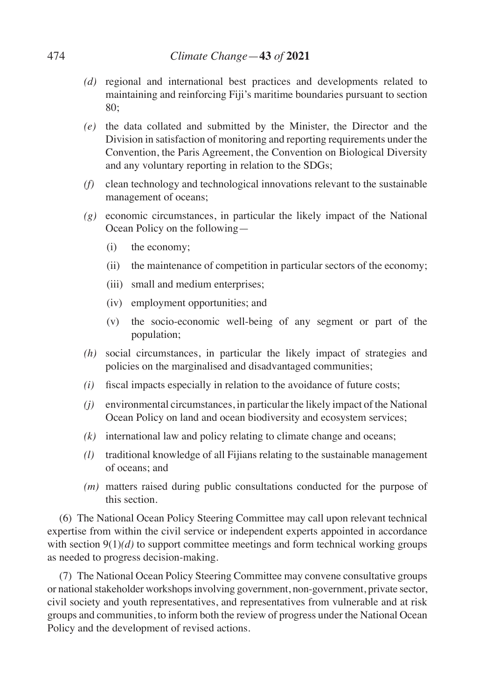- *(d)* regional and international best practices and developments related to maintaining and reinforcing Fiji's maritime boundaries pursuant to section 80;
- *(e)* the data collated and submitted by the Minister, the Director and the Division in satisfaction of monitoring and reporting requirements under the Convention, the Paris Agreement, the Convention on Biological Diversity and any voluntary reporting in relation to the SDGs;
- *(f)* clean technology and technological innovations relevant to the sustainable management of oceans;
- *(g)* economic circumstances, in particular the likely impact of the National Ocean Policy on the following—
	- (i) the economy;
	- (ii) the maintenance of competition in particular sectors of the economy;
	- (iii) small and medium enterprises;
	- (iv) employment opportunities; and
	- (v) the socio-economic well-being of any segment or part of the population;
- *(h)* social circumstances, in particular the likely impact of strategies and policies on the marginalised and disadvantaged communities;
- *(i)* fiscal impacts especially in relation to the avoidance of future costs;
- *(j)* environmental circumstances, in particular the likely impact of the National Ocean Policy on land and ocean biodiversity and ecosystem services;
- *(k)* international law and policy relating to climate change and oceans;
- *(l)* traditional knowledge of all Fijians relating to the sustainable management of oceans; and
- *(m)* matters raised during public consultations conducted for the purpose of this section.

(6) The National Ocean Policy Steering Committee may call upon relevant technical expertise from within the civil service or independent experts appointed in accordance with section  $9(1)(d)$  to support committee meetings and form technical working groups as needed to progress decision-making.

(7) The National Ocean Policy Steering Committee may convene consultative groups or national stakeholder workshops involving government, non-government, private sector, civil society and youth representatives, and representatives from vulnerable and at risk groups and communities, to inform both the review of progress under the National Ocean Policy and the development of revised actions.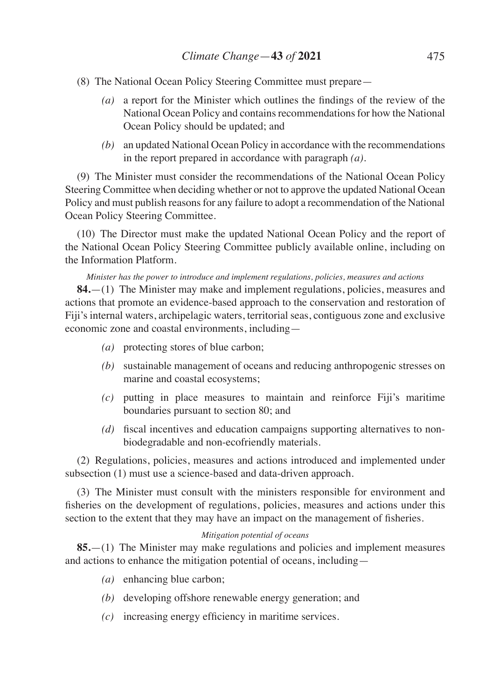- (8) The National Ocean Policy Steering Committee must prepare—
	- *(a)* a report for the Minister which outlines the findings of the review of the National Ocean Policy and contains recommendations for how the National Ocean Policy should be updated; and
	- *(b)* an updated National Ocean Policy in accordance with the recommendations in the report prepared in accordance with paragraph *(a)*.

(9) The Minister must consider the recommendations of the National Ocean Policy Steering Committee when deciding whether or not to approve the updated National Ocean Policy and must publish reasons for any failure to adopt a recommendation of the National Ocean Policy Steering Committee.

(10) The Director must make the updated National Ocean Policy and the report of the National Ocean Policy Steering Committee publicly available online, including on the Information Platform.

*Minister has the power to introduce and implement regulations, policies, measures and actions*

**84.**—(1) The Minister may make and implement regulations, policies, measures and actions that promote an evidence-based approach to the conservation and restoration of Fiji's internal waters, archipelagic waters, territorial seas, contiguous zone and exclusive economic zone and coastal environments, including—

- *(a)* protecting stores of blue carbon;
- *(b)* sustainable management of oceans and reducing anthropogenic stresses on marine and coastal ecosystems;
- *(c)* putting in place measures to maintain and reinforce Fiji's maritime boundaries pursuant to section 80; and
- *(d)* fiscal incentives and education campaigns supporting alternatives to nonbiodegradable and non-ecofriendly materials.

(2) Regulations, policies, measures and actions introduced and implemented under subsection (1) must use a science-based and data-driven approach.

(3) The Minister must consult with the ministers responsible for environment and fisheries on the development of regulations, policies, measures and actions under this section to the extent that they may have an impact on the management of fisheries.

### *Mitigation potential of oceans*

**85.**—(1) The Minister may make regulations and policies and implement measures and actions to enhance the mitigation potential of oceans, including—

- *(a)* enhancing blue carbon;
- *(b)* developing offshore renewable energy generation; and
- *(c)* increasing energy efficiency in maritime services.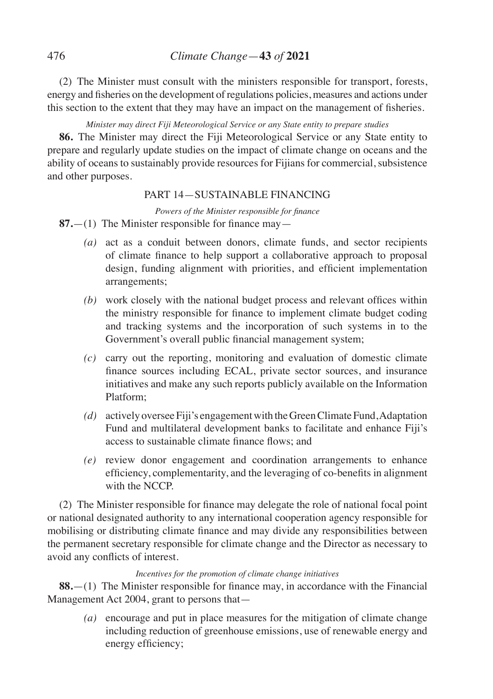(2) The Minister must consult with the ministers responsible for transport, forests, energy and fisheries on the development ofregulations policies, measures and actions under this section to the extent that they may have an impact on the management of fisheries.

# *Minister may direct Fiji Meteorological Service or any State entity to prepare studies*

**86.** The Minister may direct the Fiji Meteorological Service or any State entity to prepare and regularly update studies on the impact of climate change on oceans and the ability of oceans to sustainably provide resources for Fijians for commercial, subsistence and other purposes.

# PART 14—SUSTAINABLE FINANCING

*Powers of the Minister responsible for finance*

**87.**—(1) The Minister responsible for finance may—

- *(a)* act as a conduit between donors, climate funds, and sector recipients of climate finance to help support a collaborative approach to proposal design, funding alignment with priorities, and efficient implementation arrangements;
- *(b)* work closely with the national budget process and relevant offices within the ministry responsible for finance to implement climate budget coding and tracking systems and the incorporation of such systems in to the Government's overall public financial management system;
- *(c)* carry out the reporting, monitoring and evaluation of domestic climate finance sources including ECAL, private sector sources, and insurance initiatives and make any such reports publicly available on the Information Platform;
- *(d)* actively oversee Fiji's engagement with the Green Climate Fund, Adaptation Fund and multilateral development banks to facilitate and enhance Fiji's access to sustainable climate finance flows; and
- *(e)* review donor engagement and coordination arrangements to enhance efficiency, complementarity, and the leveraging of co-benefits in alignment with the NCCP.

(2) The Minister responsible for finance may delegate the role of national focal point or national designated authority to any international cooperation agency responsible for mobilising or distributing climate finance and may divide any responsibilities between the permanent secretary responsible for climate change and the Director as necessary to avoid any conflicts of interest.

## *Incentives for the promotion of climate change initiatives*

**88.**—(1) The Minister responsible for finance may, in accordance with the Financial Management Act 2004, grant to persons that—

*(a)* encourage and put in place measures for the mitigation of climate change including reduction of greenhouse emissions, use of renewable energy and energy efficiency;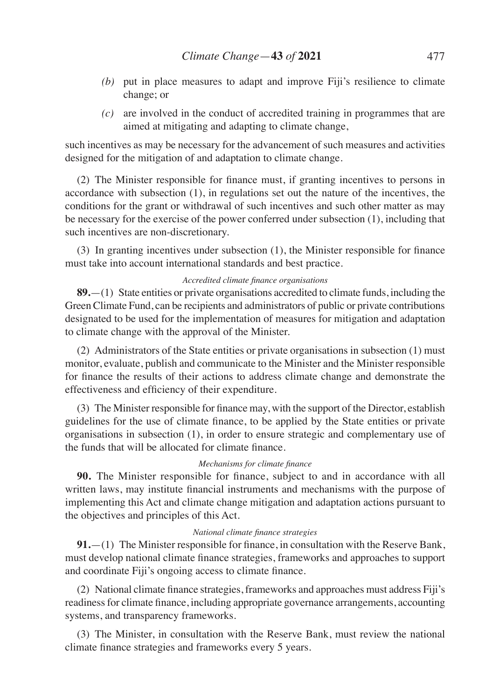- *(b)* put in place measures to adapt and improve Fiji's resilience to climate change; or
- *(c)* are involved in the conduct of accredited training in programmes that are aimed at mitigating and adapting to climate change,

such incentives as may be necessary for the advancement of such measures and activities designed for the mitigation of and adaptation to climate change.

(2) The Minister responsible for finance must, if granting incentives to persons in accordance with subsection (1), in regulations set out the nature of the incentives, the conditions for the grant or withdrawal of such incentives and such other matter as may be necessary for the exercise of the power conferred under subsection (1), including that such incentives are non-discretionary.

(3) In granting incentives under subsection (1), the Minister responsible for finance must take into account international standards and best practice.

#### *Accredited climate finance organisations*

**89.**—(1) State entities or private organisations accredited to climate funds, including the Green Climate Fund, can be recipients and administrators of public or private contributions designated to be used for the implementation of measures for mitigation and adaptation to climate change with the approval of the Minister.

(2) Administrators of the State entities or private organisations in subsection (1) must monitor, evaluate, publish and communicate to the Minister and the Minister responsible for finance the results of their actions to address climate change and demonstrate the effectiveness and efficiency of their expenditure.

(3) The Minister responsible for finance may, with the support of the Director, establish guidelines for the use of climate finance, to be applied by the State entities or private organisations in subsection (1), in order to ensure strategic and complementary use of the funds that will be allocated for climate finance.

#### *Mechanisms for climate finance*

**90.** The Minister responsible for finance, subject to and in accordance with all written laws, may institute financial instruments and mechanisms with the purpose of implementing this Act and climate change mitigation and adaptation actions pursuant to the objectives and principles of this Act.

### *National climate finance strategies*

**91.**—(1) The Minister responsible for finance, in consultation with the Reserve Bank, must develop national climate finance strategies, frameworks and approaches to support and coordinate Fiji's ongoing access to climate finance.

(2) National climate finance strategies, frameworks and approaches must address Fiji's readinessfor climate finance, including appropriate governance arrangements, accounting systems, and transparency frameworks.

(3) The Minister, in consultation with the Reserve Bank, must review the national climate finance strategies and frameworks every 5 years.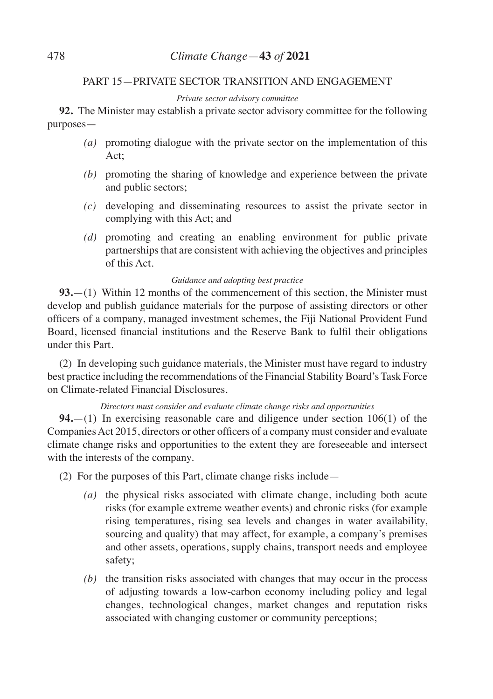# PART 15—PRIVATE SECTOR TRANSITION AND ENGAGEMENT

### *Private sector advisory committee*

**92.** The Minister may establish a private sector advisory committee for the following purposes—

- *(a)* promoting dialogue with the private sector on the implementation of this Act;
- *(b)* promoting the sharing of knowledge and experience between the private and public sectors;
- *(c)* developing and disseminating resources to assist the private sector in complying with this Act; and
- *(d)* promoting and creating an enabling environment for public private partnerships that are consistent with achieving the objectives and principles of this Act.

### *Guidance and adopting best practice*

**93.**—(1) Within 12 months of the commencement of this section, the Minister must develop and publish guidance materials for the purpose of assisting directors or other officers of a company, managed investment schemes, the Fiji National Provident Fund Board, licensed financial institutions and the Reserve Bank to fulfil their obligations under this Part.

(2) In developing such guidance materials, the Minister must have regard to industry best practice including the recommendations of the Financial Stability Board's Task Force on Climate-related Financial Disclosures.

*Directors must consider and evaluate climate change risks and opportunities* 

**94.**—(1) In exercising reasonable care and diligence under section 106(1) of the Companies Act 2015, directors or other officers of a company must consider and evaluate climate change risks and opportunities to the extent they are foreseeable and intersect with the interests of the company.

(2) For the purposes of this Part, climate change risks include—

- *(a)* the physical risks associated with climate change, including both acute risks (for example extreme weather events) and chronic risks (for example rising temperatures, rising sea levels and changes in water availability, sourcing and quality) that may affect, for example, a company's premises and other assets, operations, supply chains, transport needs and employee safety;
- *(b)* the transition risks associated with changes that may occur in the process of adjusting towards a low-carbon economy including policy and legal changes, technological changes, market changes and reputation risks associated with changing customer or community perceptions;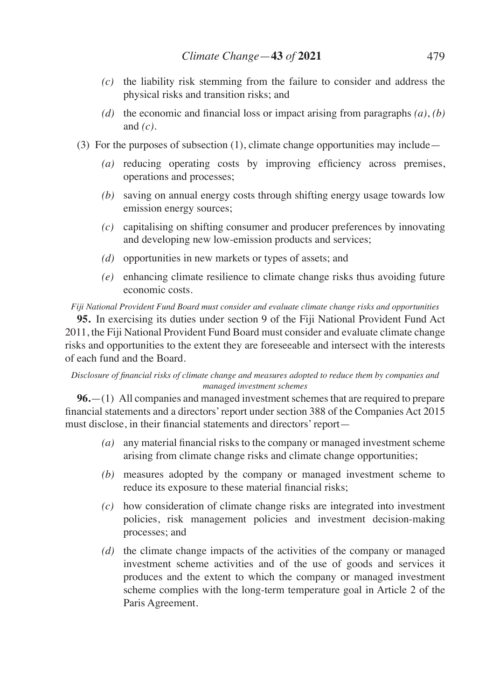- *(c)* the liability risk stemming from the failure to consider and address the physical risks and transition risks; and
- *(d)* the economic and financial loss or impact arising from paragraphs *(a)*, *(b)* and *(c)*.
- (3) For the purposes of subsection (1), climate change opportunities may include—
	- *(a)* reducing operating costs by improving efficiency across premises, operations and processes;
	- *(b)* saving on annual energy costs through shifting energy usage towards low emission energy sources;
	- *(c)* capitalising on shifting consumer and producer preferences by innovating and developing new low-emission products and services;
	- *(d)* opportunities in new markets or types of assets; and
	- *(e)* enhancing climate resilience to climate change risks thus avoiding future economic costs.

*Fiji National Provident Fund Board must consider and evaluate climate change risks and opportunities*

**95.** In exercising its duties under section 9 of the Fiji National Provident Fund Act 2011, the Fiji National Provident Fund Board must consider and evaluate climate change risks and opportunities to the extent they are foreseeable and intersect with the interests of each fund and the Board.

### *Disclosure of financial risks of climate change and measures adopted to reduce them by companies and managed investment schemes*

**96.**—(1) All companies and managed investment schemes that are required to prepare financial statements and a directors'report under section 388 of the Companies Act 2015 must disclose, in their financial statements and directors' report—

- *(a)* any material financial risks to the company or managed investment scheme arising from climate change risks and climate change opportunities;
- *(b)* measures adopted by the company or managed investment scheme to reduce its exposure to these material financial risks;
- *(c)* how consideration of climate change risks are integrated into investment policies, risk management policies and investment decision-making processes; and
- *(d)* the climate change impacts of the activities of the company or managed investment scheme activities and of the use of goods and services it produces and the extent to which the company or managed investment scheme complies with the long-term temperature goal in Article 2 of the Paris Agreement.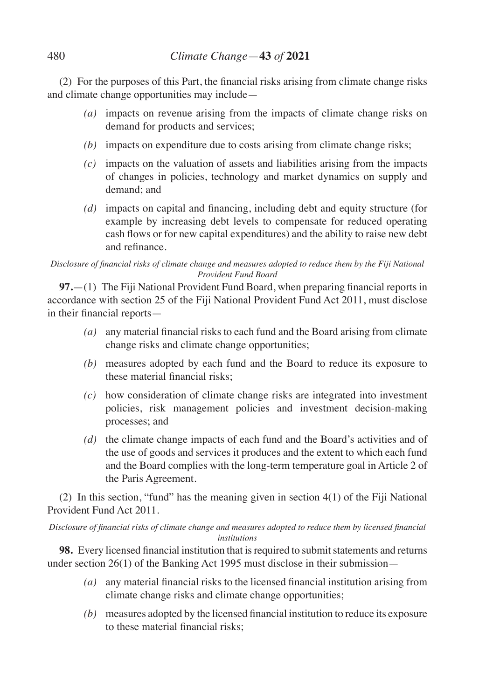(2) For the purposes of this Part, the financial risks arising from climate change risks and climate change opportunities may include—

- *(a)* impacts on revenue arising from the impacts of climate change risks on demand for products and services;
- *(b)* impacts on expenditure due to costs arising from climate change risks;
- *(c)* impacts on the valuation of assets and liabilities arising from the impacts of changes in policies, technology and market dynamics on supply and demand; and
- *(d)* impacts on capital and financing, including debt and equity structure (for example by increasing debt levels to compensate for reduced operating cash flows or for new capital expenditures) and the ability to raise new debt and refinance.

# *Disclosure of financial risks of climate change and measures adopted to reduce them by the Fiji National Provident Fund Board*

**97.**—(1) The Fiji National Provident Fund Board, when preparing financial reports in accordance with section 25 of the Fiji National Provident Fund Act 2011, must disclose in their financial reports—

- *(a)* any material financial risks to each fund and the Board arising from climate change risks and climate change opportunities;
- *(b)* measures adopted by each fund and the Board to reduce its exposure to these material financial risks;
- *(c)* how consideration of climate change risks are integrated into investment policies, risk management policies and investment decision-making processes; and
- *(d)* the climate change impacts of each fund and the Board's activities and of the use of goods and services it produces and the extent to which each fund and the Board complies with the long-term temperature goal in Article 2 of the Paris Agreement.

(2) In this section, "fund" has the meaning given in section 4(1) of the Fiji National Provident Fund Act 2011.

*Disclosure of financial risks of climate change and measures adopted to reduce them by licensed financial institutions*

**98.** Every licensed financial institution that is required to submit statements and returns under section 26(1) of the Banking Act 1995 must disclose in their submission—

- *(a)* any material financial risks to the licensed financial institution arising from climate change risks and climate change opportunities;
- *(b)* measures adopted by the licensed financial institution to reduce its exposure to these material financial risks;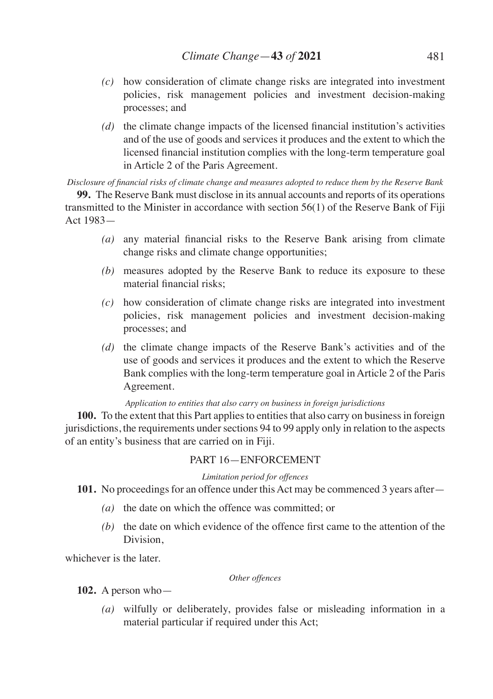- *(c)* how consideration of climate change risks are integrated into investment policies, risk management policies and investment decision-making processes; and
- *(d)* the climate change impacts of the licensed financial institution's activities and of the use of goods and services it produces and the extent to which the licensed financial institution complies with the long-term temperature goal in Article 2 of the Paris Agreement.

*Disclosure of financial risks of climate change and measures adopted to reduce them by the Reserve Bank*

**99.** The Reserve Bank must disclose in its annual accounts and reports of its operations transmitted to the Minister in accordance with section 56(1) of the Reserve Bank of Fiji Act 1983—

- *(a)* any material financial risks to the Reserve Bank arising from climate change risks and climate change opportunities;
- *(b)* measures adopted by the Reserve Bank to reduce its exposure to these material financial risks;
- *(c)* how consideration of climate change risks are integrated into investment policies, risk management policies and investment decision-making processes; and
- *(d)* the climate change impacts of the Reserve Bank's activities and of the use of goods and services it produces and the extent to which the Reserve Bank complies with the long-term temperature goal in Article 2 of the Paris Agreement.

### *Application to entities that also carry on business in foreign jurisdictions*

**100.** To the extent that this Part applies to entities that also carry on business in foreign jurisdictions, the requirements under sections 94 to 99 apply only in relation to the aspects of an entity's business that are carried on in Fiji.

# PART 16—ENFORCEMENT

### *Limitation period for offences*

**101.** No proceedings for an offence under this Act may be commenced 3 years after—

- *(a)* the date on which the offence was committed; or
- *(b)* the date on which evidence of the offence first came to the attention of the Division,

whichever is the later.

### *Other offences*

**102.** A person who—

*(a)* wilfully or deliberately, provides false or misleading information in a material particular if required under this Act;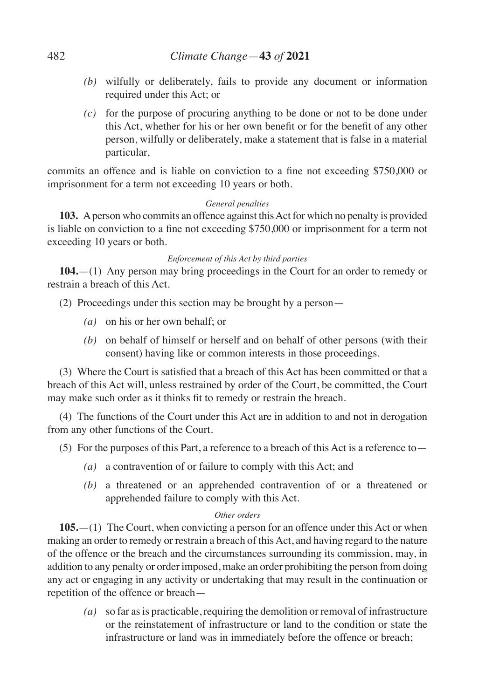- *(b)* wilfully or deliberately, fails to provide any document or information required under this Act; or
- *(c)* for the purpose of procuring anything to be done or not to be done under this Act, whether for his or her own benefit or for the benefit of any other person, wilfully or deliberately, make a statement that is false in a material particular,

commits an offence and is liable on conviction to a fine not exceeding \$750,000 or imprisonment for a term not exceeding 10 years or both.

# *General penalties*

**103.** A person who commits an offence against this Act for which no penalty is provided is liable on conviction to a fine not exceeding \$750,000 or imprisonment for a term not exceeding 10 years or both.

# *Enforcement of this Act by third parties*

**104.**—(1) Any person may bring proceedings in the Court for an order to remedy or restrain a breach of this Act.

(2) Proceedings under this section may be brought by a person—

- *(a)* on his or her own behalf; or
- *(b)* on behalf of himself or herself and on behalf of other persons (with their consent) having like or common interests in those proceedings.

(3) Where the Court is satisfied that a breach of this Act has been committed or that a breach of this Act will, unless restrained by order of the Court, be committed, the Court may make such order as it thinks fit to remedy or restrain the breach.

(4) The functions of the Court under this Act are in addition to and not in derogation from any other functions of the Court.

(5) For the purposes of this Part, a reference to a breach of this Act is a reference to—

- *(a)* a contravention of or failure to comply with this Act; and
- *(b)* a threatened or an apprehended contravention of or a threatened or apprehended failure to comply with this Act.

### *Other orders*

**105.**—(1) The Court, when convicting a person for an offence under this Act or when making an order to remedy or restrain a breach of this Act, and having regard to the nature of the offence or the breach and the circumstances surrounding its commission, may, in addition to any penalty or order imposed, make an order prohibiting the person from doing any act or engaging in any activity or undertaking that may result in the continuation or repetition of the offence or breach—

*(a)* so far as is practicable, requiring the demolition or removal of infrastructure or the reinstatement of infrastructure or land to the condition or state the infrastructure or land was in immediately before the offence or breach;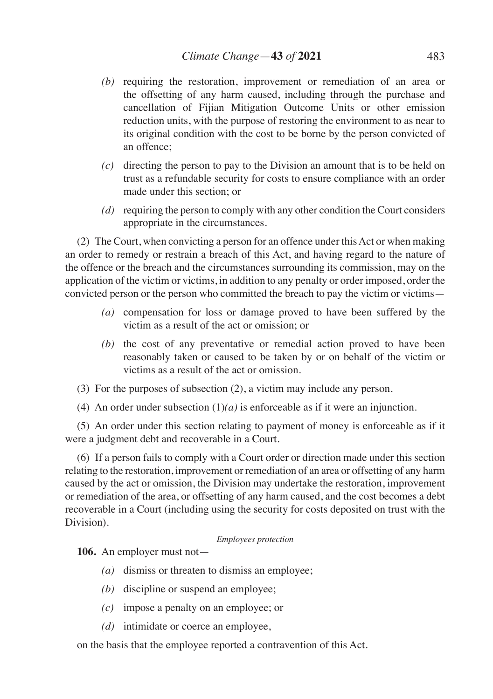- *(b)* requiring the restoration, improvement or remediation of an area or the offsetting of any harm caused, including through the purchase and cancellation of Fijian Mitigation Outcome Units or other emission reduction units, with the purpose of restoring the environment to as near to its original condition with the cost to be borne by the person convicted of an offence;
- *(c)* directing the person to pay to the Division an amount that is to be held on trust as a refundable security for costs to ensure compliance with an order made under this section; or
- *(d)* requiring the person to comply with any other condition the Court considers appropriate in the circumstances.

(2) The Court, when convicting a person for an offence under this Act or when making an order to remedy or restrain a breach of this Act, and having regard to the nature of the offence or the breach and the circumstances surrounding its commission, may on the application of the victim or victims, in addition to any penalty or order imposed, order the convicted person or the person who committed the breach to pay the victim or victims—

- *(a)* compensation for loss or damage proved to have been suffered by the victim as a result of the act or omission; or
- *(b)* the cost of any preventative or remedial action proved to have been reasonably taken or caused to be taken by or on behalf of the victim or victims as a result of the act or omission.
- (3) For the purposes of subsection (2), a victim may include any person.
- (4) An order under subsection  $(1)(a)$  is enforceable as if it were an injunction.

(5) An order under this section relating to payment of money is enforceable as if it were a judgment debt and recoverable in a Court.

(6) If a person fails to comply with a Court order or direction made under this section relating to the restoration, improvement or remediation of an area or offsetting of any harm caused by the act or omission, the Division may undertake the restoration, improvement or remediation of the area, or offsetting of any harm caused, and the cost becomes a debt recoverable in a Court (including using the security for costs deposited on trust with the Division).

### *Employees protection*

**106.** An employer must not—

- *(a)* dismiss or threaten to dismiss an employee;
- *(b)* discipline or suspend an employee;
- *(c)* impose a penalty on an employee; or
- *(d)* intimidate or coerce an employee,

on the basis that the employee reported a contravention of this Act.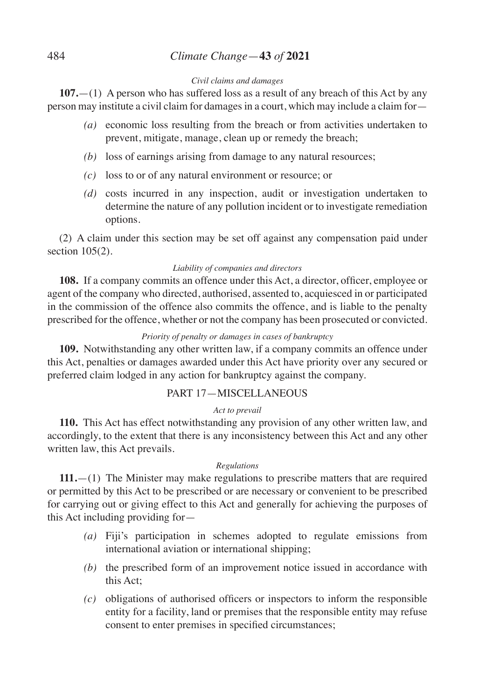# 484 *Climate Change*—**43** *of* **2021**

### *Civil claims and damages*

**107.**—(1) A person who has suffered loss as a result of any breach of this Act by any person may institute a civil claim for damages in a court, which may include a claim for—

- *(a)* economic loss resulting from the breach or from activities undertaken to prevent, mitigate, manage, clean up or remedy the breach;
- *(b)* loss of earnings arising from damage to any natural resources;
- *(c)* loss to or of any natural environment or resource; or
- *(d)* costs incurred in any inspection, audit or investigation undertaken to determine the nature of any pollution incident or to investigate remediation options.

(2) A claim under this section may be set off against any compensation paid under section 105(2).

# *Liability of companies and directors*

**108.** If a company commits an offence under this Act, a director, officer, employee or agent of the company who directed, authorised, assented to, acquiesced in or participated in the commission of the offence also commits the offence, and is liable to the penalty prescribed for the offence, whether or not the company has been prosecuted or convicted.

# *Priority of penalty or damages in cases of bankruptcy*

**109.** Notwithstanding any other written law, if a company commits an offence under this Act, penalties or damages awarded under this Act have priority over any secured or preferred claim lodged in any action for bankruptcy against the company.

# PART 17—MISCELLANEOUS

# *Act to prevail*

**110.** This Act has effect notwithstanding any provision of any other written law, and accordingly, to the extent that there is any inconsistency between this Act and any other written law, this Act prevails.

# *Regulations*

**111.**—(1) The Minister may make regulations to prescribe matters that are required or permitted by this Act to be prescribed or are necessary or convenient to be prescribed for carrying out or giving effect to this Act and generally for achieving the purposes of this Act including providing for—

- *(a)* Fiji's participation in schemes adopted to regulate emissions from international aviation or international shipping;
- *(b)* the prescribed form of an improvement notice issued in accordance with this Act;
- *(c)* obligations of authorised officers or inspectors to inform the responsible entity for a facility, land or premises that the responsible entity may refuse consent to enter premises in specified circumstances;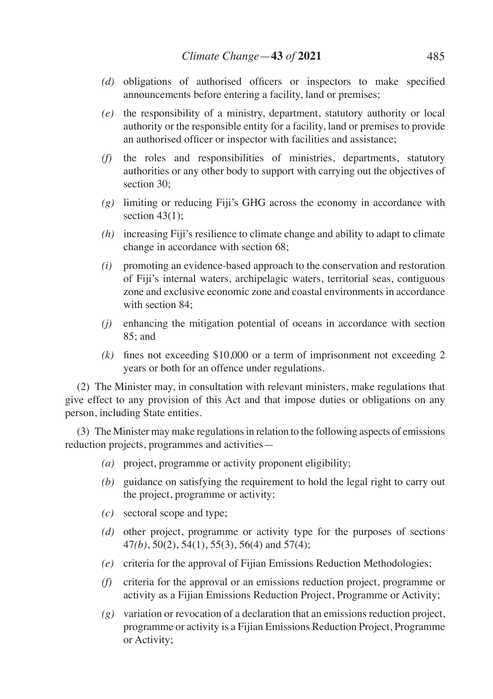- *(d)* obligations of authorised officers or inspectors to make specified announcements before entering a facility, land or premises;
- *(e)* the responsibility of a ministry, department, statutory authority or local authority or the responsible entity for a facility, land or premises to provide an authorised officer or inspector with facilities and assistance;
- *(f)* the roles and responsibilities of ministries, departments, statutory authorities or any other body to support with carrying out the objectives of section 30:
- *(g)* limiting or reducing Fiji's GHG across the economy in accordance with section  $43(1)$ ;
- *(h)* increasing Fiji's resilience to climate change and ability to adapt to climate change in accordance with section 68;
- *(i)* promoting an evidence-based approach to the conservation and restoration of Fiji's internal waters, archipelagic waters, territorial seas, contiguous zone and exclusive economic zone and coastal environments in accordance with section 84.
- *(j)* enhancing the mitigation potential of oceans in accordance with section 85; and
- *(k)* fines not exceeding \$10,000 or a term of imprisonment not exceeding 2 years or both for an offence under regulations.

(2) The Minister may, in consultation with relevant ministers, make regulations that give effect to any provision of this Act and that impose duties or obligations on any person, including State entities.

(3) The Minister may make regulations in relation to the following aspects of emissions reduction projects, programmes and activities—

- *(a)* project, programme or activity proponent eligibility;
- *(b)* guidance on satisfying the requirement to hold the legal right to carry out the project, programme or activity;
- *(c)* sectoral scope and type;
- *(d)* other project, programme or activity type for the purposes of sections 47*(b)*, 50(2), 54(1), 55(3), 56(4) and 57(4);
- *(e)* criteria for the approval of Fijian Emissions Reduction Methodologies;
- *(f)* criteria for the approval or an emissions reduction project, programme or activity as a Fijian Emissions Reduction Project, Programme or Activity;
- *(g)* variation or revocation of a declaration that an emissions reduction project, programme or activity is a Fijian Emissions Reduction Project, Programme or Activity;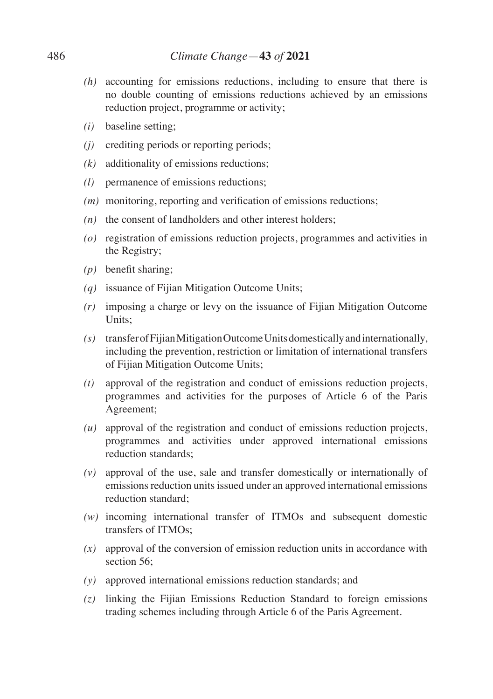- *(h)* accounting for emissions reductions, including to ensure that there is no double counting of emissions reductions achieved by an emissions reduction project, programme or activity;
- *(i)* baseline setting;
- *(j)* crediting periods or reporting periods;
- *(k)* additionality of emissions reductions;
- *(l)* permanence of emissions reductions;
- *(m)* monitoring, reporting and verification of emissions reductions;
- *(n)* the consent of landholders and other interest holders;
- *(o)* registration of emissions reduction projects, programmes and activities in the Registry;
- *(p)* benefit sharing;
- *(q)* issuance of Fijian Mitigation Outcome Units;
- *(r)* imposing a charge or levy on the issuance of Fijian Mitigation Outcome Units;
- *(s)* transfer of Fijian Mitigation Outcome Units domestically and internationally, including the prevention, restriction or limitation of international transfers of Fijian Mitigation Outcome Units;
- *(t)* approval of the registration and conduct of emissions reduction projects, programmes and activities for the purposes of Article 6 of the Paris Agreement;
- *(u)* approval of the registration and conduct of emissions reduction projects, programmes and activities under approved international emissions reduction standards;
- *(v)* approval of the use, sale and transfer domestically or internationally of emissions reduction units issued under an approved international emissions reduction standard;
- *(w)* incoming international transfer of ITMOs and subsequent domestic transfers of ITMOs;
- *(x)* approval of the conversion of emission reduction units in accordance with section 56:
- *(y)* approved international emissions reduction standards; and
- *(z)* linking the Fijian Emissions Reduction Standard to foreign emissions trading schemes including through Article 6 of the Paris Agreement.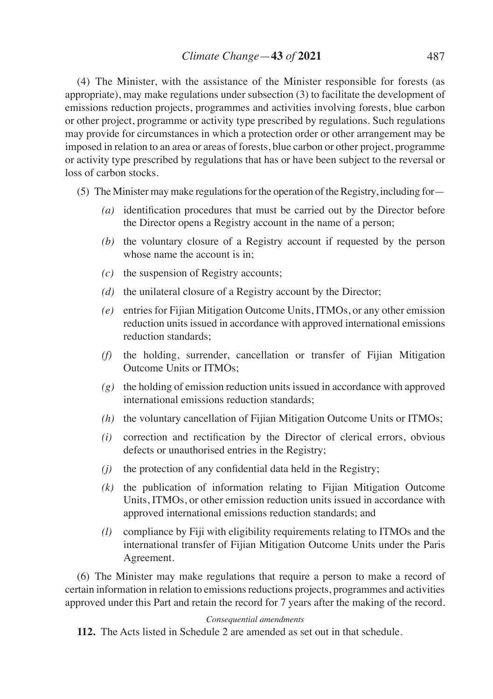(4) The Minister, with the assistance of the Minister responsible for forests (as appropriate), may make regulations under subsection (3) to facilitate the development of emissions reduction projects, programmes and activities involving forests, blue carbon or other project, programme or activity type prescribed by regulations. Such regulations may provide for circumstances in which a protection order or other arrangement may be imposed in relation to an area or areas of forests, blue carbon or other project, programme or activity type prescribed by regulations that has or have been subject to the reversal or loss of carbon stocks.

- (5) The Minister may make regulations for the operation of the Registry, including for—
	- *(a)* identification procedures that must be carried out by the Director before the Director opens a Registry account in the name of a person;
	- *(b)* the voluntary closure of a Registry account if requested by the person whose name the account is in:
	- *(c)* the suspension of Registry accounts;
	- *(d)* the unilateral closure of a Registry account by the Director;
	- *(e)* entries for Fijian Mitigation Outcome Units, ITMOs, or any other emission reduction units issued in accordance with approved international emissions reduction standards;
	- *(f)* the holding, surrender, cancellation or transfer of Fijian Mitigation Outcome Units or ITMOs;
	- *(g)* the holding of emission reduction units issued in accordance with approved international emissions reduction standards;
	- *(h)* the voluntary cancellation of Fijian Mitigation Outcome Units or ITMOs;
	- *(i)* correction and rectification by the Director of clerical errors, obvious defects or unauthorised entries in the Registry;
	- *(j)* the protection of any confidential data held in the Registry;
	- *(k)* the publication of information relating to Fijian Mitigation Outcome Units, ITMOs, or other emission reduction units issued in accordance with approved international emissions reduction standards; and
	- *(l)* compliance by Fiji with eligibility requirements relating to ITMOs and the international transfer of Fijian Mitigation Outcome Units under the Paris Agreement.

(6) The Minister may make regulations that require a person to make a record of certain information in relation to emissions reductions projects, programmes and activities approved under this Part and retain the record for 7 years after the making of the record.

### *Consequential amendments*

**112.** The Acts listed in Schedule 2 are amended as set out in that schedule.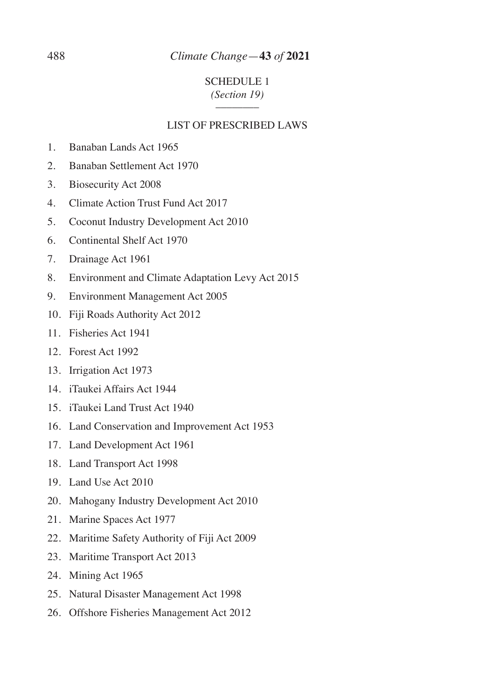# 488 *Climate Change*—**43** *of* **2021**

# SCHEDULE 1 *(Section 19)*  $\overline{\phantom{a}}$  ,  $\overline{\phantom{a}}$  ,  $\overline{\phantom{a}}$  ,  $\overline{\phantom{a}}$  ,  $\overline{\phantom{a}}$  ,  $\overline{\phantom{a}}$  ,  $\overline{\phantom{a}}$  ,  $\overline{\phantom{a}}$  ,  $\overline{\phantom{a}}$  ,  $\overline{\phantom{a}}$  ,  $\overline{\phantom{a}}$  ,  $\overline{\phantom{a}}$  ,  $\overline{\phantom{a}}$  ,  $\overline{\phantom{a}}$  ,  $\overline{\phantom{a}}$  ,  $\overline{\phantom{a}}$

### LIST OF PRESCRIBED LAWS

- 1. Banaban Lands Act 1965
- 2. Banaban Settlement Act 1970
- 3. Biosecurity Act 2008
- 4. Climate Action Trust Fund Act 2017
- 5. Coconut Industry Development Act 2010
- 6. Continental Shelf Act 1970
- 7. Drainage Act 1961
- 8. Environment and Climate Adaptation Levy Act 2015
- 9. Environment Management Act 2005
- 10. Fiji Roads Authority Act 2012
- 11. Fisheries Act 1941
- 12. Forest Act 1992
- 13. Irrigation Act 1973
- 14. iTaukei Affairs Act 1944
- 15. iTaukei Land Trust Act 1940
- 16. Land Conservation and Improvement Act 1953
- 17. Land Development Act 1961
- 18. Land Transport Act 1998
- 19. Land Use Act 2010
- 20. Mahogany Industry Development Act 2010
- 21. Marine Spaces Act 1977
- 22. Maritime Safety Authority of Fiji Act 2009
- 23. Maritime Transport Act 2013
- 24. Mining Act 1965
- 25. Natural Disaster Management Act 1998
- 26. Offshore Fisheries Management Act 2012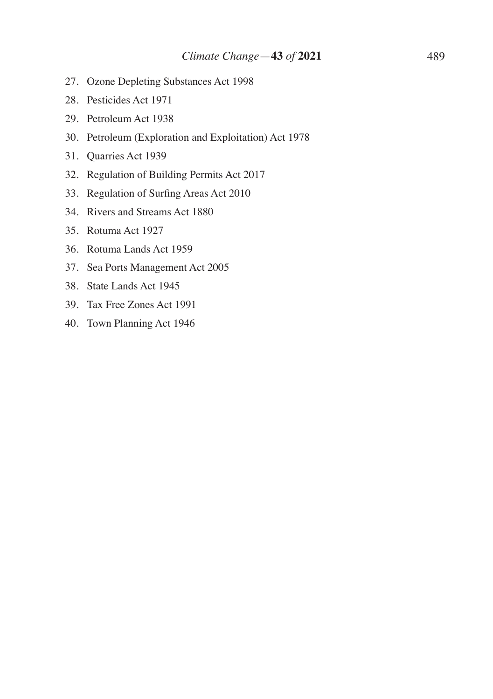- 27. Ozone Depleting Substances Act 1998
- 28. Pesticides Act 1971
- 29. Petroleum Act 1938
- 30. Petroleum (Exploration and Exploitation) Act 1978
- 31. Quarries Act 1939
- 32. Regulation of Building Permits Act 2017
- 33. Regulation of Surfing Areas Act 2010
- 34. Rivers and Streams Act 1880
- 35. Rotuma Act 1927
- 36. Rotuma Lands Act 1959
- 37. Sea Ports Management Act 2005
- 38. State Lands Act 1945
- 39. Tax Free Zones Act 1991
- 40. Town Planning Act 1946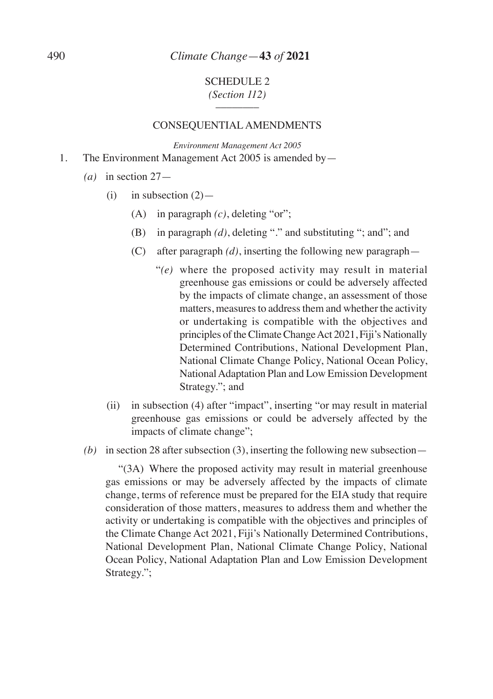### SCHEDULE 2 *(Section 112)*  $\overline{\phantom{a}}$  ,  $\overline{\phantom{a}}$  ,  $\overline{\phantom{a}}$  ,  $\overline{\phantom{a}}$  ,  $\overline{\phantom{a}}$  ,  $\overline{\phantom{a}}$  ,  $\overline{\phantom{a}}$  ,  $\overline{\phantom{a}}$  ,  $\overline{\phantom{a}}$  ,  $\overline{\phantom{a}}$  ,  $\overline{\phantom{a}}$  ,  $\overline{\phantom{a}}$  ,  $\overline{\phantom{a}}$  ,  $\overline{\phantom{a}}$  ,  $\overline{\phantom{a}}$  ,  $\overline{\phantom{a}}$

### CONSEQUENTIAL AMENDMENTS

*Environment Management Act 2005* 1. The Environment Management Act 2005 is amended by—

- *(a)* in section 27—
	- (i) in subsection  $(2)$ 
		- (A) in paragraph *(c)*, deleting "or";
		- (B) in paragraph *(d)*, deleting "." and substituting "; and"; and
		- (C) after paragraph *(d)*, inserting the following new paragraph—
			- "*(e)* where the proposed activity may result in material greenhouse gas emissions or could be adversely affected by the impacts of climate change, an assessment of those matters, measures to address them and whether the activity or undertaking is compatible with the objectives and principles of the Climate Change Act 2021, Fiji's Nationally Determined Contributions, National Development Plan, National Climate Change Policy, National Ocean Policy, National Adaptation Plan and Low Emission Development Strategy."; and
	- (ii) in subsection (4) after "impact", inserting "or may result in material greenhouse gas emissions or could be adversely affected by the impacts of climate change";
- *(b)* in section 28 after subsection (3), inserting the following new subsection—

 "(3A) Where the proposed activity may result in material greenhouse gas emissions or may be adversely affected by the impacts of climate change, terms of reference must be prepared for the EIA study that require consideration of those matters, measures to address them and whether the activity or undertaking is compatible with the objectives and principles of the Climate Change Act 2021, Fiji's Nationally Determined Contributions, National Development Plan, National Climate Change Policy, National Ocean Policy, National Adaptation Plan and Low Emission Development Strategy.";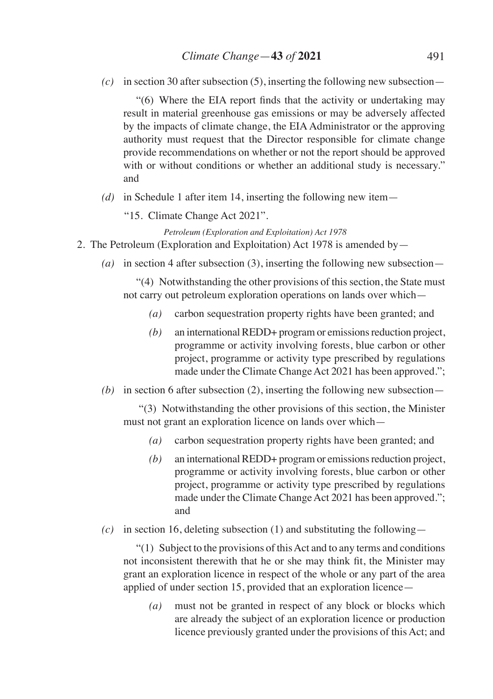*(c)* in section 30 after subsection (5), inserting the following new subsection—

 "(6) Where the EIA report finds that the activity or undertaking may result in material greenhouse gas emissions or may be adversely affected by the impacts of climate change, the EIA Administrator or the approving authority must request that the Director responsible for climate change provide recommendations on whether or not the report should be approved with or without conditions or whether an additional study is necessary." and

- *(d)* in Schedule 1 after item 14, inserting the following new item—
	- "15. Climate Change Act 2021".

*Petroleum (Exploration and Exploitation) Act 1978*

- 2. The Petroleum (Exploration and Exploitation) Act 1978 is amended by—
	- *(a)* in section 4 after subsection (3), inserting the following new subsection—

 "(4) Notwithstanding the other provisions of this section, the State must not carry out petroleum exploration operations on lands over which—

- *(a)* carbon sequestration property rights have been granted; and
- *(b)* an international REDD+ program or emissions reduction project, programme or activity involving forests, blue carbon or other project, programme or activity type prescribed by regulations made under the Climate Change Act 2021 has been approved.";
- *(b)* in section 6 after subsection (2), inserting the following new subsection—

 "(3) Notwithstanding the other provisions of this section, the Minister must not grant an exploration licence on lands over which—

- *(a)* carbon sequestration property rights have been granted; and
- *(b)* an international REDD+ program or emissions reduction project, programme or activity involving forests, blue carbon or other project, programme or activity type prescribed by regulations made under the Climate Change Act 2021 has been approved."; and
- *(c)* in section 16, deleting subsection (1) and substituting the following—

 "(1) Subject to the provisions of this Act and to any terms and conditions not inconsistent therewith that he or she may think fit, the Minister may grant an exploration licence in respect of the whole or any part of the area applied of under section 15, provided that an exploration licence—

*(a)* must not be granted in respect of any block or blocks which are already the subject of an exploration licence or production licence previously granted under the provisions of this Act; and